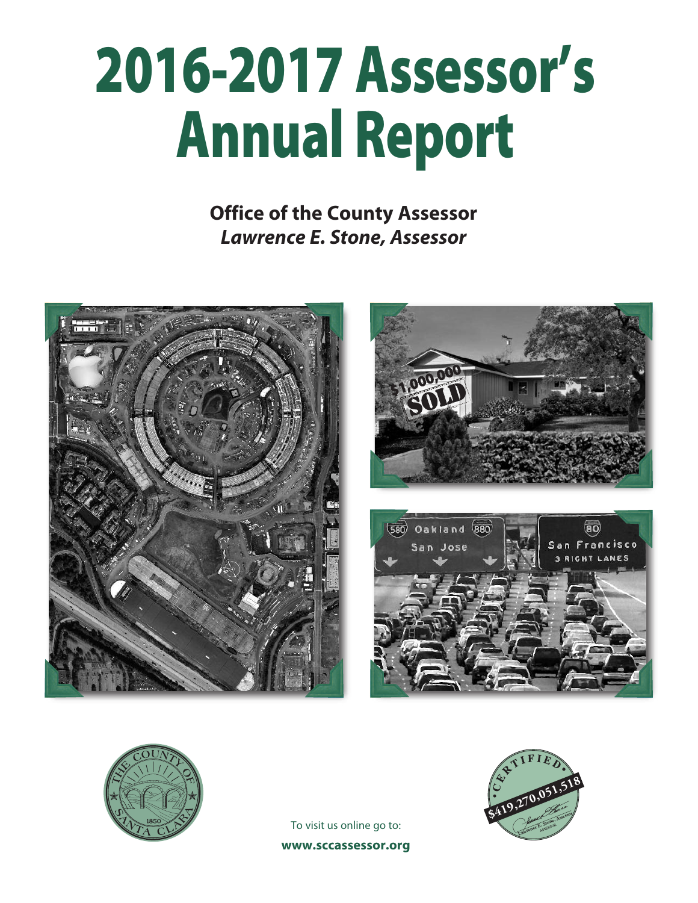# **2016-2017 Assessor's Annual Report**

**Office of the County Assessor** *Lawrence E. Stone, Assessor*









To visit us online go to: **www.sccassessor.org**

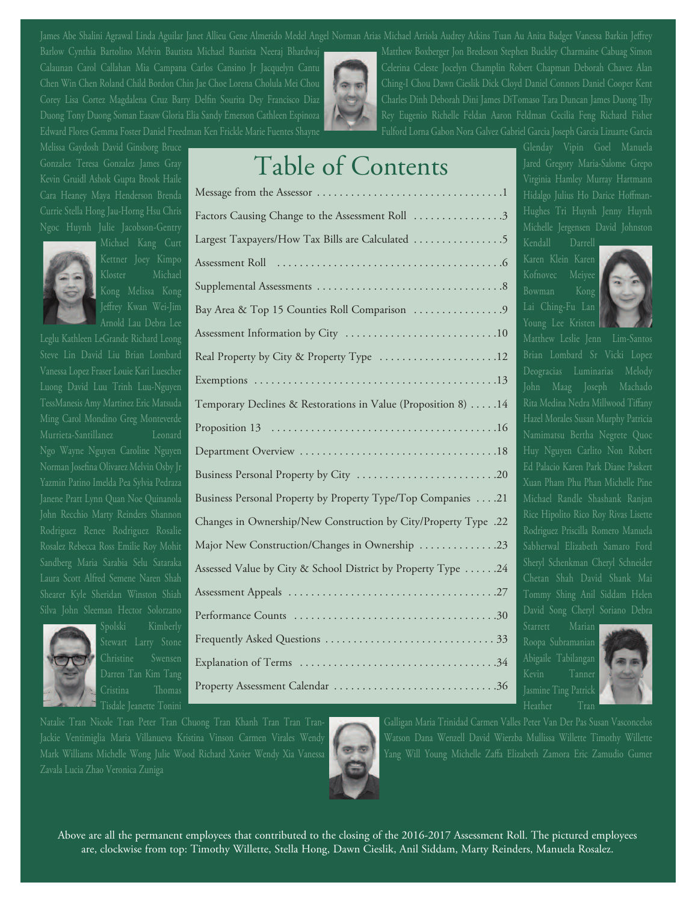Barlow Cynthia Bartolino Melvin Bautista Michael Bautista Neeraj Bhardwaj Matthew Boxberger Jon Bredeson Stephen Buckley Charmaine Cabuag Simon Calaunan Carol Callahan Mia Campana Carlos Cansino Jr Jacquelyn Cantu Celerina Celeste Jocelyn Champlin Robert Chapman Deborah Chavez Alan Chen Win Chen Roland Child Bordon Chin Jae Choe Lorena Cholula Mei Chou Ching-I Chou Dawn Cieslik Dick Cloyd Daniel Connors Daniel Cooper Kent Corey Lisa Cortez Magdalena Cruz Barry Delfin Sourita Dey Francisco Diaz Charles Dinh Deborah Dini James DiTomaso Tara Duncan James Duong Thy Duong Tony Duong Soman Easaw Gloria Elia Sandy Emerson Cathleen Espinoza Rey Eugenio Richelle Feldan Aaron Feldman Cecilia Feng Richard Fisher

Melissa Gaydosh David Ginsborg Bruce Glendar Communication Communication of the Manuela Glenday Vipin Goel Manuela Gonzalez Teresa Gonzalez James Gray **Jarmes Gray 1986 Inc. 1. 1989. I** Jared Gregory Maria-Salome Grepo<br>Kevin Gruidl Ashok Gunta Brook Haile Kevin Gruidl Ashok Gupta Brook Haile Virginia Hamley Murray Hartmann





Cara Heaney Maya Henderson Brenda Hidalgo Julius Ho Darice Hoffman-Message from the Assessor . . . . . . . . . . . . . . . . . . . . . . . . . . . . . . . . .1 Currie Stella Hong Jau-Horng Hsu Chris **Factors Causing Change to the Assessment Roll .................3** Hughes Tri Huynh Jenny Huynh Ngoc Huynh Julie Jacobson-Gentry Michelle Jergensen David Johnston David Johnston David Johnston David Johnston Michael Kang  $_{\rm{Curt}}$  <code>Largest Taxpayers/How Tax Bills are Calculated . . . . . . . . . . . . . . . . 5</code> <code>Kendall Darrell</code> Kettner Joey Kimpo Karen Klein Karen Assessment Roll . . . . . . . . . . . . . . . . . . . . . . . . . . . . . . . . . . . . . . . .6 Kloster Michael Kofnovec Meiyee (Kofnovec Meiyee Kofnovec Meiyee Kofnovec Meiyee Kofnovec Meiyee Kofnovec Meiye Kong Melissa Kong Bowman Kong Supplemental Assessments . . . . . . . . . . . . . . . . . . . . . . . . . . . . . . . . .8 Jettrey Kwan Wei-Jim **Ray Area & Top 15 Counties Roll Comparison . . . . . . . . . . . . . . . 9** Lai Ching-Fu Lan Arnold Lau Debra Lee Young Lee Kristen Assessment Information by City . . . . . . . . . . . . . . . . . . . . . . . . . . .10 Leglu Kathleen LeGrande Richard Leong Matthew Leslie Jenn Lim-Santos Steve Lin David Liu Brian Lombard Real Property by City & Property Type . . . . . . . . . . . . . . . . . . 12 Brian Lombard Sr Vicki Lopez Vanessa Lopez Fraser Louie Kari Luescher Deogracias Luminarias Melody Deogracias Luminarias Melody Luong David Luu Trinh Luu-Nguyen John Maag Joseph Machado TessManesis Amy Martinez Eric Matsuda **Rita Medina Medina Sepandina Medina Nedra Accepts** Rita Medina Nedra Millwood Tiffany Ming Carol Mondino Greg Monteverde Hazel Morales Susan Murphy Patricia Proposition 13 . . . . . . . . . . . . . . . . . . . . . . . . . . . . . . . . . . . . . . . .16 Murrieta-Santillanez Leonard Namimatsu Bertha Negrete Quoc Ngo Wayne Nguyen Caroline Nguyen Huy Nguyen Carlito Non Robert Department Overview . . . . . . . . . . . . . . . . . . . . . . . . . . . . . . . . . . .18 Norman Josefina Olivarez Melvin Osby Jr Ed Palacio Karen Park Diane Paskert Business Personal Property by City . . . . . . . . . . . . . . . . . . . . . . . . .20 Yazmin Patino Imelda Pea Sylvia Pedraza **Xuan Pham Pham Pham Pham Phan Michelle Pine** Janene Pratt Lynn Quan Noe Quinanola Business Personal Property by Property Type/Top Companies . . . .21 Michael Randle Shashank Ranjan John Recchio Marty Reinders Shannon **Changes in Ownership/New Construction by City/Property Type .22** Rice Hipolito Rico Roy Rivas Lisette Rodriguez Renee Rodriguez Rosalie Changes in Chinesen priori Construction by Chyrreperty Type 122 Rodriguez Priscilla Romero Manuela Rosalez Rebecca Ross Emilie Roy Mohit Major New Construction/Changes in Ownership . . . . . . . . . . . . . 23 Sabherwal Elizabeth Samaro Ford Sandberg Maria Sarabia Selu Sataraka **Assessed Value by City & School District by Property Type . . . . . 24** Sheryl Schenkman Cheryl Schneider Laura Scott Alfred Semene Naren Shah Chetan Shah David Shank Mai Shearer Kyle Sheridan Winston Shiah Tommy Shing Anil Siddam Helen Assessment Appeals . . . . . . . . . . . . . . . . . . . . . . . . . . . . . . . . . . . . .27 Silva John Sleeman Hector Solorzano David Song Cheryl Soriano Debra Performance Counts . . . . . . . . . . . . . . . . . . . . . . . . . . . . . . . . . . . .30 Spolski Kimberly Starrett Marian Starrett Marian Starrett Marian Starrett Marian Starrett Marian Stewart Larry Stone Roopa Subramanian Frequently Asked Questions . . . . . . . . . . . . . . . . . . . . . . . . . . . . . . 33 Christine Swensen Abigaile Tabilangan Explanation of Terms . . . . . . . . . . . . . . . . . . . . . . . . . . . . . . . . . . .34 Darren Tan Kim Tang Kevin Tanner Cristina omas Jasmine Ting Patrick Property Assessment Calendar . . . . . . . . . . . . . . . . . . . . . . . . . . . . .36 Exemptions . . . . . . . . . . . . . . . . . . . . . . . . . . . . . . . . . . . . . . . . . . .13



James Abe Shalini Agrawal Linda Aguilar Janet Allieu Gene Almerido Medel Angel Norman Arias Michael Arriola Audrey Atkins Tuan Au Anita Badger Vanessa Barkin Jeffrey Edward Flores Gemma Foster Daniel Freedman Ken Frickle Marie Fuentes Shayne Fulford Lorna Gabon Nora Galvez Gabriel Garcia Joseph Garcia Lizuarte Garcia



Tisdale Jeanette Tonini **Heather Transformation of the Contract of the Contract of Transformation** Heather Tran



Natalie Tran Nicole Tran Peter Tran Chuong Tran Khanh Tran Tran Tran- Galligan Maria Trinidad Carmen Valles Peter Van Der Pas Susan Vasconcelos Jackie Ventimiglia Maria Villanueva Kristina Vinson Carmen Virales Wendy Watson Dana Wenzell David Wierzba Mullissa Willette Timothy Willette<br>Mark Williams Michalla Wang Julia Waad Pichard Variat Wardu Via Venesse Wille Wa Mark Williams Michelle Wong Julie Wood Richard Xavier Wendy Xia Vanessa **NGC 2004** Yang Will Young Michelle Zaffa Elizabeth Zamora Eric Zamudio Gumer Zavala Lucia Zhao Veronica Zuniga



Above are all the permanent employees that contributed to the closing of the 2016-2017 Assessment Roll. The pictured employees are, clockwise from top: Timothy Willette, Stella Hong, Dawn Cieslik, Anil Siddam, Marty Reinders, Manuela Rosalez.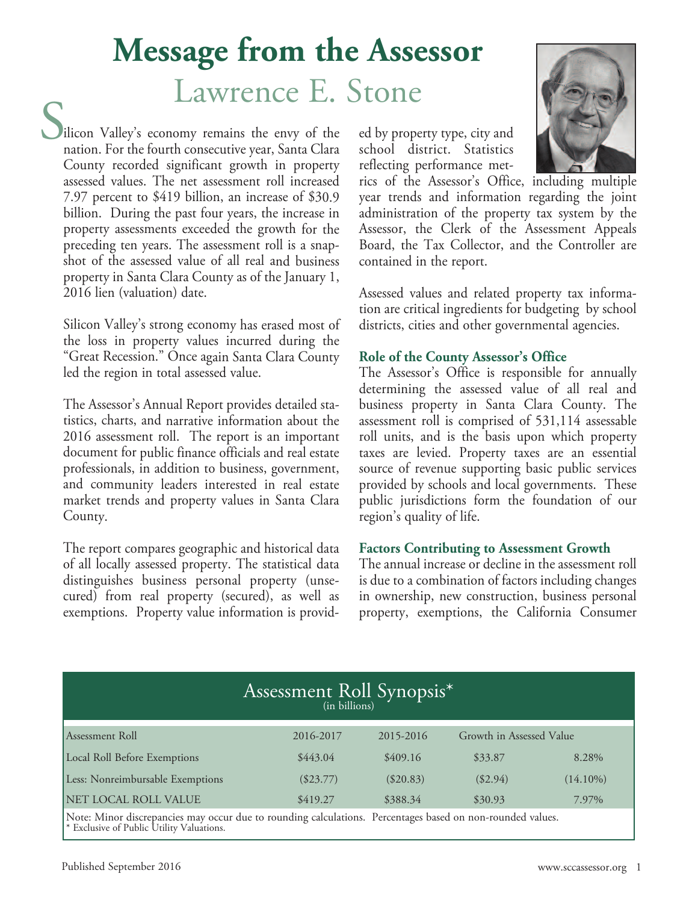## **Message from the Assessor** Lawrence E. Stone

liicon Valley's economy remains the envy of the nation. For the fourth consecutive year, Santa Clara County recorded significant growth in property assessed values. The net assessment roll increased 7.97 percent to \$419 billion, an increase of \$30.9 billion. During the past four years, the increase in property assessments exceeded the growth for the preceding ten years. The assessment roll is <sup>a</sup> snapshot of the assessed value of all real and business property in Santa Clara County as of the January 1, 2016 lien (valuation) date. S

Silicon Valley's strong economy has erased most of the loss in property values incurred during the "Great Recession." Once again Santa Clara County led the region in total assessed value.

The Assessor's Annual Report provides detailed statistics, charts, and narrative information about the 2016 assessment roll. The report is an important document for public finance officials and real estate professionals, in addition to business, government, and community leaders interested in real estate market trends and property values in Santa Clara County.

The report compares geographic and historical data of all locally assessed property. The statistical data distinguishes business personal property (unsecured) from real property (secured), as well as exemptions. Property value information is provided by property type, city and school district. Statistics reflecting performance met-



rics of the Assessor's Office, including multiple year trends and information regarding the joint administration of the property tax system by the Assessor, the Clerk of the Assessment Appeals Board, the Tax Collector, and the Controller are contained in the report.

Assessed values and related property tax information are critical ingredients for budgeting by school districts, cities and other governmental agencies.

#### **Role of the County Assessor's Office**

The Assessor's Office is responsible for annually determining the assessed value of all real and business property in Santa Clara County. The assessment roll is comprised of 531,114 assessable roll units, and is the basis upon which property taxes are levied. Property taxes are an essential source of revenue supporting basic public services provided by schools and local governments. These public jurisdictions form the foundation of our region's quality of life.

#### **Factors Contributing to Assessment Growth**

The annual increase or decline in the assessment roll is due to a combination of factors including changes in ownership, new construction, business personal property, exemptions, the California Consumer

| Assessment Roll Synopsis <sup>*</sup><br>(in billions) |                                                                                                          |             |                          |             |  |  |  |
|--------------------------------------------------------|----------------------------------------------------------------------------------------------------------|-------------|--------------------------|-------------|--|--|--|
| Assessment Roll                                        | 2016-2017                                                                                                | 2015-2016   | Growth in Assessed Value |             |  |  |  |
| Local Roll Before Exemptions                           | \$443.04                                                                                                 | \$409.16    | \$33.87                  | 8.28%       |  |  |  |
| Less: Nonreimbursable Exemptions                       | $(\$23.77)$                                                                                              | $(\$20.83)$ | $(\$2.94)$               | $(14.10\%)$ |  |  |  |
| NET LOCAL ROLL VALUE                                   | \$419.27                                                                                                 | \$388.34    | \$30.93                  | 7.97%       |  |  |  |
|                                                        | Note Miner discrepancies mey eccur due to reunding celculations. Perceptages besed on non-reunded volues |             |                          |             |  |  |  |

Note: Minor discrepancies may occur due to rounding calculations. Percentages based on non-rounded values.<br>\* Exclusive of Public Utility Valuations.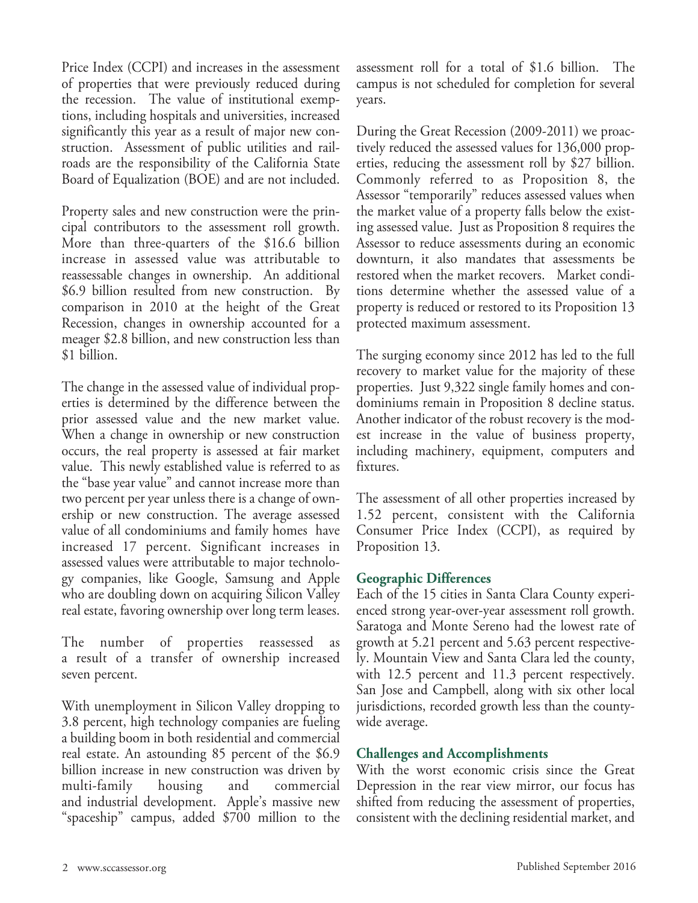Price Index (CCPI) and increases in the assessment of properties that were previously reduced during the recession. The value of institutional exemptions, including hospitals and universities, increased significantly this year as a result of major new construction. Assessment of public utilities and railroads are the responsibility of the California State Board of Equalization (BOE) and are not included.

Property sales and new construction were the principal contributors to the assessment roll growth. More than three-quarters of the \$16.6 billion increase in assessed value was attributable to reassessable changes in ownership. An additional \$6.9 billion resulted from new construction. By comparison in 2010 at the height of the Great Recession, changes in ownership accounted for a meager \$2.8 billion, and new construction less than \$1 billion.

The change in the assessed value of individual properties is determined by the difference between the prior assessed value and the new market value. When a change in ownership or new construction occurs, the real property is assessed at fair market value. This newly established value is referred to as the "base year value" and cannot increase more than two percent per year unless there is a change of ownership or new construction. The average assessed value of all condominiums and family homes have increased 17 percent. Significant increases in assessed values were attributable to major technology companies, like Google, Samsung and Apple who are doubling down on acquiring Silicon Valley real estate, favoring ownership over long term leases.

The number of properties reassessed as a result of a transfer of ownership increased seven percent.

With unemployment in Silicon Valley dropping to 3.8 percent, high technology companies are fueling a building boom in both residential and commercial real estate. An astounding 85 percent of the \$6.9 billion increase in new construction was driven by multi-family housing and commercial and industrial development. Apple's massive new "spaceship" campus, added \$700 million to the

assessment roll for a total of \$1.6 billion. The campus is not scheduled for completion for several years.

During the Great Recession (2009-2011) we proactively reduced the assessed values for 136,000 properties, reducing the assessment roll by \$27 billion. Commonly referred to as Proposition 8, the Assessor "temporarily" reduces assessed values when the market value of a property falls below the existing assessed value. Just as Proposition 8 requires the Assessor to reduce assessments during an economic downturn, it also mandates that assessments be restored when the market recovers. Market conditions determine whether the assessed value of a property is reduced or restored to its Proposition 13 protected maximum assessment.

The surging economy since 2012 has led to the full recovery to market value for the majority of these properties. Just 9,322 single family homes and condominiums remain in Proposition 8 decline status. Another indicator of the robust recovery is the modest increase in the value of business property, including machinery, equipment, computers and fixtures.

The assessment of all other properties increased by 1.52 percent, consistent with the California Consumer Price Index (CCPI), as required by Proposition 13.

#### **Geographic Differences**

Each of the 15 cities in Santa Clara County experienced strong year-over-year assessment roll growth. Saratoga and Monte Sereno had the lowest rate of growth at 5.21 percent and 5.63 percent respectively. Mountain View and Santa Clara led the county, with 12.5 percent and 11.3 percent respectively. San Jose and Campbell, along with six other local jurisdictions, recorded growth less than the countywide average.

#### **Challenges and Accomplishments**

With the worst economic crisis since the Great Depression in the rear view mirror, our focus has shifted from reducing the assessment of properties, consistent with the declining residential market, and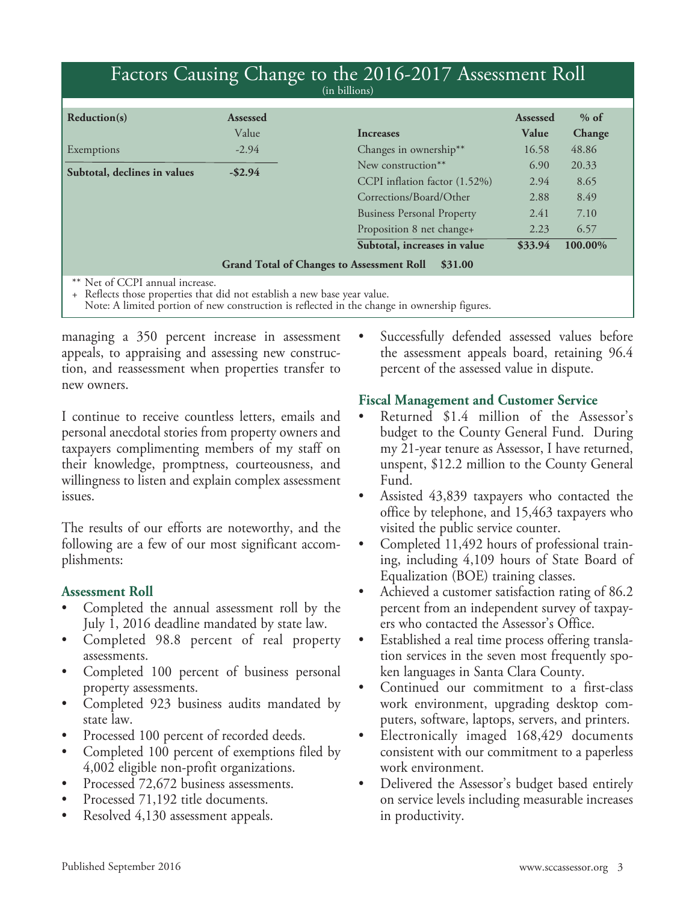| Factors Causing Change to the 2016-2017 Assessment Roll                                                      |                 |                                                             |                 |         |  |  |  |
|--------------------------------------------------------------------------------------------------------------|-----------------|-------------------------------------------------------------|-----------------|---------|--|--|--|
|                                                                                                              |                 | (in billions)                                               |                 |         |  |  |  |
| Reduction(s)                                                                                                 | <b>Assessed</b> |                                                             | <b>Assessed</b> | $%$ of  |  |  |  |
|                                                                                                              | Value           | <b>Increases</b>                                            | Value           | Change  |  |  |  |
| Exemptions                                                                                                   | $-2.94$         | Changes in ownership**                                      | 16.58           | 48.86   |  |  |  |
| Subtotal, declines in values                                                                                 | $-$ \$2.94      | New construction**                                          | 6.90            | 20.33   |  |  |  |
|                                                                                                              |                 | CCPI inflation factor (1.52%)                               | 2.94            | 8.65    |  |  |  |
|                                                                                                              |                 | Corrections/Board/Other                                     | 2.88            | 8.49    |  |  |  |
|                                                                                                              |                 | <b>Business Personal Property</b>                           | 2.41            | 7.10    |  |  |  |
|                                                                                                              |                 | Proposition 8 net change+                                   | 2.23            | 6.57    |  |  |  |
|                                                                                                              |                 | Subtotal, increases in value                                | \$33.94         | 100.00% |  |  |  |
|                                                                                                              |                 | <b>Grand Total of Changes to Assessment Roll</b><br>\$31.00 |                 |         |  |  |  |
| ** Net of CCPI annual increase.<br>+ Reflects those properties that did not establish a new base year value. |                 |                                                             |                 |         |  |  |  |

Note: A limited portion of new construction is reflected in the change in ownership figures.

managing a 350 percent increase in assessment appeals, to appraising and assessing new construction, and reassessment when properties transfer to new owners.

I continue to receive countless letters, emails and personal anecdotal stories from property owners and taxpayers complimenting members of my staff on their knowledge, promptness, courteousness, and willingness to listen and explain complex assessment issues.

The results of our efforts are noteworthy, and the following are a few of our most significant accomplishments:

#### **Assessment Roll**

- Completed the annual assessment roll by the July 1, 2016 deadline mandated by state law.
- Completed 98.8 percent of real property assessments.
- Completed 100 percent of business personal property assessments.
- Completed 923 business audits mandated by state law.
- Processed 100 percent of recorded deeds.
- Completed 100 percent of exemptions filed by 4,002 eligible non-profit organizations.
- Processed 72,672 business assessments.
- Processed 71,192 title documents.
- Resolved 4,130 assessment appeals.

Successfully defended assessed values before the assessment appeals board, retaining 96.4 percent of the assessed value in dispute.

#### **Fiscal Management and Customer Service**

- Returned \$1.4 million of the Assessor's budget to the County General Fund. During my 21-year tenure as Assessor, I have returned, unspent, \$12.2 million to the County General Fund.
- Assisted 43,839 taxpayers who contacted the office by telephone, and 15,463 taxpayers who visited the public service counter.
- Completed 11,492 hours of professional training, including 4,109 hours of State Board of Equalization (BOE) training classes.
- Achieved a customer satisfaction rating of 86.2 percent from an independent survey of taxpayers who contacted the Assessor's Office.
- Established a real time process offering translation services in the seven most frequently spoken languages in Santa Clara County.
- Continued our commitment to a first-class work environment, upgrading desktop computers, software, laptops, servers, and printers.
- Electronically imaged 168,429 documents consistent with our commitment to a paperless work environment.
- Delivered the Assessor's budget based entirely on service levels including measurable increases in productivity.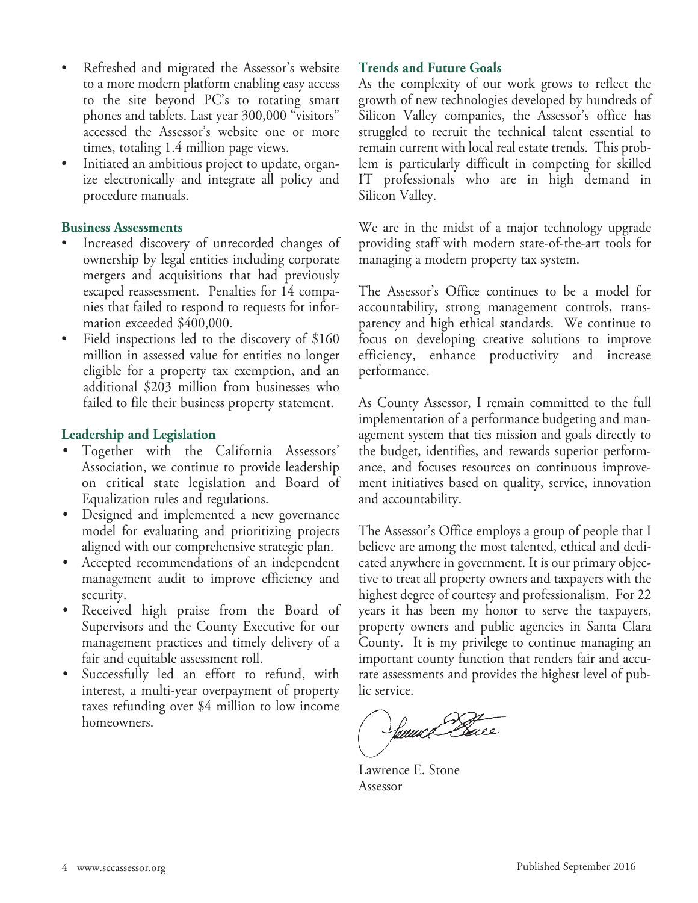- Refreshed and migrated the Assessor's website to a more modern platform enabling easy access to the site beyond PC's to rotating smart phones and tablets. Last year 300,000 "visitors" accessed the Assessor's website one or more times, totaling 1.4 million page views.
- Initiated an ambitious project to update, organize electronically and integrate all policy and procedure manuals.

#### **Business Assessments**

- Increased discovery of unrecorded changes of ownership by legal entities including corporate mergers and acquisitions that had previously escaped reassessment. Penalties for 14 companies that failed to respond to requests for information exceeded \$400,000.
- Field inspections led to the discovery of \$160 million in assessed value for entities no longer eligible for a property tax exemption, and an additional \$203 million from businesses who failed to file their business property statement.

#### **Leadership and Legislation**

- Together with the California Assessors' Association, we continue to provide leadership on critical state legislation and Board of Equalization rules and regulations.
- Designed and implemented a new governance model for evaluating and prioritizing projects aligned with our comprehensive strategic plan.
- Accepted recommendations of an independent management audit to improve efficiency and security.
- Received high praise from the Board of Supervisors and the County Executive for our management practices and timely delivery of a fair and equitable assessment roll.
- Successfully led an effort to refund, with interest, a multi-year overpayment of property taxes refunding over \$4 million to low income homeowners.

#### **Trends and Future Goals**

As the complexity of our work grows to reflect the growth of new technologies developed by hundreds of Silicon Valley companies, the Assessor's office has struggled to recruit the technical talent essential to remain current with local real estate trends. This problem is particularly difficult in competing for skilled IT professionals who are in high demand in Silicon Valley.

We are in the midst of a major technology upgrade providing staff with modern state-of-the-art tools for managing a modern property tax system.

The Assessor's Office continues to be a model for accountability, strong management controls, transparency and high ethical standards. We continue to focus on developing creative solutions to improve efficiency, enhance productivity and increase performance.

As County Assessor, I remain committed to the full implementation of a performance budgeting and management system that ties mission and goals directly to the budget, identifies, and rewards superior performance, and focuses resources on continuous improvement initiatives based on quality, service, innovation and accountability.

The Assessor's Office employs a group of people that I believe are among the most talented, ethical and dedicated anywhere in government. It is our primary objective to treat all property owners and taxpayers with the highest degree of courtesy and professionalism. For 22 years it has been my honor to serve the taxpayers, property owners and public agencies in Santa Clara County. It is my privilege to continue managing an important county function that renders fair and accurate assessments and provides the highest level of public service.

buux Cl

Lawrence E. Stone Assessor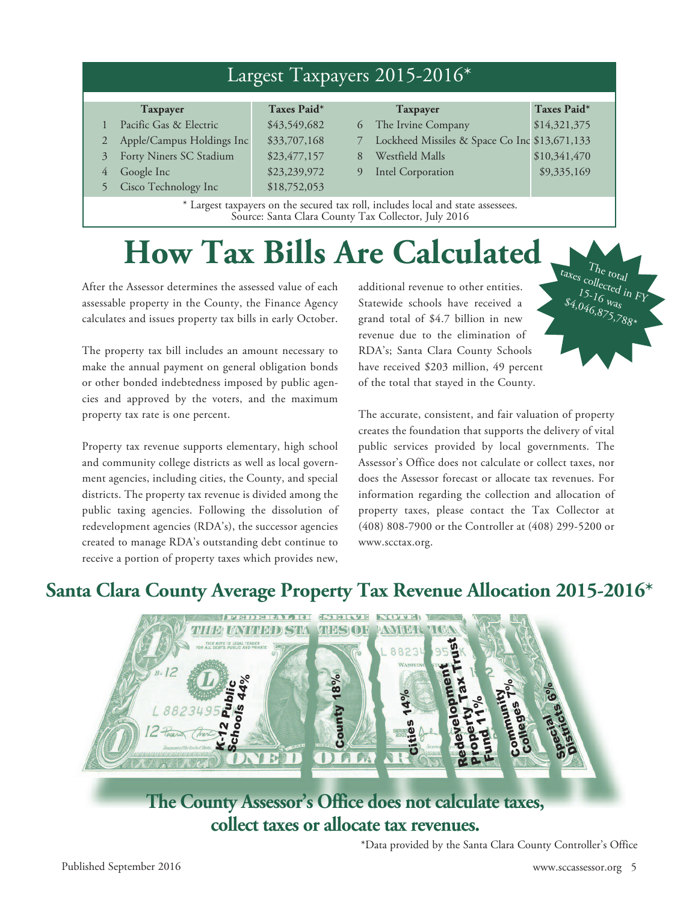| Largest Taxpayers 2015-2016 <sup>*</sup> |                                                                                                                                         |              |   |                                               |              |  |  |
|------------------------------------------|-----------------------------------------------------------------------------------------------------------------------------------------|--------------|---|-----------------------------------------------|--------------|--|--|
|                                          | <b>Taxpayer</b>                                                                                                                         | Taxes Paid*  |   | <b>Taxpayer</b>                               | Taxes Paid*  |  |  |
|                                          | Pacific Gas & Electric                                                                                                                  | \$43,549,682 | 6 | The Irvine Company                            | \$14,321,375 |  |  |
|                                          | Apple/Campus Holdings Inc                                                                                                               | \$33,707,168 |   | Lockheed Missiles & Space Co Inc \$13,671,133 |              |  |  |
| 3                                        | Forty Niners SC Stadium                                                                                                                 | \$23,477,157 | 8 | Westfield Malls                               | \$10,341,470 |  |  |
| 4                                        | Google Inc                                                                                                                              | \$23,239,972 | 9 | <b>Intel Corporation</b>                      | \$9,335,169  |  |  |
|                                          | Cisco Technology Inc                                                                                                                    | \$18,752,053 |   |                                               |              |  |  |
|                                          | * Largest taxpayers on the secured tax roll, includes local and state assessees.<br>Source: Santa Clara County Tax Collector, July 2016 |              |   |                                               |              |  |  |

## **How Tax Bills Are Calculated**

After the Assessor determines the assessed value of each assessable property in the County, the Finance Agency calculates and issues property tax bills in early October.

The property tax bill includes an amount necessary to make the annual payment on general obligation bonds or other bonded indebtedness imposed by public agencies and approved by the voters, and the maximum property tax rate is one percent.

Property tax revenue supports elementary, high school and community college districts as well as local government agencies, including cities, the County, and special districts. The property tax revenue is divided among the public taxing agencies. Following the dissolution of redevelopment agencies (RDA's), the successor agencies created to manage RDA's outstanding debt continue to receive a portion of property taxes which provides new, additional revenue to other entities. Statewide schools have received a grand total of \$4.7 billion in new revenue due to the elimination of RDA's; Santa Clara County Schools have received \$203 million, 49 percent of the total that stayed in the County.

The accurate, consistent, and fair valuation of property creates the foundation that supports the delivery of vital public services provided by local governments. The Assessor's Office does not calculate or collect taxes, nor does the Assessor forecast or allocate tax revenues. For information regarding the collection and allocation of property taxes, please contact the Tax Collector at (408) 808-7900 or the Controller at (408) 299-5200 or www.scctax.org.

### **Santa Clara County Average Property Tax Revenue Allocation 2015-2016\***



**The County Assessor's Office does not calculate taxes, collect taxes or allocate tax revenues.**

\*Data provided by the Santa Clara County Controller's Office

 $\tau_{\text{at}_\text{reg}}$   $\tau_{\text{h}_\text{e}}$  total<br>  $\tau_{\text{f}_\text{f}_\text{f}_\text{f}_\text{f}_\text{f}_\text{f}_\text{f}}$ 

 $$4,046,875,788*$ 15-16 was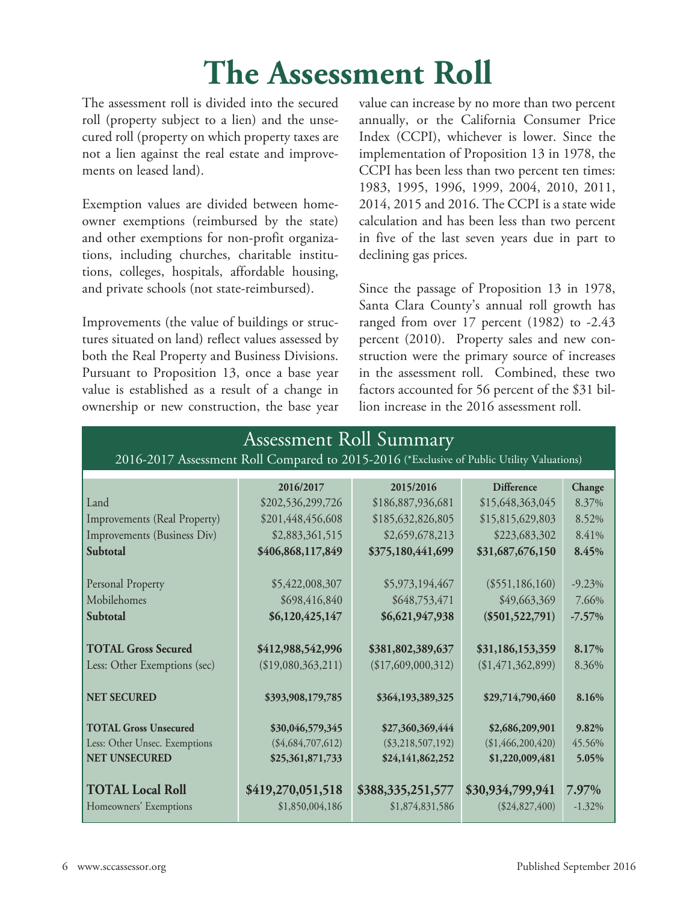## **The Assessment Roll**

The assessment roll is divided into the secured roll (property subject to a lien) and the unsecured roll (property on which property taxes are not a lien against the real estate and improvements on leased land).

Exemption values are divided between homeowner exemptions (reimbursed by the state) and other exemptions for non-profit organizations, including churches, charitable institutions, colleges, hospitals, affordable housing, and private schools (not state-reimbursed).

Improvements (the value of buildings or structures situated on land) reflect values assessed by both the Real Property and Business Divisions. Pursuant to Proposition 13, once a base year value is established as a result of a change in ownership or new construction, the base year value can increase by no more than two percent annually, or the California Consumer Price Index (CCPI), whichever is lower. Since the implementation of Proposition 13 in 1978, the CCPI has been less than two percent ten times: 1983, 1995, 1996, 1999, 2004, 2010, 2011, 2014, 2015 and 2016. The CCPI is a state wide calculation and has been less than two percent in five of the last seven years due in part to declining gas prices.

Since the passage of Proposition 13 in 1978, Santa Clara County's annual roll growth has ranged from over 17 percent (1982) to -2.43 percent (2010). Property sales and new construction were the primary source of increases in the assessment roll. Combined, these two factors accounted for 56 percent of the \$31 billion increase in the 2016 assessment roll.

| <b>Assessment Roll Summary</b>                                                            |                     |                     |                   |           |  |  |  |  |
|-------------------------------------------------------------------------------------------|---------------------|---------------------|-------------------|-----------|--|--|--|--|
| 2016-2017 Assessment Roll Compared to 2015-2016 (*Exclusive of Public Utility Valuations) |                     |                     |                   |           |  |  |  |  |
|                                                                                           | 2016/2017           | 2015/2016           | <b>Difference</b> | Change    |  |  |  |  |
| Land                                                                                      | \$202,536,299,726   | \$186,887,936,681   | \$15,648,363,045  | 8.37%     |  |  |  |  |
| Improvements (Real Property)                                                              | \$201,448,456,608   | \$185,632,826,805   | \$15,815,629,803  | 8.52%     |  |  |  |  |
| Improvements (Business Div)                                                               | \$2,883,361,515     | \$2,659,678,213     | \$223,683,302     | 8.41%     |  |  |  |  |
| Subtotal                                                                                  | \$406,868,117,849   | \$375,180,441,699   | \$31,687,676,150  | 8.45%     |  |  |  |  |
| Personal Property                                                                         | \$5,422,008,307     | \$5,973,194,467     | $(\$551,186,160)$ | $-9.23\%$ |  |  |  |  |
| Mobilehomes                                                                               | \$698,416,840       | \$648,753,471       | \$49,663,369      | 7.66%     |  |  |  |  |
| Subtotal                                                                                  | \$6,120,425,147     | \$6,621,947,938     | $(\$501,522,791)$ | $-7.57\%$ |  |  |  |  |
| <b>TOTAL Gross Secured</b>                                                                | \$412,988,542,996   | \$381,802,389,637   | \$31,186,153,359  | 8.17%     |  |  |  |  |
| Less: Other Exemptions (sec)                                                              | (\$19,080,363,211)  | (\$17,609,000,312)  | (\$1,471,362,899) | 8.36%     |  |  |  |  |
| <b>NET SECURED</b>                                                                        | \$393,908,179,785   | \$364,193,389,325   | \$29,714,790,460  | 8.16%     |  |  |  |  |
| <b>TOTAL Gross Unsecured</b>                                                              | \$30,046,579,345    | \$27,360,369,444    | \$2,686,209,901   | 9.82%     |  |  |  |  |
| Less: Other Unsec. Exemptions                                                             | $(\$4,684,707,612)$ | $(\$3,218,507,192)$ | (\$1,466,200,420) | 45.56%    |  |  |  |  |
| <b>NET UNSECURED</b>                                                                      | \$25,361,871,733    | \$24,141,862,252    | \$1,220,009,481   | 5.05%     |  |  |  |  |
| <b>TOTAL Local Roll</b>                                                                   | \$419,270,051,518   | \$388,335,251,577   | \$30,934,799,941  | 7.97%     |  |  |  |  |
| Homeowners' Exemptions                                                                    | \$1,850,004,186     | \$1,874,831,586     | $(\$24,827,400)$  | $-1.32\%$ |  |  |  |  |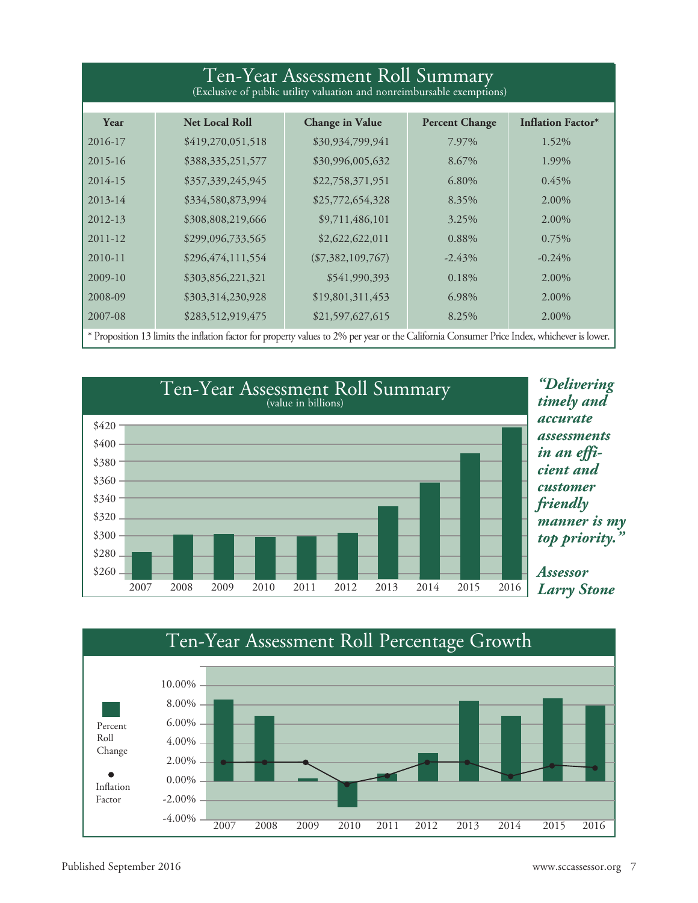| Ten-Year Assessment Roll Summary<br>(Exclusive of public utility valuation and nonreimbursable exemptions) |                       |                        |                            |                                                    |  |  |  |
|------------------------------------------------------------------------------------------------------------|-----------------------|------------------------|----------------------------|----------------------------------------------------|--|--|--|
| Year                                                                                                       | <b>Net Local Roll</b> | <b>Change in Value</b> | <b>Percent Change</b>      | <b>Inflation Factor*</b>                           |  |  |  |
| 2016-17                                                                                                    | \$419,270,051,518     | \$30,934,799,941       | 7.97%                      | 1.52%                                              |  |  |  |
| $2015 - 16$                                                                                                | \$388,335,251,577     | \$30,996,005,632       | 8.67%                      | 1.99%                                              |  |  |  |
| 2014-15                                                                                                    | \$357,339,245,945     | \$22,758,371,951       | 6.80%                      | 0.45%                                              |  |  |  |
| $2013 - 14$                                                                                                | \$334,580,873,994     | \$25,772,654,328       | 8.35%                      | 2.00%                                              |  |  |  |
| 2012-13                                                                                                    | \$308,808,219,666     | \$9,711,486,101        | 3.25%                      | 2.00%                                              |  |  |  |
| $2011 - 12$                                                                                                | \$299,096,733,565     | \$2,622,622,011        | 0.88%                      | 0.75%                                              |  |  |  |
| $2010 - 11$                                                                                                | \$296,474,111,554     | $(\$7,382,109,767)$    | $-2.43\%$                  | $-0.24%$                                           |  |  |  |
| 2009-10                                                                                                    | \$303,856,221,321     | \$541,990,393          | 0.18%                      | 2.00%                                              |  |  |  |
| 2008-09                                                                                                    | \$303,314,230,928     | \$19,801,311,453       | 6.98%                      | 2.00%                                              |  |  |  |
| 2007-08<br>$*$ D                                                                                           | \$283,512,919,475     | \$21,597,627,615       | 8.25%<br>$1 \cap 1$ $\cap$ | 2.00%<br>$1 \cdot 1$<br>$\cdot$ 1<br>$n \cdot T$ 1 |  |  |  |

Proposition 13 limits the inflation factor for property values to 2% per year or the California Consumer Price Index, whichever is lower.



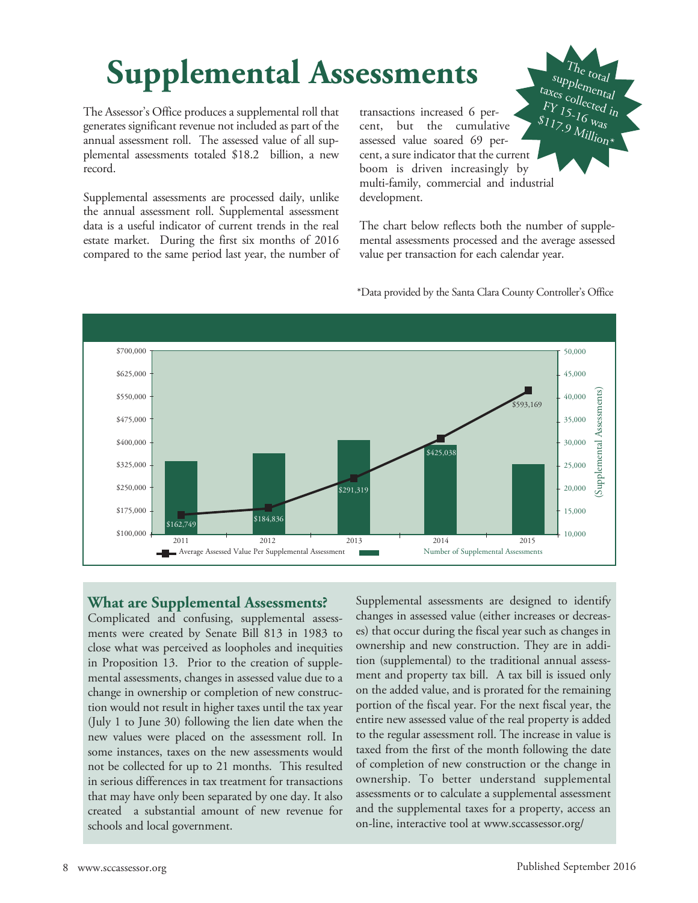## **Supplemental Assessments**

The Assessor's Office produces a supplemental roll that generates significant revenue not included as part of the annual assessment roll. The assessed value of all supplemental assessments totaled \$18.2 billion, a new record.

Supplemental assessments are processed daily, unlike the annual assessment roll. Supplemental assessment data is a useful indicator of current trends in the real estate market. During the first six months of 2016 compared to the same period last year, the number of

transactions increased 6 percent, but the cumulative assessed value soared 69 percent, a sure indicator that the current boom is driven increasingly by multi-family, commercial and industrial development. taxes collected in FY 15-16 was  $s_{11}$ ,  $s_{10}$   $s_{11}$ <br>Million\*

The chart below reflects both the number of supplemental assessments processed and the average assessed value per transaction for each calendar year.

 $T_{hc}$ <sub>total</sub> suppl<sub>emental</sub><br>cs <sub>co u</sub>



\*Data provided by the Santa Clara County Controller's Office

#### **What are Supplemental Assessments?**

Complicated and confusing, supplemental assessments were created by Senate Bill 813 in 1983 to close what was perceived as loopholes and inequities in Proposition 13. Prior to the creation of supplemental assessments, changes in assessed value due to a change in ownership or completion of new construction would not result in higher taxes until the tax year (July 1 to June 30) following the lien date when the new values were placed on the assessment roll. In some instances, taxes on the new assessments would not be collected for up to 21 months. This resulted in serious differences in tax treatment for transactions that may have only been separated by one day. It also created a substantial amount of new revenue for schools and local government.

Supplemental assessments are designed to identify changes in assessed value (either increases or decreases) that occur during the fiscal year such as changes in ownership and new construction. They are in addition (supplemental) to the traditional annual assessment and property tax bill. A tax bill is issued only on the added value, and is prorated for the remaining portion of the fiscal year. For the next fiscal year, the entire new assessed value of the real property is added to the regular assessment roll. The increase in value is taxed from the first of the month following the date of completion of new construction or the change in ownership. To better understand supplemental assessments or to calculate a supplemental assessment and the supplemental taxes for a property, access an on-line, interactive tool at www.sccassessor.org/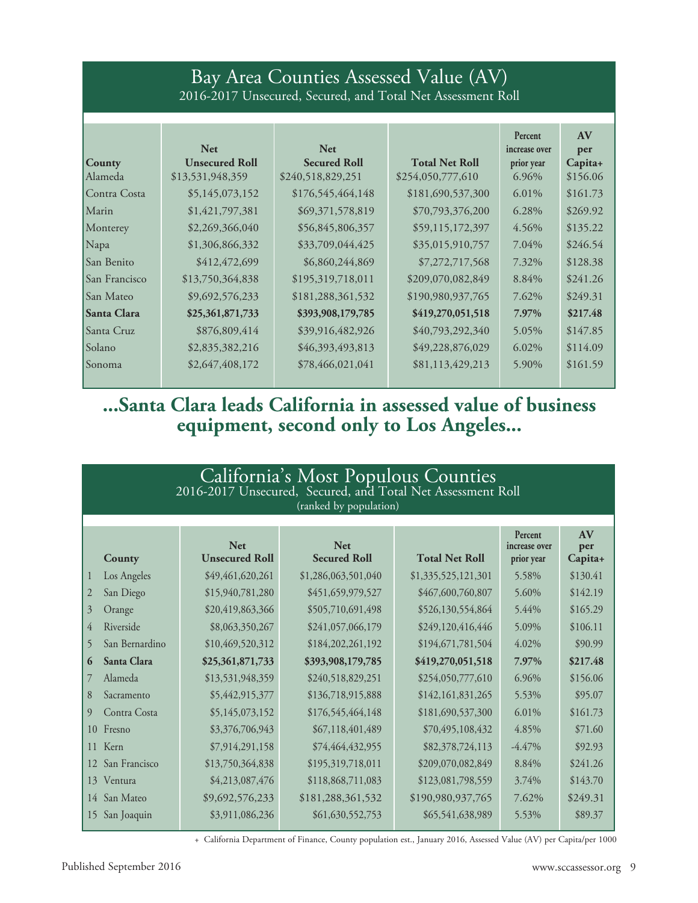### Bay Area Counties Assessed Value (AV) 2016-2017 Unsecured, Secured, and Total Net Assessment Roll

|                      | <b>Net</b>            | <b>Net</b>          |                       | Percent<br>increase over | AV<br>per |
|----------------------|-----------------------|---------------------|-----------------------|--------------------------|-----------|
| <b>County</b>        | <b>Unsecured Roll</b> | <b>Secured Roll</b> | <b>Total Net Roll</b> | prior year               | Capita+   |
| Alameda              | \$13,531,948,359      | \$240,518,829,251   | \$254,050,777,610     | 6.96%                    | \$156.06  |
| Contra Costa         | \$5,145,073,152       | \$176,545,464,148   | \$181,690,537,300     | 6.01%                    | \$161.73  |
| Marin                | \$1,421,797,381       | \$69,371,578,819    | \$70,793,376,200      | 6.28%                    | \$269.92  |
| Monterey             | \$2,269,366,040       | \$56,845,806,357    | \$59,115,172,397      | 4.56%                    | \$135.22  |
| Napa                 | \$1,306,866,332       | \$33,709,044,425    | \$35,015,910,757      | 7.04%                    | \$246.54  |
| <b>San Benito</b>    | \$412,472,699         | \$6,860,244,869     | \$7,272,717,568       | 7.32%                    | \$128.38  |
| <b>San Francisco</b> | \$13,750,364,838      | \$195,319,718,011   | \$209,070,082,849     | 8.84%                    | \$241.26  |
| <b>San Mateo</b>     | \$9,692,576,233       | \$181,288,361,532   | \$190,980,937,765     | 7.62%                    | \$249.31  |
| <b>Santa Clara</b>   | \$25,361,871,733      | \$393,908,179,785   | \$419,270,051,518     | 7.97%                    | \$217.48  |
| Santa Cruz           | \$876,809,414         | \$39,916,482,926    | \$40,793,292,340      | 5.05%                    | \$147.85  |
| <i>Solano</i>        | \$2,835,382,216       | \$46,393,493,813    | \$49,228,876,029      | $6.02\%$                 | \$114.09  |
| <b>Sonoma</b>        | \$2,647,408,172       | \$78,466,021,041    | \$81,113,429,213      | 5.90%                    | \$161.59  |

### **...Santa Clara leads California in assessed value of business equipment, second only to Los Angeles...**

| California's Most Populous Counties<br>2016-2017 Unsecured, Secured, and Total Net Assessment Roll<br>(ranked by population) |                                     |                                   |                       |                                        |                      |  |  |
|------------------------------------------------------------------------------------------------------------------------------|-------------------------------------|-----------------------------------|-----------------------|----------------------------------------|----------------------|--|--|
| County                                                                                                                       | <b>Net</b><br><b>Unsecured Roll</b> | <b>Net</b><br><b>Secured Roll</b> | <b>Total Net Roll</b> | Percent<br>increase over<br>prior year | AV<br>per<br>Capita+ |  |  |
| Los Angeles<br>$\mathbf{1}$                                                                                                  | \$49,461,620,261                    | \$1,286,063,501,040               | \$1,335,525,121,301   | 5.58%                                  | \$130.41             |  |  |
| San Diego<br>2                                                                                                               | \$15,940,781,280                    | \$451,659,979,527                 | \$467,600,760,807     | 5.60%                                  | \$142.19             |  |  |
| 3<br>Orange                                                                                                                  | \$20,419,863,366                    | \$505,710,691,498                 | \$526,130,554,864     | 5.44%                                  | \$165.29             |  |  |
| 4<br>Riverside                                                                                                               | \$8,063,350,267                     | \$241,057,066,179                 | \$249,120,416,446     | 5.09%                                  | \$106.11             |  |  |
| 5<br>San Bernardino                                                                                                          | \$10,469,520,312                    | \$184,202,261,192                 | \$194,671,781,504     | 4.02%                                  | \$90.99              |  |  |
| Santa Clara<br>6                                                                                                             | \$25,361,871,733                    | \$393,908,179,785                 | \$419,270,051,518     | 7.97%                                  | \$217.48             |  |  |
| Alameda<br>7                                                                                                                 | \$13,531,948,359                    | \$240,518,829,251                 | \$254,050,777,610     | 6.96%                                  | \$156.06             |  |  |
| 8<br>Sacramento                                                                                                              | \$5,442,915,377                     | \$136,718,915,888                 | \$142,161,831,265     | 5.53%                                  | \$95.07              |  |  |
| $\overline{9}$<br>Contra Costa                                                                                               | \$5,145,073,152                     | \$176,545,464,148                 | \$181,690,537,300     | 6.01%                                  | \$161.73             |  |  |
| Fresno<br>10                                                                                                                 | \$3,376,706,943                     | \$67,118,401,489                  | \$70,495,108,432      | 4.85%                                  | \$71.60              |  |  |
| Kern<br>11                                                                                                                   | \$7,914,291,158                     | \$74,464,432,955                  | \$82,378,724,113      | $-4.47%$                               | \$92.93              |  |  |
| San Francisco<br>12                                                                                                          | \$13,750,364,838                    | \$195,319,718,011                 | \$209,070,082,849     | 8.84%                                  | \$241.26             |  |  |
| Ventura<br>13                                                                                                                | \$4,213,087,476                     | \$118,868,711,083                 | \$123,081,798,559     | 3.74%                                  | \$143.70             |  |  |
| San Mateo<br>14                                                                                                              | \$9,692,576,233                     | \$181,288,361,532                 | \$190,980,937,765     | 7.62%                                  | \$249.31             |  |  |
| San Joaquin<br>15                                                                                                            | \$3,911,086,236                     | \$61,630,552,753                  | \$65,541,638,989      | 5.53%                                  | \$89.37              |  |  |

+ California Department of Finance, County population est., January 2016, Assessed Value (AV) per Capita/per 1000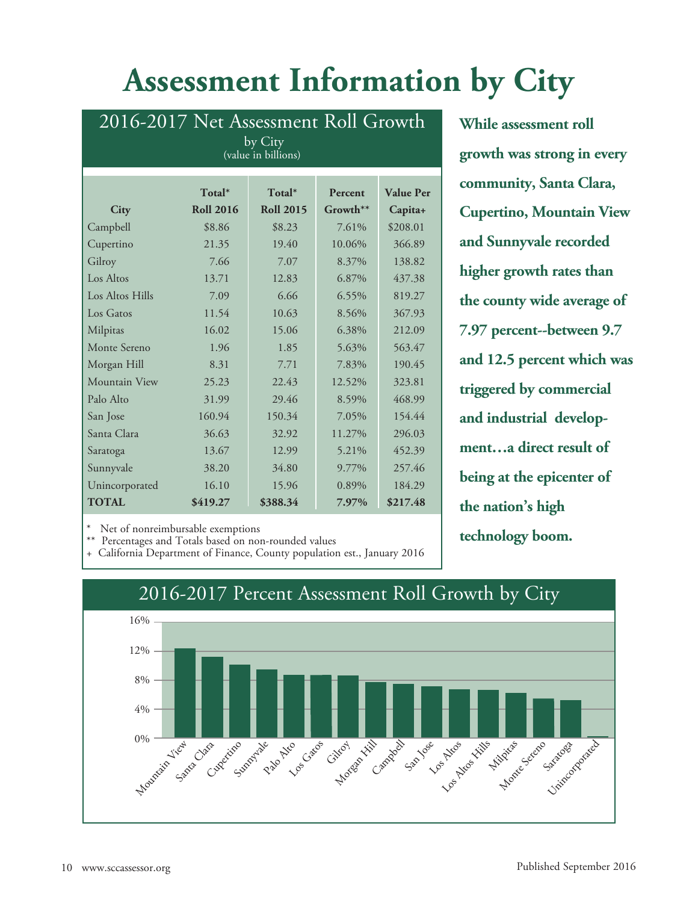## **Assessment Information by City**

| 2016-2017 Net Assessment Roll Growth<br>by City           |                  |                  |                |                  |  |  |  |  |
|-----------------------------------------------------------|------------------|------------------|----------------|------------------|--|--|--|--|
| (value in billions)                                       |                  |                  |                |                  |  |  |  |  |
|                                                           |                  |                  |                |                  |  |  |  |  |
|                                                           | Total*           | Total*           | Percent        | <b>Value Per</b> |  |  |  |  |
| City                                                      | <b>Roll 2016</b> | <b>Roll 2015</b> | $G$ rowth $**$ | Capita+          |  |  |  |  |
| Campbell                                                  | \$8.86           | \$8.23           | 7.61%          | \$208.01         |  |  |  |  |
| Cupertino                                                 | 21.35            | 19.40            | 10.06%         | 366.89           |  |  |  |  |
| Gilroy                                                    | 7.66             | 7.07             | 8.37%          | 138.82           |  |  |  |  |
| Los Altos                                                 | 13.71            | 12.83            | 6.87%          | 437.38           |  |  |  |  |
| Los Altos Hills                                           | 7.09             | 6.66             | 6.55%          | 819.27           |  |  |  |  |
| Los Gatos                                                 | 11.54            | 10.63            | 8.56%          | 367.93           |  |  |  |  |
| Milpitas                                                  | 16.02            | 15.06            | 6.38%          | 212.09           |  |  |  |  |
| Monte Sereno                                              | 1.96             | 1.85             | 5.63%          | 563.47           |  |  |  |  |
| Morgan Hill                                               | 8.31             | 7.71             | 7.83%          | 190.45           |  |  |  |  |
| Mountain View                                             | 25.23            | 22.43            | 12.52%         | 323.81           |  |  |  |  |
| Palo Alto                                                 | 31.99            | 29.46            | 8.59%          | 468.99           |  |  |  |  |
| San Jose                                                  | 160.94           | 150.34           | 7.05%          | 154.44           |  |  |  |  |
| Santa Clara                                               | 36.63            | 32.92            | 11.27%         | 296.03           |  |  |  |  |
| Saratoga                                                  | 13.67            | 12.99            | 5.21%          | 452.39           |  |  |  |  |
| Sunnyvale                                                 | 38.20            | 34.80            | 9.77%          | 257.46           |  |  |  |  |
| Unincorporated                                            | 16.10            | 15.96            | 0.89%          | 184.29           |  |  |  |  |
| \$217.48<br><b>TOTAL</b><br>\$388.34<br>\$419.27<br>7.97% |                  |                  |                |                  |  |  |  |  |

**While assessment roll growth was strong in every community, Santa Clara, Cupertino, Mountain View and Sunnyvale recorded higher growth rates than the county wide average of 7.97 percent--between 9.7 and 12.5 percent which was triggered by commercial and industrial development…a direct result of being at the epicenter of the nation's high technology boom.**

Net of nonreimbursable exemptions

\*\* Percentages and Totals based on non-rounded values

+ California Department of Finance, County population est., January 2016

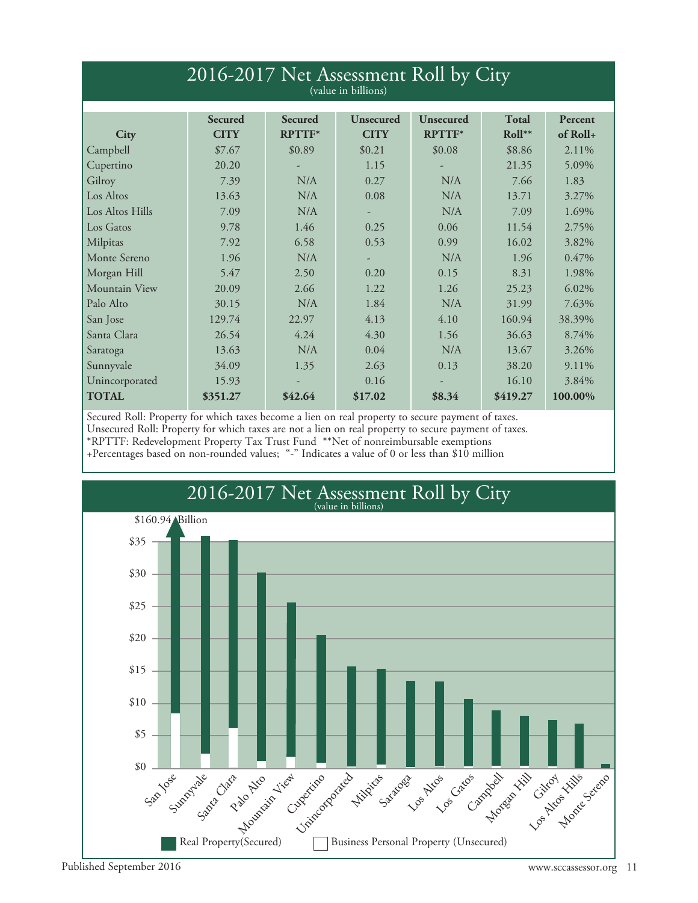| 2016-2017 Net Assessment Roll by City<br>(value in billions) |                               |                                 |                          |                            |                          |                       |  |  |
|--------------------------------------------------------------|-------------------------------|---------------------------------|--------------------------|----------------------------|--------------------------|-----------------------|--|--|
| City                                                         | <b>Secured</b><br><b>CITY</b> | <b>Secured</b><br><b>RPTTF*</b> | Unsecured<br><b>CITY</b> | Unsecured<br><b>RPTTF*</b> | <b>Total</b><br>$Roll**$ | Percent<br>$of$ Roll+ |  |  |
| Campbell                                                     | \$7.67                        | \$0.89                          | \$0.21                   | \$0.08                     | \$8.86                   | 2.11%                 |  |  |
| Cupertino                                                    | 20.20                         |                                 | 1.15                     |                            | 21.35                    | 5.09%                 |  |  |
| Gilroy                                                       | 7.39                          | N/A                             | 0.27                     | N/A                        | 7.66                     | 1.83                  |  |  |
| Los Altos                                                    | 13.63                         | N/A                             | 0.08                     | N/A                        | 13.71                    | 3.27%                 |  |  |
| Los Altos Hills                                              | 7.09                          | N/A                             |                          | N/A                        | 7.09                     | 1.69%                 |  |  |
| Los Gatos                                                    | 9.78                          | 1.46                            | 0.25                     | 0.06                       | 11.54                    | 2.75%                 |  |  |
| Milpitas                                                     | 7.92                          | 6.58                            | 0.53                     | 0.99                       | 16.02                    | 3.82%                 |  |  |
| Monte Sereno                                                 | 1.96                          | N/A                             |                          | N/A                        | 1.96                     | $0.47\%$              |  |  |
| Morgan Hill                                                  | 5.47                          | 2.50                            | 0.20                     | 0.15                       | 8.31                     | 1.98%                 |  |  |
| Mountain View                                                | 20.09                         | 2.66                            | 1.22                     | 1.26                       | 25.23                    | 6.02%                 |  |  |
| Palo Alto                                                    | 30.15                         | N/A                             | 1.84                     | N/A                        | 31.99                    | 7.63%                 |  |  |
| San Jose                                                     | 129.74                        | 22.97                           | 4.13                     | 4.10                       | 160.94                   | 38.39%                |  |  |
| Santa Clara                                                  | 26.54                         | 4.24                            | 4.30                     | 1.56                       | 36.63                    | 8.74%                 |  |  |
| Saratoga                                                     | 13.63                         | N/A                             | 0.04                     | N/A                        | 13.67                    | 3.26%                 |  |  |
| Sunnyvale                                                    | 34.09                         | 1.35                            | 2.63                     | 0.13                       | 38.20                    | 9.11%                 |  |  |
| Unincorporated                                               | 15.93                         |                                 | 0.16                     |                            | 16.10                    | 3.84%                 |  |  |
| <b>TOTAL</b>                                                 | \$351.27                      | \$42.64                         | \$17.02                  | \$8.34                     | \$419.27                 | 100.00%               |  |  |

Secured Roll: Property for which taxes become a lien on real property to secure payment of taxes. Unsecured Roll: Property for which taxes are not a lien on real property to secure payment of taxes. \*RPTTF: Redevelopment Property Tax Trust Fund \*\*Net of nonreimbursable exemptions +Percentages based on non-rounded values; "-" Indicates a value of 0 or less than \$10 million

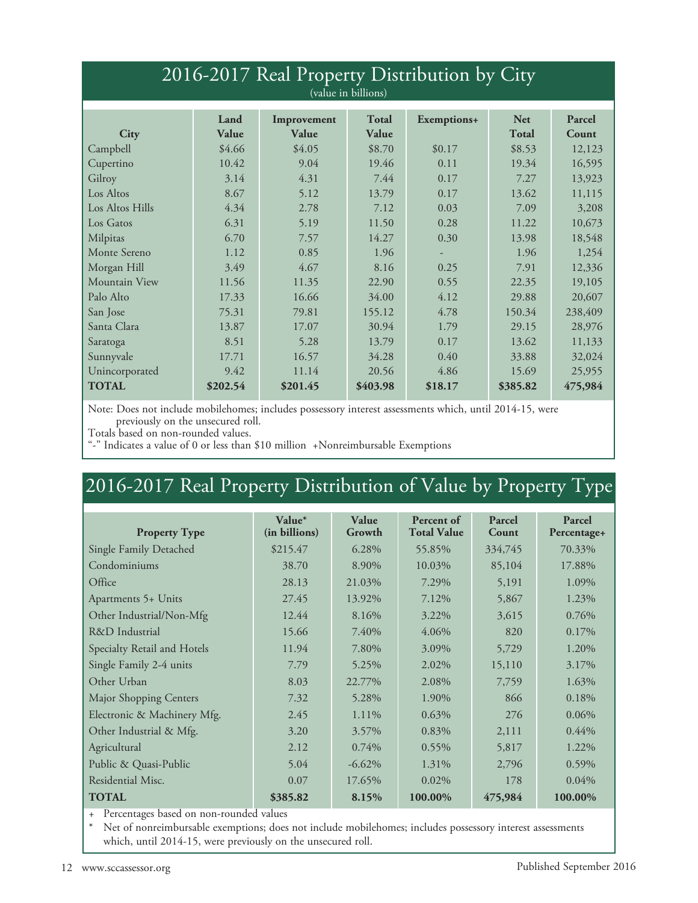| 2016-2017 Real Property Distribution by City<br>(value in billions) |          |          |          |         |          |         |  |  |
|---------------------------------------------------------------------|----------|----------|----------|---------|----------|---------|--|--|
| Land<br>Total<br><b>Net</b><br>Parcel<br>Exemptions+<br>Improvement |          |          |          |         |          |         |  |  |
| City                                                                | Value    | Value    | Value    |         | Total    | Count   |  |  |
| Campbell                                                            | \$4.66   | \$4.05   | \$8.70   | \$0.17  | \$8.53   | 12,123  |  |  |
| Cupertino                                                           | 10.42    | 9.04     | 19.46    | 0.11    | 19.34    | 16,595  |  |  |
| Gilroy                                                              | 3.14     | 4.31     | 7.44     | 0.17    | 7.27     | 13,923  |  |  |
| Los Altos                                                           | 8.67     | 5.12     | 13.79    | 0.17    | 13.62    | 11,115  |  |  |
| Los Altos Hills                                                     | 4.34     | 2.78     | 7.12     | 0.03    | 7.09     | 3,208   |  |  |
| Los Gatos                                                           | 6.31     | 5.19     | 11.50    | 0.28    | 11.22    | 10,673  |  |  |
| Milpitas                                                            | 6.70     | 7.57     | 14.27    | 0.30    | 13.98    | 18,548  |  |  |
| Monte Sereno                                                        | 1.12     | 0.85     | 1.96     |         | 1.96     | 1,254   |  |  |
| Morgan Hill                                                         | 3.49     | 4.67     | 8.16     | 0.25    | 7.91     | 12,336  |  |  |
| Mountain View                                                       | 11.56    | 11.35    | 22.90    | 0.55    | 22.35    | 19,105  |  |  |
| Palo Alto                                                           | 17.33    | 16.66    | 34.00    | 4.12    | 29.88    | 20,607  |  |  |
| San Jose                                                            | 75.31    | 79.81    | 155.12   | 4.78    | 150.34   | 238,409 |  |  |
| Santa Clara                                                         | 13.87    | 17.07    | 30.94    | 1.79    | 29.15    | 28,976  |  |  |
| Saratoga                                                            | 8.51     | 5.28     | 13.79    | 0.17    | 13.62    | 11,133  |  |  |
| Sunnyvale                                                           | 17.71    | 16.57    | 34.28    | 0.40    | 33.88    | 32,024  |  |  |
| Unincorporated                                                      | 9.42     | 11.14    | 20.56    | 4.86    | 15.69    | 25,955  |  |  |
| <b>TOTAL</b>                                                        | \$202.54 | \$201.45 | \$403.98 | \$18.17 | \$385.82 | 475,984 |  |  |

Note: Does not include mobilehomes; includes possessory interest assessments which, until 2014-15, were previously on the unsecured roll.

Totals based on non-rounded values.

"-" Indicates a value of 0 or less than \$10 million +Nonreimbursable Exemptions

## 2016-2017 Real Property Distribution of Value by Property Type

|                               | Value*        | Value     | Percent of         | Parcel  | Parcel      |
|-------------------------------|---------------|-----------|--------------------|---------|-------------|
| <b>Property Type</b>          | (in billions) | Growth    | <b>Total Value</b> | Count   | Percentage+ |
| Single Family Detached        | \$215.47      | 6.28%     | 55.85%             | 334,745 | 70.33%      |
| Condominiums                  | 38.70         | 8.90%     | 10.03%             | 85,104  | 17.88%      |
| Office                        | 28.13         | 21.03%    | 7.29%              | 5,191   | 1.09%       |
| Apartments 5+ Units           | 27.45         | 13.92%    | 7.12%              | 5,867   | 1.23%       |
| Other Industrial/Non-Mfg      | 12.44         | 8.16%     | 3.22%              | 3,615   | 0.76%       |
| R&D Industrial                | 15.66         | 7.40%     | 4.06%              | 820     | 0.17%       |
| Specialty Retail and Hotels   | 11.94         | 7.80%     | 3.09%              | 5,729   | 1.20%       |
| Single Family 2-4 units       | 7.79          | 5.25%     | 2.02%              | 15,110  | 3.17%       |
| Other Urban                   | 8.03          | 22.77%    | 2.08%              | 7,759   | 1.63%       |
| <b>Major Shopping Centers</b> | 7.32          | 5.28%     | 1.90%              | 866     | 0.18%       |
| Electronic & Machinery Mfg.   | 2.45          | 1.11%     | $0.63\%$           | 276     | 0.06%       |
| Other Industrial & Mfg.       | 3.20          | 3.57%     | 0.83%              | 2,111   | $0.44\%$    |
| Agricultural                  | 2.12          | 0.74%     | $0.55\%$           | 5,817   | 1.22%       |
| Public & Quasi-Public         | 5.04          | $-6.62\%$ | 1.31%              | 2,796   | 0.59%       |
| Residential Misc.             | 0.07          | 17.65%    | 0.02%              | 178     | $0.04\%$    |
| <b>TOTAL</b>                  | \$385.82      | 8.15%     | 100.00%            | 475,984 | 100.00%     |

+ Percentages based on non-rounded values<br>\* Net of nonreimbursable exemptions: does

Net of nonreimbursable exemptions; does not include mobilehomes; includes possessory interest assessments which, until 2014-15, were previously on the unsecured roll.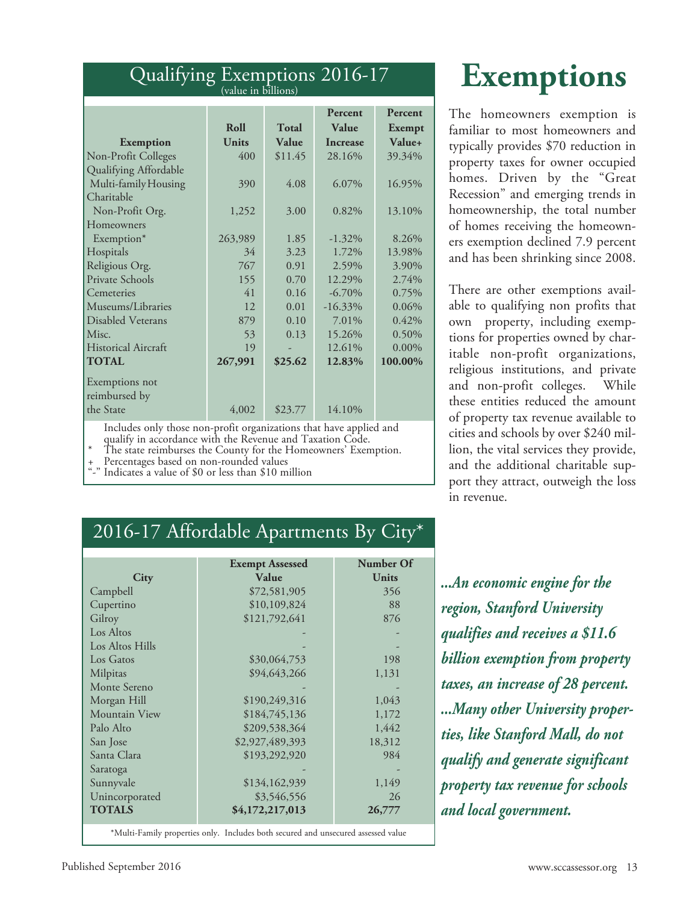#### Qualifying Exemptions 2016-17 (value in billions)

|                            |         |              | Percent         | Percent  |
|----------------------------|---------|--------------|-----------------|----------|
|                            | Roll    | <b>Total</b> | Value           | Exempt   |
| <b>Exemption</b>           | Units   | Value        | <b>Increase</b> | Value+   |
| Non-Profit Colleges        | 400     | \$11.45      | 28.16%          | 39.34%   |
| Qualifying Affordable      |         |              |                 |          |
| Multi-family Housing       | 390     | 4.08         | 6.07%           | 16.95%   |
| Charitable                 |         |              |                 |          |
| Non-Profit Org.            | 1,252   | 3.00         | 0.82%           | 13.10%   |
| Homeowners                 |         |              |                 |          |
| Exemption*                 | 263,989 | 1.85         | $-1.32\%$       | 8.26%    |
| Hospitals                  | 34      | 3.23         | 1.72%           | 13.98%   |
| Religious Org.             | 767     | 0.91         | 2.59%           | 3.90%    |
| Private Schools            | 155     | 0.70         | 12.29%          | 2.74%    |
| Cemeteries                 | 41      | 0.16         | $-6.70\%$       | 0.75%    |
| Museums/Libraries          | 12      | 0.01         | $-16.33\%$      | 0.06%    |
| <b>Disabled Veterans</b>   | 879     | 0.10         | 7.01%           | 0.42%    |
| Misc.                      | 53      | 0.13         | 15.26%          | 0.50%    |
| <b>Historical Aircraft</b> | 19      |              | 12.61%          | $0.00\%$ |
| <b>TOTAL</b>               | 267,991 | \$25.62      | 12.83%          | 100.00%  |
| Exemptions not             |         |              |                 |          |
| reimbursed by              |         |              |                 |          |
| the State                  | 4,002   | \$23.77      | 14.10%          |          |
| $T = 1$                    |         |              |                 |          |

Includes only those non-profit organizations that have applied and

% The state reimburses the County for the Homeowners' Exemption.<br>
+ Percentages based on non-rounded values<br>
"-" Indicates a value of \$0 or less than \$10 million

## **Exemptions**

The homeowners exemption is familiar to most homeowners and typically provides \$70 reduction in property taxes for owner occupied homes. Driven by the "Great Recession" and emerging trends in homeownership, the total number of homes receiving the homeowners exemption declined 7.9 percent and has been shrinking since 2008.

There are other exemptions available to qualifying non profits that own property, including exemptions for properties owned by charitable non-profit organizations, religious institutions, and private and non-profit colleges. While these entities reduced the amount of property tax revenue available to cities and schools by over \$240 million, the vital services they provide, and the additional charitable support they attract, outweigh the loss in revenue.

### 2016-17 Affordable Apartments By City\*

|                                                                                   | <b>Exempt Assessed</b> | Number Of |  |  |  |  |
|-----------------------------------------------------------------------------------|------------------------|-----------|--|--|--|--|
| City                                                                              | Value                  | Units     |  |  |  |  |
| Campbell                                                                          | \$72,581,905           | 356       |  |  |  |  |
| Cupertino                                                                         | \$10,109,824           | 88        |  |  |  |  |
| Gilroy                                                                            | \$121,792,641          | 876       |  |  |  |  |
| Los Altos                                                                         |                        |           |  |  |  |  |
| Los Altos Hills                                                                   |                        |           |  |  |  |  |
| Los Gatos                                                                         | \$30,064,753           | 198       |  |  |  |  |
| Milpitas                                                                          | \$94,643,266           | 1,131     |  |  |  |  |
| Monte Sereno                                                                      |                        |           |  |  |  |  |
| Morgan Hill                                                                       | \$190,249,316          | 1,043     |  |  |  |  |
| Mountain View                                                                     | \$184,745,136          | 1,172     |  |  |  |  |
| Palo Alto                                                                         | \$209,538,364          | 1,442     |  |  |  |  |
| San Jose                                                                          | \$2,927,489,393        | 18,312    |  |  |  |  |
| Santa Clara                                                                       | \$193,292,920          | 984       |  |  |  |  |
| Saratoga                                                                          |                        |           |  |  |  |  |
| Sunnyvale                                                                         | \$134,162,939          | 1,149     |  |  |  |  |
| Unincorporated                                                                    | \$3,546,556            | 26        |  |  |  |  |
| <b>TOTALS</b>                                                                     | \$4,172,217,013        | 26,777    |  |  |  |  |
| *Multi-Family properties only. Includes both secured and unsecured assessed value |                        |           |  |  |  |  |

*...An economic engine for the region, Stanford University qualifies and receives a \$11.6 billion exemption from property taxes, an increase of 28 percent. ...Many other University properties, like Stanford Mall, do not qualify and generate significant property tax revenue for schools and local government.*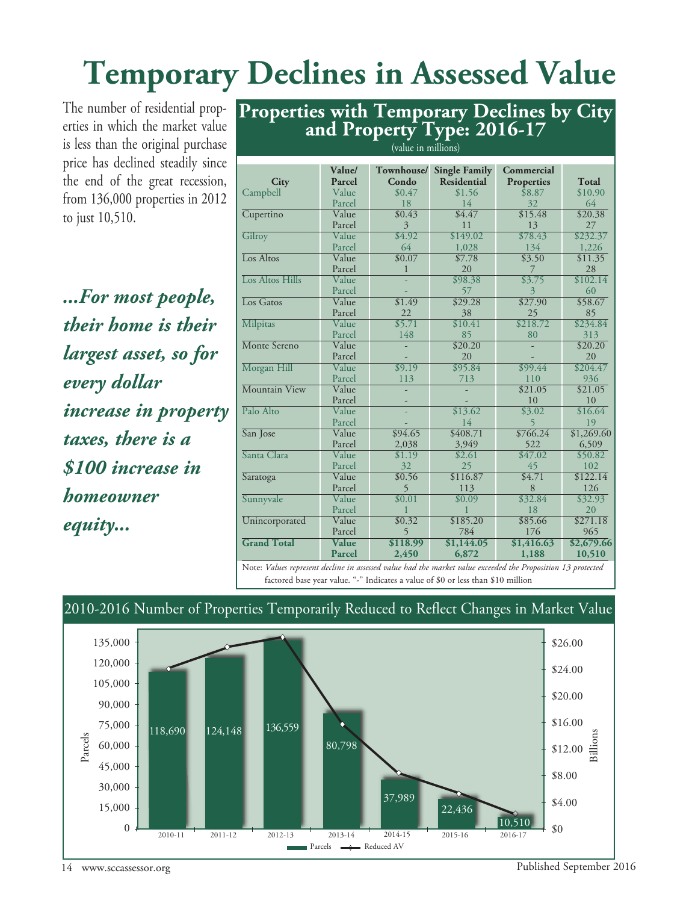## **Temporary Declines in Assessed Value**

The number of residential properties in which the market value is less than the original purchase price has declined steadily since the end of the great recession, from 136,000 properties in 2012 to just 10,510.

*...For most people, their home is their largest asset, so for every dollar increase in property taxes, there is a \$100 increase in homeowner equity...*

|                            |                               | $($ where the minimum $($ |                      |                                      |                 |
|----------------------------|-------------------------------|---------------------------|----------------------|--------------------------------------|-----------------|
|                            | Value/                        | Townhouse/                | <b>Single Family</b> | Commercial                           |                 |
| <b>City</b>                | Parcel                        | Condo                     | Residential          | <b>Properties</b>                    | Total           |
| Campbell                   | Value                         | \$0.47                    | \$1.56               | \$8.87                               | \$10.90         |
|                            | Parcel                        | 18                        | 14                   | 32                                   | 64              |
| Cupertino                  | Value                         | \$0.43                    | \$4.47               | \$15.48                              | \$20.38         |
|                            | Parcel                        | 3                         | 11                   | 13                                   | 27              |
| Gilroy                     | Value                         | \$4.92                    | \$149.02             | \$78.43                              | \$232.37        |
|                            | Parcel                        | 64                        | 1,028                | 134                                  | 1,226           |
| Los Altos                  | Value                         | \$0.07                    | \$7.78               | \$3.50                               | \$11.35         |
|                            | Parcel                        | 1                         | 20                   | 7                                    | 28              |
| Los Altos Hills            | Value                         |                           | \$98.38              | \$3.75                               | \$102.14        |
|                            | Parcel                        |                           | 57                   | 3                                    | 60              |
| Los Gatos                  | Value                         | \$1.49                    | \$29.28              | \$27.90                              | \$58.67         |
|                            | Parcel                        | 22                        | 38                   | 25                                   | 85              |
| <b>Milpitas</b>            | Value                         | \$5.71                    | \$10.41              | \$218.72                             | \$234.84        |
|                            | Parcel                        | 148                       | 85                   | 80                                   | 313             |
| Monte Sereno               | Value                         |                           | \$20.20              |                                      | \$20.20         |
|                            | Parcel                        |                           | 20                   |                                      | 20              |
| Morgan Hill                | Value                         | $\sqrt{$9.19}$            | \$95.84              | \$99.44                              | \$204.47        |
|                            | Parcel                        | 113                       | 713                  | 110                                  | 936             |
| Mountain View              | Value                         |                           |                      | \$21.05                              | \$21.05         |
|                            | Parcel                        |                           |                      | 10                                   | 10              |
| Palo Alto                  | Value                         |                           | \$13.62              | \$3.02                               | \$16.64         |
|                            | Parcel                        |                           | 14                   | 5                                    | 19              |
| San Jose                   | Value                         | \$94.65                   | \$408.71             | \$766.24                             | \$1,269.60      |
|                            | Parcel                        | 2,038                     | 3,949                | 522                                  | 6,509           |
| Santa Clara                | Value                         | \$1.19                    | \$2.61               | \$47.02                              | \$50.82         |
|                            | Parcel                        | 32                        | 25                   | 45<br>\$4.71                         | 102             |
| Saratoga                   | Value                         | \$0.56                    | \$116.87             | 8                                    | \$122.14<br>126 |
|                            | Parcel<br>Value               | 5<br>\$0.01               | 113<br>\$0.09        | \$32.84                              | \$32.93         |
| Sunnyvale                  | Parcel                        |                           | 1                    | 18                                   | 20              |
| Unincorporated             | Value                         | \$0.32                    | \$185.20             | \$85.66                              | \$271.18        |
|                            | Parcel                        | 5                         | 784                  | 176                                  | 965             |
| <b>Grand Total</b>         | Value                         | \$118.99                  | \$1,144.05           | \$1,416.63                           | \$2,679.66      |
|                            | Parcel                        | 2,450                     | 6,872                | 1,188                                | 10,510          |
| $T \times I$<br><b>N</b> T | $1 \quad 1 \cdot \quad \cdot$ | $I \cup I \cup I$         | $1 \cdot 1$          | 11.1 <sub>n</sub><br><b>Contract</b> | 12.             |

(value in millions)

**Properties with Temporary Declines by City and Property Type: 2016-17**

Note: *Values represent decline in assessed value had the market value exceeded the Proposition 13 protected* factored base year value. "-" Indicates a value of \$0 or less than \$10 million



#### 2010-2016 Number of Properties Temporarily Reduced to Reflect Changes in Market Value

14 www.sccassessor.org Published September 2016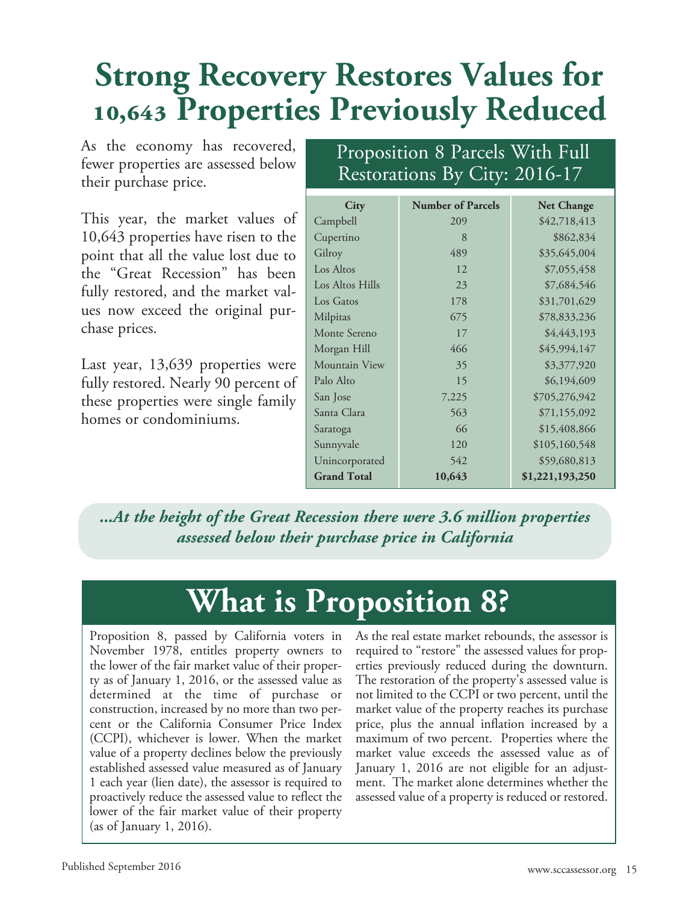## **Strong Recovery Restores Values for 10,643 Properties Previously Reduced**

As the economy has recovered, fewer properties are assessed below their purchase price.

This year, the market values of 10,643 properties have risen to the point that all the value lost due to the "Great Recession" has been fully restored, and the market values now exceed the original purchase prices.

Last year, 13,639 properties were fully restored. Nearly 90 percent of these properties were single family homes or condominiums.

### Proposition 8 Parcels With Full Restorations By City: 2016-17

| <b>City</b>        | <b>Number of Parcels</b> | <b>Net Change</b> |
|--------------------|--------------------------|-------------------|
| Campbell           | 209                      | \$42,718,413      |
| Cupertino          | 8                        | \$862,834         |
| Gilroy             | 489                      | \$35,645,004      |
| Los Altos          | 12                       | \$7,055,458       |
| Los Altos Hills    | 23                       | \$7,684,546       |
| Los Gatos          | 178                      | \$31,701,629      |
| Milpitas           | 675                      | \$78,833,236      |
| Monte Sereno       | 17                       | \$4,443,193       |
| Morgan Hill        | 466                      | \$45,994,147      |
| Mountain View      | 35                       | \$3,377,920       |
| Palo Alto          | 15                       | \$6,194,609       |
| San Jose           | 7,225                    | \$705,276,942     |
| Santa Clara        | 563                      | \$71,155,092      |
| Saratoga           | 66                       | \$15,408,866      |
| Sunnyvale          | 120                      | \$105,160,548     |
| Unincorporated     | 542                      | \$59,680,813      |
| <b>Grand Total</b> | 10,643                   | \$1,221,193,250   |

*...At the height of the Great Recession there were 3.6 million properties assessed below their purchase price in California*

## **What is Proposition 8?**

Proposition 8, passed by California voters in November 1978, entitles property owners to the lower of the fair market value of their property as of January 1, 2016, or the assessed value as determined at the time of purchase or construction, increased by no more than two percent or the California Consumer Price Index (CCPI), whichever is lower. When the market value of a property declines below the previously established assessed value measured as of January 1 each year (lien date), the assessor is required to proactively reduce the assessed value to reflect the lower of the fair market value of their property (as of January 1, 2016).

As the real estate market rebounds, the assessor is required to "restore" the assessed values for properties previously reduced during the downturn. The restoration of the property's assessed value is not limited to the CCPI or two percent, until the market value of the property reaches its purchase price, plus the annual inflation increased by a maximum of two percent. Properties where the market value exceeds the assessed value as of January 1, 2016 are not eligible for an adjustment. The market alone determines whether the assessed value of a property is reduced or restored.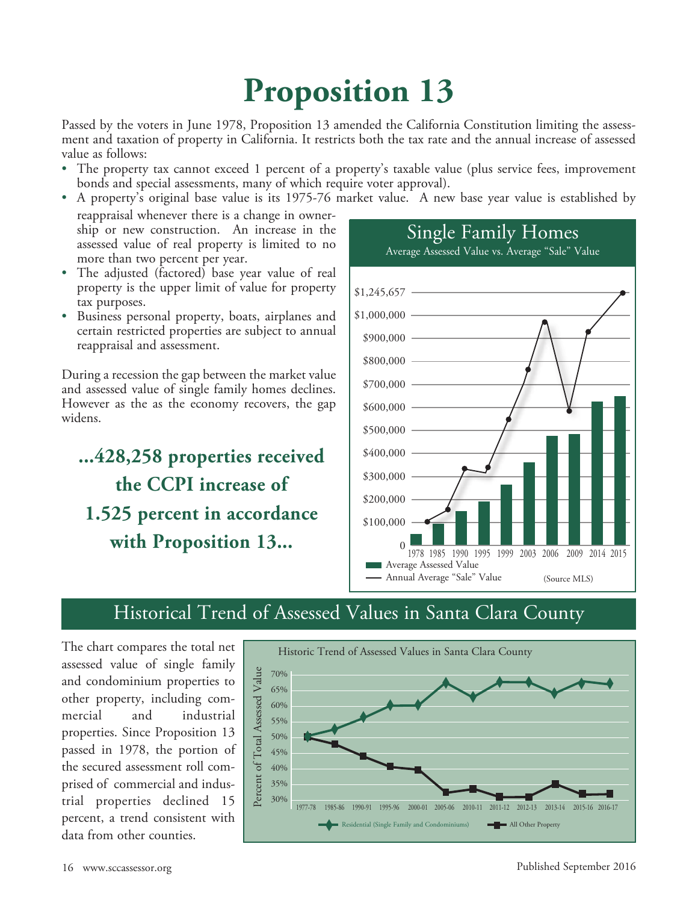## **Proposition 13**

Passed by the voters in June 1978, Proposition 13 amended the California Constitution limiting the assessment and taxation of property in California. It restricts both the tax rate and the annual increase of assessed value as follows:

- The property tax cannot exceed 1 percent of a property's taxable value (plus service fees, improvement bonds and special assessments, many of which require voter approval).
- A property's original base value is its 1975-76 market value. A new base year value is established by

reappraisal whenever there is a change in ownership or new construction. An increase in the assessed value of real property is limited to no more than two percent per year.

- The adjusted (factored) base year value of real property is the upper limit of value for property tax purposes.
- Business personal property, boats, airplanes and certain restricted properties are subject to annual reappraisal and assessment.

During a recession the gap between the market value and assessed value of single family homes declines. However as the as the economy recovers, the gap widens.

## **...428,258 properties received the CCPI increase of 1.525 percent in accordance with Proposition 13...**



## Historical Trend of Assessed Values in Santa Clara County

The chart compares the total net assessed value of single family and condominium properties to other property, including commercial and industrial properties. Since Proposition 13 passed in 1978, the portion of the secured assessment roll comprised of commercial and industrial properties declined 15 percent, a trend consistent with data from other counties.

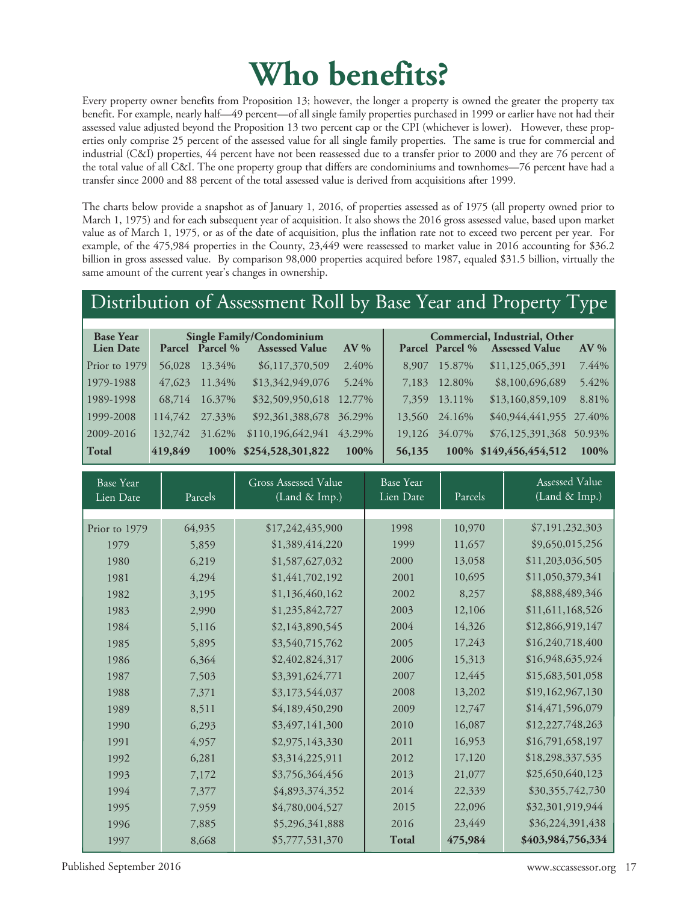## **Who benefits?**

Every property owner benefits from Proposition 13; however, the longer a property is owned the greater the property tax benefit. For example, nearly half—49 percent—of all single family properties purchased in 1999 or earlier have not had their assessed value adjusted beyond the Proposition 13 two percent cap or the CPI (whichever is lower). However, these properties only comprise 25 percent of the assessed value for all single family properties. The same is true for commercial and industrial (C&I) properties, 44 percent have not been reassessed due to a transfer prior to 2000 and they are 76 percent of the total value of all C&I. The one property group that differs are condominiums and townhomes—76 percent have had a transfer since 2000 and 88 percent of the total assessed value is derived from acquisitions after 1999.

The charts below provide a snapshot as of January 1, 2016, of properties assessed as of 1975 (all property owned prior to March 1, 1975) and for each subsequent year of acquisition. It also shows the 2016 gross assessed value, based upon market value as of March 1, 1975, or as of the date of acquisition, plus the inflation rate not to exceed two percent per year. For example, of the 475,984 properties in the County, 23,449 were reassessed to market value in 2016 accounting for \$36.2 billion in gross assessed value. By comparison 98,000 properties acquired before 1987, equaled \$31.5 billion, virtually the same amount of the current year's changes in ownership.

### Distribution of Assessment Roll by Base Year and Property Type

| <b>Base Year</b><br><b>Lien Date</b> |         | Parcel Parcel % | Single Family/Condominium<br><b>Assessed Value</b> | $AV\%$ |        | Parcel Parcel % | Commercial, Industrial, Other<br><b>Assessed Value</b> | $AV\%$ |
|--------------------------------------|---------|-----------------|----------------------------------------------------|--------|--------|-----------------|--------------------------------------------------------|--------|
| Prior to 1979                        | 56,028  | 13.34%          | \$6,117,370,509                                    | 2.40%  | 8,907  | 15.87%          | \$11,125,065,391                                       | 7.44%  |
| 1979-1988                            | 47,623  | 11.34%          | \$13,342,949,076                                   | 5.24%  | 7,183  | 12.80%          | \$8,100,696,689                                        | 5.42%  |
| 1989-1998                            | 68,714  | 16.37%          | \$32,509,950,618                                   | 12.77% | 7.359  | 13.11%          | \$13,160,859,109                                       | 8.81%  |
| 1999-2008                            | 114,742 | 27.33%          | \$92,361,388,678                                   | 36.29% | 13,560 | 24.16%          | \$40,944,441,955 27.40%                                |        |
| 2009-2016                            | 132,742 | 31.62%          | \$110,196,642,941                                  | 43.29% | 19,126 | 34.07%          | \$76,125,391,368                                       | 50.93% |
| <b>Total</b>                         | 419,849 | 100%            | \$254,528,301,822                                  | 100%   | 56,135 | 100%            | \$149,456,454,512                                      | 100%   |

| <b>Base Year</b><br>Lien Date | Parcels | <b>Gross Assessed Value</b><br><b>Base Year</b><br>(Land & Imp.)<br>Lien Date |       | Parcels | Assessed Value<br>(Land & Imp.) |
|-------------------------------|---------|-------------------------------------------------------------------------------|-------|---------|---------------------------------|
|                               |         |                                                                               |       |         |                                 |
| Prior to 1979                 | 64,935  | \$17,242,435,900                                                              | 1998  | 10,970  | \$7,191,232,303                 |
| 1979                          | 5,859   | \$1,389,414,220                                                               | 1999  | 11,657  | \$9,650,015,256                 |
| 1980                          | 6,219   | \$1,587,627,032                                                               | 2000  | 13,058  | \$11,203,036,505                |
| 1981                          | 4,294   | \$1,441,702,192                                                               | 2001  | 10,695  | \$11,050,379,341                |
| 1982                          | 3,195   | \$1,136,460,162                                                               | 2002  | 8,257   | \$8,888,489,346                 |
| 1983                          | 2,990   | \$1,235,842,727                                                               | 2003  | 12,106  | \$11,611,168,526                |
| 1984                          | 5,116   | \$2,143,890,545                                                               | 2004  | 14,326  | \$12,866,919,147                |
| 1985                          | 5,895   | \$3,540,715,762                                                               | 2005  | 17,243  | \$16,240,718,400                |
| 1986                          | 6,364   | \$2,402,824,317                                                               | 2006  | 15,313  | \$16,948,635,924                |
| 1987                          | 7,503   | \$3,391,624,771                                                               | 2007  | 12,445  | \$15,683,501,058                |
| 1988                          | 7,371   | \$3,173,544,037                                                               | 2008  | 13,202  | \$19,162,967,130                |
| 1989                          | 8,511   | \$4,189,450,290                                                               | 2009  | 12,747  | \$14,471,596,079                |
| 1990                          | 6,293   | \$3,497,141,300                                                               | 2010  | 16,087  | \$12,227,748,263                |
| 1991                          | 4,957   | \$2,975,143,330                                                               | 2011  | 16,953  | \$16,791,658,197                |
| 1992                          | 6,281   | \$3,314,225,911                                                               | 2012  | 17,120  | \$18,298,337,535                |
| 1993                          | 7,172   | \$3,756,364,456                                                               | 2013  | 21,077  | \$25,650,640,123                |
| 1994                          | 7,377   | \$4,893,374,352                                                               | 2014  | 22,339  | \$30,355,742,730                |
| 1995                          | 7,959   | \$4,780,004,527                                                               | 2015  | 22,096  | \$32,301,919,944                |
| 1996                          | 7,885   | \$5,296,341,888                                                               | 2016  | 23,449  | \$36,224,391,438                |
| 1997                          | 8,668   | \$5,777,531,370                                                               | Total | 475,984 | \$403,984,756,334               |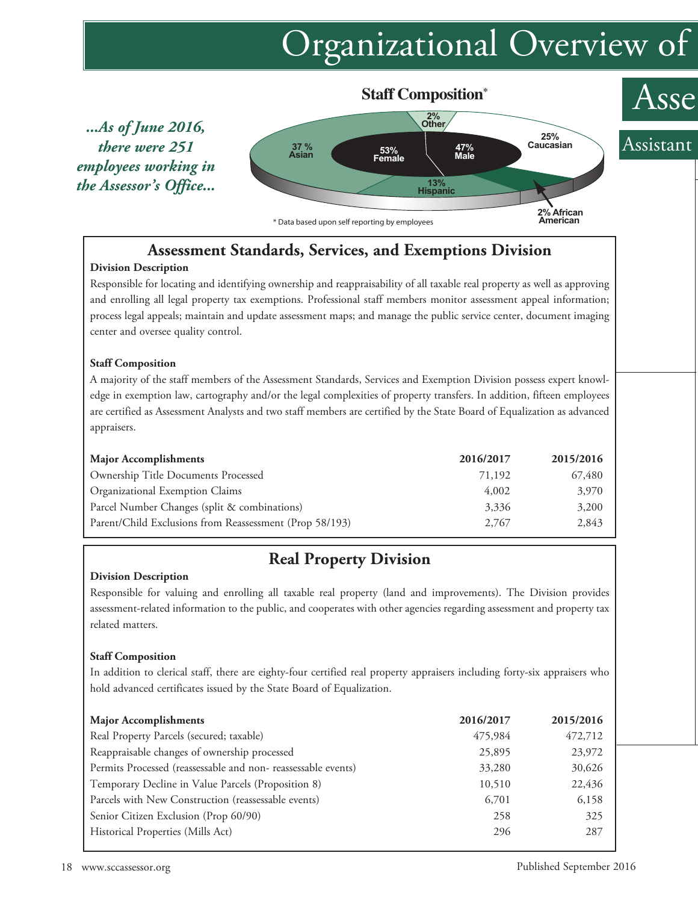## Organizational Overview of



### **Assessment Standards, Services, and Exemptions Division**

#### **Division Description**

Responsible for locating and identifying ownership and reappraisability of all taxable real property as well as approving and enrolling all legal property tax exemptions. Professional staff members monitor assessment appeal information; process legal appeals; maintain and update assessment maps; and manage the public service center, document imaging center and oversee quality control.

#### **Staff Composition**

A majority of the staff members of the Assessment Standards, Services and Exemption Division possess expert knowledge in exemption law, cartography and/or the legal complexities of property transfers. In addition, fifteen employees are certified as Assessment Analysts and two staff members are certified by the State Board of Equalization as advanced appraisers.

| <b>Major Accomplishments</b>                            | 2016/2017 | 2015/2016 |
|---------------------------------------------------------|-----------|-----------|
| Ownership Title Documents Processed                     | 71,192    | 67,480    |
| Organizational Exemption Claims                         | 4,002     | 3,970     |
| Parcel Number Changes (split & combinations)            | 3,336     | 3,200     |
| Parent/Child Exclusions from Reassessment (Prop 58/193) | 2.767     | 2,843     |

### **Real Property Division**

#### **Division Description**

Responsible for valuing and enrolling all taxable real property (land and improvements). The Division provides assessment-related information to the public, and cooperates with other agencies regarding assessment and property tax related matters.

#### **Staff Composition**

In addition to clerical staff, there are eighty-four certified real property appraisers including forty-six appraisers who hold advanced certificates issued by the State Board of Equalization.

| <b>Major Accomplishments</b>                                 | 2016/2017 | 2015/2016 |
|--------------------------------------------------------------|-----------|-----------|
| Real Property Parcels (secured; taxable)                     | 475,984   | 472,712   |
| Reappraisable changes of ownership processed                 | 25,895    | 23,972    |
| Permits Processed (reassessable and non-reassessable events) | 33,280    | 30,626    |
| Temporary Decline in Value Parcels (Proposition 8)           | 10,510    | 22,436    |
| Parcels with New Construction (reassessable events)          | 6,701     | 6,158     |
| Senior Citizen Exclusion (Prop 60/90)                        | 258       | 325       |
| Historical Properties (Mills Act)                            | 296       | 287       |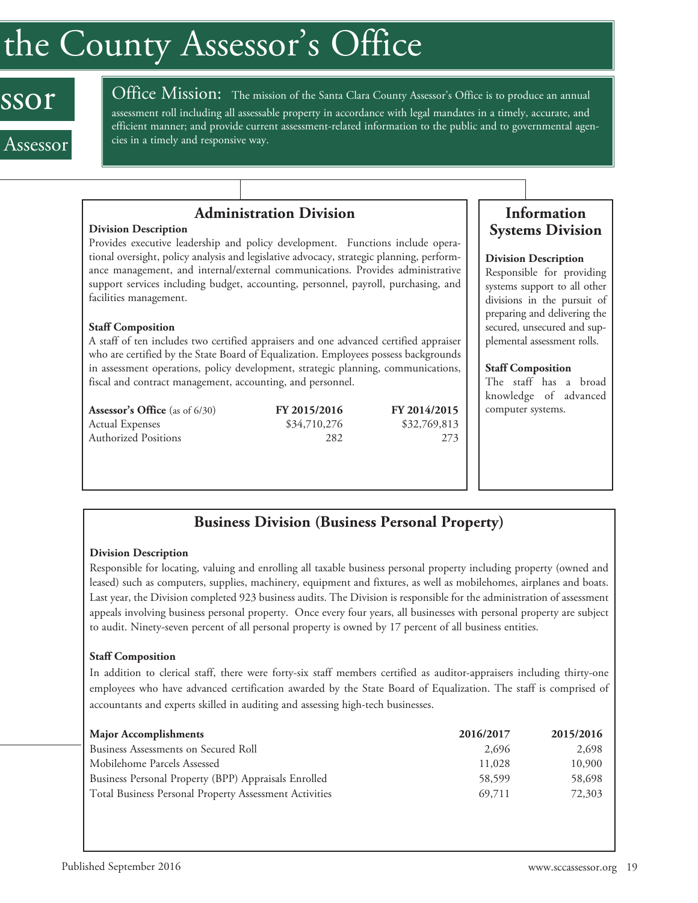## the County Assessor ' s Office

## ssor

Assessor

Office Mission: The mission of the Santa Clara County Assessor's Office is to produce an annual assessment roll including all assessable property in accordance with legal mandates in a timely, accurate, and efficient manner; and provide current assessment-related information to the public and to governmental agencies in a timely and responsive way.

#### **Administration Division**

#### **Division Description**

Provides executive leadership and policy development. Functions include operational oversight, policy analysis and legislative advocacy, strategic planning, performance management, and internal/external communications. Provides administrative support services including budget, accounting, personnel, payroll, purchasing, and facilities management.

#### **Staff Composition**

A staff of ten includes two certified appraisers and one advanced certified appraiser who are certified by the State Board of Equalization. Employees possess backgrounds in assessment operations, policy development, strategic planning, communications, fiscal and contract management, accounting, and personnel.

| <b>Assessor's Office</b> (as of $6/30$ ) | FY 2015/2016 | FY 2014/2015 |
|------------------------------------------|--------------|--------------|
| <b>Actual Expenses</b>                   | \$34,710,276 | \$32,769,813 |
| <b>Authorized Positions</b>              | 282          | 273          |
|                                          |              |              |

#### **Information Systems Division**

#### **Division Description**

Responsible for providing systems support to all other divisions in the pursuit of preparing and delivering the secured, unsecured and supplemental assessment rolls.

#### **Staff Composition**

The staff has a broad knowledge of advanced computer systems.

#### **Business Division (Business Personal Property)**

#### **Division Description**

Responsible for locating, valuing and enrolling all taxable business personal property including property (owned and leased) such as computers, supplies, machinery, equipment and fixtures, as well as mobilehomes, airplanes and boats. Last year, the Division completed 923 business audits. The Division is responsible for the administration of assessment appeals involving business personal property. Once every four years, all businesses with personal property are subject to audit. Ninety-seven percent of all personal property is owned by 17 percent of all business entities.

#### **Staff Composition**

In addition to clerical staff, there were forty-six staff members certified as auditor-appraisers including thirty-one employees who have advanced certification awarded by the State Board of Equalization. The staff is comprised of accountants and experts skilled in auditing and assessing high-tech businesses.

| <b>Major Accomplishments</b>                           | 2016/2017 | 2015/2016 |
|--------------------------------------------------------|-----------|-----------|
| Business Assessments on Secured Roll                   | 2.696     | 2,698     |
| Mobilehome Parcels Assessed                            | 11,028    | 10,900    |
| Business Personal Property (BPP) Appraisals Enrolled   | 58,599    | 58,698    |
| Total Business Personal Property Assessment Activities | 69,711    | 72,303    |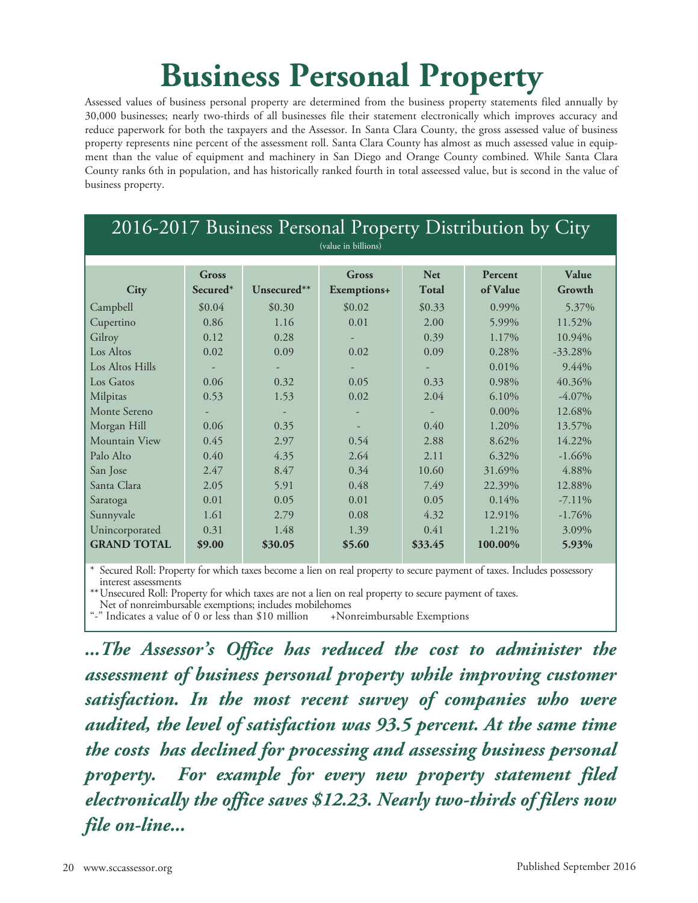## **Business Personal Property**

Assessed values of business personal property are determined from the business property statements filed annually by 30,000 businesses; nearly two-thirds of all businesses file their statement electronically which improves accuracy and reduce paperwork for both the taxpayers and the Assessor. In Santa Clara County, the gross assessed value of business property represents nine percent of the assessment roll. Santa Clara County has almost as much assessed value in equipment than the value of equipment and machinery in San Diego and Orange County combined. While Santa Clara County ranks 6th in population, and has historically ranked fourth in total asseessed value, but is second in the value of business property.

| 2016-2017 Business Personal Property Distribution by City |                     |             |                      |                            |                     |                 |  |  |
|-----------------------------------------------------------|---------------------|-------------|----------------------|----------------------------|---------------------|-----------------|--|--|
|                                                           | (value in billions) |             |                      |                            |                     |                 |  |  |
| City                                                      | Gross<br>Secured*   | Unsecured** | Gross<br>Exemptions+ | <b>Net</b><br><b>Total</b> | Percent<br>of Value | Value<br>Growth |  |  |
| Campbell                                                  | \$0.04              | \$0.30      | \$0.02\$             | \$0.33                     | 0.99%               | 5.37%           |  |  |
| Cupertino                                                 | 0.86                | 1.16        | 0.01                 | 2.00                       | 5.99%               | 11.52%          |  |  |
| Gilroy                                                    | 0.12                | 0.28        |                      | 0.39                       | 1.17%               | 10.94%          |  |  |
| Los Altos                                                 | 0.02                | 0.09        | 0.02                 | 0.09                       | 0.28%               | $-33.28%$       |  |  |
| Los Altos Hills                                           |                     |             |                      |                            | 0.01%               | 9.44%           |  |  |
| Los Gatos                                                 | 0.06                | 0.32        | 0.05                 | 0.33                       | 0.98%               | 40.36%          |  |  |
| Milpitas                                                  | 0.53                | 1.53        | 0.02                 | 2.04                       | 6.10%               | $-4.07\%$       |  |  |
| Monte Sereno                                              |                     | ٠           |                      |                            | $0.00\%$            | 12.68%          |  |  |
| Morgan Hill                                               | 0.06                | 0.35        |                      | 0.40                       | 1.20%               | 13.57%          |  |  |
| Mountain View                                             | 0.45                | 2.97        | 0.54                 | 2.88                       | 8.62%               | 14.22%          |  |  |
| Palo Alto                                                 | 0.40                | 4.35        | 2.64                 | 2.11                       | 6.32%               | $-1.66%$        |  |  |
| San Jose                                                  | 2.47                | 8.47        | 0.34                 | 10.60                      | 31.69%              | 4.88%           |  |  |
| Santa Clara                                               | 2.05                | 5.91        | 0.48                 | 7.49                       | 22.39%              | 12.88%          |  |  |
| Saratoga                                                  | 0.01                | 0.05        | 0.01                 | 0.05                       | $0.14\%$            | $-7.11\%$       |  |  |
| Sunnyvale                                                 | 1.61                | 2.79        | 0.08                 | 4.32                       | 12.91%              | $-1.76%$        |  |  |
| Unincorporated                                            | 0.31                | 1.48        | 1.39                 | 0.41                       | 1.21%               | 3.09%           |  |  |
| <b>GRAND TOTAL</b>                                        | \$9.00              | \$30.05     | \$5.60               | \$33.45                    | 100.00%             | 5.93%           |  |  |

\* Secured Roll: Property for which taxes become a lien on real property to secure payment of taxes. Includes possessory

\*\* Unsecured Roll: Property for which taxes are not a lien on real property to secure payment of taxes.<br>Net of nonreimbursable exemptions; includes mobile<br>homes "-" Indicates a value of 0 or less than \$10 million +Nonreimb

*...The Assessor ' s Office has reduced the cost to administer the assessment of business personal property while improving customer satisfaction. In the most recent survey of companies who were audited, the level of satisfaction was 93.5 percent. At the same time the costs has declined for processing and assessing business personal property. For example for every new property statement filed electronically the office saves \$12.23. Nearly two-thirds of filers now file on-line...*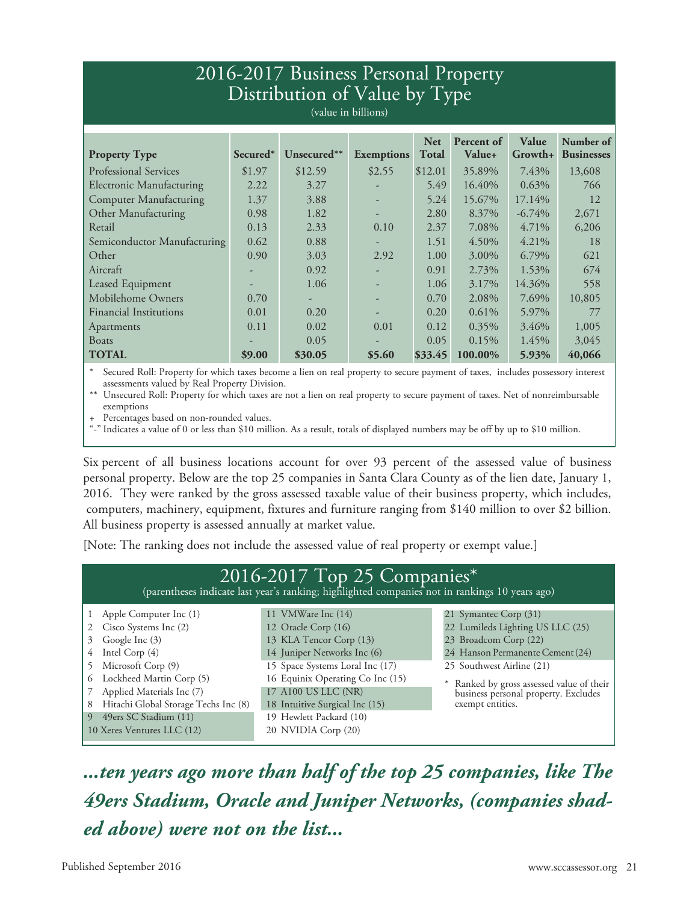### 2016-2017 Business Personal Property Distribution of Value by Type

(value in billions)

|                                 | Secured <sup>*</sup>     | Unsecured** | <b>Exemptions</b> | <b>Net</b><br><b>Total</b> | Percent of<br><b>Value+</b> | Value<br>Growth+ | Number of<br><b>Businesses</b> |
|---------------------------------|--------------------------|-------------|-------------------|----------------------------|-----------------------------|------------------|--------------------------------|
| <b>Property Type</b>            |                          |             |                   |                            |                             |                  |                                |
| <b>Professional Services</b>    | \$1.97                   | \$12.59     | \$2.55            | \$12.01                    | 35.89%                      | 7.43%            | 13,608                         |
| <b>Electronic Manufacturing</b> | 2.22                     | 3.27        |                   | 5.49                       | 16.40%                      | 0.63%            | 766                            |
| <b>Computer Manufacturing</b>   | 1.37                     | 3.88        |                   | 5.24                       | 15.67%                      | 17.14%           | 12                             |
| Other Manufacturing             | 0.98                     | 1.82        | -                 | 2.80                       | 8.37%                       | $-6.74\%$        | 2,671                          |
| Retail                          | 0.13                     | 2.33        | 0.10              | 2.37                       | 7.08%                       | 4.71%            | 6,206                          |
| Semiconductor Manufacturing     | 0.62                     | 0.88        | -                 | 1.51                       | 4.50%                       | $4.21\%$         | 18                             |
| Other                           | 0.90                     | 3.03        | 2.92              | 1.00                       | 3.00%                       | 6.79%            | 621                            |
| Aircraft                        |                          | 0.92        |                   | 0.91                       | 2.73%                       | 1.53%            | 674                            |
| Leased Equipment                | $\overline{\phantom{a}}$ | 1.06        | -                 | 1.06                       | 3.17%                       | 14.36%           | 558                            |
| Mobilehome Owners               | 0.70                     |             |                   | 0.70                       | 2.08%                       | 7.69%            | 10,805                         |
| <b>Financial Institutions</b>   | 0.01                     | 0.20        |                   | 0.20                       | 0.61%                       | 5.97%            | 77                             |
| Apartments                      | 0.11                     | 0.02        | 0.01              | 0.12                       | $0.35\%$                    | 3.46%            | 1,005                          |
| <b>Boats</b>                    |                          | 0.05        |                   | 0.05                       | 0.15%                       | 1.45%            | 3,045                          |
| <b>TOTAL</b>                    | \$9.00                   | \$30.05     | \$5.60            | \$33.45                    | 100.00%                     | 5.93%            | 40,066                         |

Secured Roll: Property for which taxes become a lien on real property to secure payment of taxes, includes possessory interest assessments valued by Real Property Division.

\*\* Unsecured Roll: Property for which taxes are not a lien on real property to secure payment of taxes. Net of nonreimbursable exemptions

Percentages based on non-rounded values.

"-" Indicates a value of 0 or less than \$10 million. As a result, totals of displayed numbers may be off by up to \$10 million.

Six percent of all business locations account for over 93 percent of the assessed value of business personal property. Below are the top 25 companies in Santa Clara County as of the lien date, January 1, 2016. They were ranked by the gross assessed taxable value of their business property, which includes, computers, machinery, equipment, fixtures and furniture ranging from \$140 million to over \$2 billion. All business property is assessed annually at market value.

[Note: The ranking does not include the assessed value of real property or exempt value.]

| (parentheses indicate last year's ranking; highlighted companies not in rankings 10 years ago) |                                  |                                                                                   |  |  |  |
|------------------------------------------------------------------------------------------------|----------------------------------|-----------------------------------------------------------------------------------|--|--|--|
| Apple Computer Inc (1)                                                                         | 11 VMWare Inc (14)               | 21 Symantec Corp (31)                                                             |  |  |  |
| Cisco Systems Inc (2)                                                                          | 12 Oracle Corp (16)              | 22 Lumileds Lighting US LLC (25)                                                  |  |  |  |
| Google Inc (3)<br>3                                                                            | 13 KLA Tencor Corp (13)          | 23 Broadcom Corp (22)                                                             |  |  |  |
| Intel Corp (4)<br>4                                                                            | 14 Juniper Networks Inc (6)      | 24 Hanson Permanente Cement (24)                                                  |  |  |  |
| Microsoft Corp (9)                                                                             | 15 Space Systems Loral Inc (17)  | 25 Southwest Airline (21)                                                         |  |  |  |
| 6 Lockheed Martin Corp (5)                                                                     | 16 Equinix Operating Co Inc (15) |                                                                                   |  |  |  |
| Applied Materials Inc (7)                                                                      | 17 A100 US LLC (NR)              | * Ranked by gross assessed value of their<br>business personal property. Excludes |  |  |  |
| Hitachi Global Storage Techs Inc (8)<br>8                                                      | 18 Intuitive Surgical Inc (15)   | exempt entities.                                                                  |  |  |  |
| 49ers SC Stadium (11)<br>19 Hewlett Packard (10)<br>$\vert 9 \vert$                            |                                  |                                                                                   |  |  |  |
| 10 Xeres Ventures LLC (12)                                                                     | 20 NVIDIA Corp (20)              |                                                                                   |  |  |  |

*...ten years ago more than half of the top 25 companies, like The 49ers Stadium, Oracle and Juniper Networks, (companies shaded above) were not on the list...*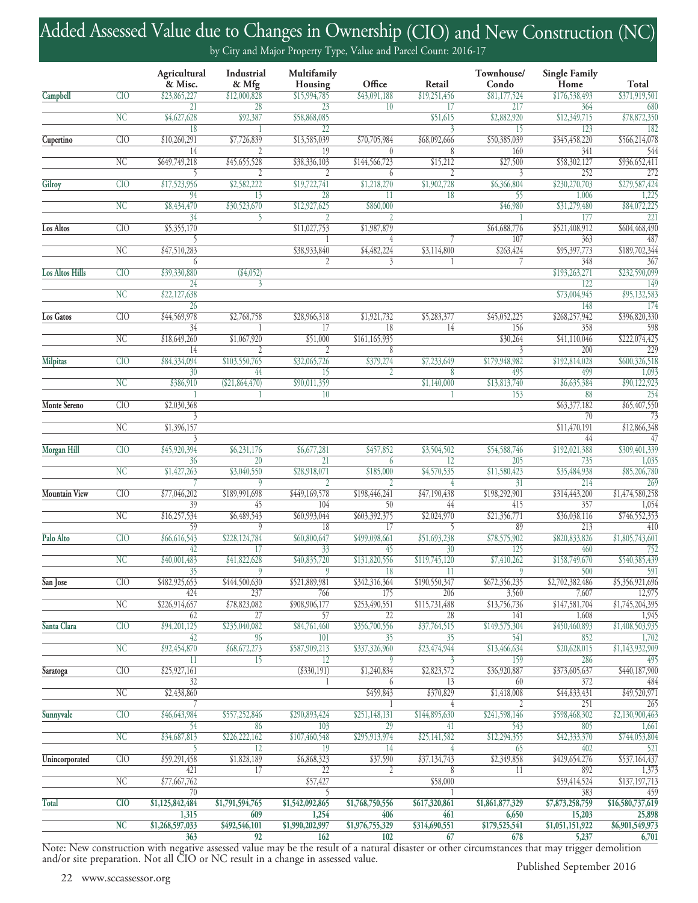## Added Assessed Value due to Changes in Ownership (CIO) and New Construction (NC)

by City and Major Property Type, Value and Parcel Count: 2016-17

|                        |                        | Agricultural<br>& Misc. | Industrial<br>& Mfg | Multifamily<br>Housing                    | Office                   | Retail             | Townhouse/<br>Condo  | <b>Single Family</b><br>Home | Total                             |
|------------------------|------------------------|-------------------------|---------------------|-------------------------------------------|--------------------------|--------------------|----------------------|------------------------------|-----------------------------------|
| Campbell               | CIO                    | \$23,865,227            | \$12,000,828        | \$15,994,785                              | \$43,091,188             | \$19,251,456       | \$81,177,524         | \$176,538,493                | \$371,919,501                     |
|                        |                        | 21                      | 28                  | 23                                        | 10                       | 17                 | 217                  | 364                          | 680                               |
|                        | NC                     | \$4,627,628             | \$92,387            | \$58,868,085                              |                          | \$51,615           | \$2,882,920          | \$12,349,715                 | \$78,872,350                      |
|                        | CIO                    | 18                      |                     | 22                                        |                          |                    | 15                   | 123<br>\$345,458,220         | 182<br>\$566,214,078              |
| Cupertino              |                        | \$10,260,291<br>14      | \$7,726,839         | \$13,585,039<br>19                        | \$70,705,984<br>$\theta$ | \$68,092,666<br>8  | \$50,385,039<br>160  | 341                          | 544                               |
|                        | NC                     | \$649,749,218           | \$45,655,528        | \$38,336,103                              | \$144,566,723            | \$15,212           | \$27,500             | \$58,302,127                 | \$936,652,411                     |
|                        |                        | 5                       | $\overline{2}$      | $\overline{2}$                            | 6                        |                    | 3                    | 252                          | 272                               |
| <b>Gilroy</b>          | CIO                    | \$17,523,956            | \$2,582,222         | \$19,722,741                              | \$1,218,270              | \$1,902,728        | \$6,366,804          | \$230,270,703                | \$279,587,424                     |
|                        |                        | 94                      | 13                  | 28                                        | 11                       | 18                 | $\overline{55}$      | 1,006                        | 1,225                             |
|                        | $\overline{\text{NC}}$ | \$8,434,470             | \$30,523,670        | \$12,927,625                              | \$860,000                |                    | \$46,980             | \$31,279,480                 | \$84,072,225                      |
|                        |                        | 34                      | 5                   |                                           |                          |                    |                      | 177                          | 221                               |
| Los Altos              | CIO                    | \$5,355,170             |                     | \$11,027,753                              | \$1,987,879              |                    | \$64,688,776         | \$521,408,912                | \$604,468,490                     |
|                        |                        | 5                       |                     |                                           | 4                        |                    | 107                  | 363                          | 487                               |
|                        | NC                     | \$47,510,283<br>6       |                     | \$38,933,840<br>$\overline{\mathfrak{c}}$ | \$4,482,224              | \$3,114,800        | \$263,424            | \$95,397,773<br>348          | \$189,702,344                     |
| <b>Los Altos Hills</b> | CIO                    | \$39,330,880            | (\$4,052)           |                                           | 3                        |                    |                      | \$193,263,271                | 367<br>\$232,590,099              |
|                        |                        | 24                      | 3                   |                                           |                          |                    |                      | 122                          | 149                               |
|                        | <b>NC</b>              | \$22,127,638            |                     |                                           |                          |                    |                      | \$73,004,945                 | \$95,132,583                      |
|                        |                        | 26                      |                     |                                           |                          |                    |                      | 148                          | 174                               |
| Los Gatos              | CIO                    | \$44,569,978            | \$2,768,758         | \$28,966,318                              | \$1,921,732              | \$5,283,377        | \$45,052,225         | \$268,257,942                | \$396,820,330                     |
|                        |                        | 34                      |                     | 17                                        | 18                       | 14                 | 156                  | 358                          | 598                               |
|                        | $\overline{\text{NC}}$ | \$18,649,260            | \$1,067,920         | \$51,000                                  | \$161, 165, 935          |                    | \$30,264             | \$41,110,046                 | \$222,074,425                     |
|                        |                        | 14                      |                     |                                           | 8                        |                    | 3                    | 200                          | 229                               |
| <b>Milpitas</b>        | CIO                    | \$84,334,094            | \$103,550,765       | \$32,065,726                              | \$379,274                | \$7,233,649        | \$179,948,982        | \$192,814,028                | \$600,326,518                     |
|                        |                        | 30                      | 44                  | 15                                        | 2                        | 8                  | 495                  | 499                          | 1,093                             |
|                        | NC                     | \$386,910               | (\$21,864,470)      | \$90,011,359<br>10                        |                          | \$1,140,000        | \$13,813,740<br>153  | \$6,635,384<br>88            | \$90,122,923<br>254               |
| Monte Sereno           | CIO                    | \$2,030,368             |                     |                                           |                          |                    |                      | \$63,377,182                 | \$65,407,550                      |
|                        |                        |                         |                     |                                           |                          |                    |                      | 70                           | 73                                |
|                        | NC                     | \$1,396,157             |                     |                                           |                          |                    |                      | \$11,470,191                 | \$12,866,348                      |
|                        |                        |                         |                     |                                           |                          |                    |                      | 44                           | 47                                |
| <b>Morgan Hill</b>     | CIO                    | \$45,920,394            | \$6,231,176         | \$6,677,281                               | \$457,852                | \$3,504,502        | \$54,588,746         | \$192,021,388                | \$309,401,339                     |
|                        |                        | 36                      | 20                  | 21                                        | 6                        | 12                 | 205                  | 735                          | 1,035                             |
|                        | NC                     | \$1,427,263             | \$3,040,550         | \$28,918,071                              | \$185,000                | \$4,570,535        | \$11,580,423         | \$35,484,938                 | \$85,206,780                      |
|                        |                        |                         | 9                   |                                           | 2                        | 4                  | 31                   | 214                          | 269                               |
| <b>Mountain View</b>   | CIO                    | \$77,046,202<br>39      | \$189,991,698<br>45 | \$449,169,578<br>104                      | \$198,446,241<br>50      | \$47,190,438<br>44 | \$198,292,901<br>415 | \$314,443,200<br>357         | \$1,474,580,258<br>1,054          |
|                        | NC                     | \$16,257,534            | \$6,489,543         | \$60,993,044                              | \$603,392,375            | \$2,024,970        | \$21,356,771         | \$36,038,116                 | \$746,552,353                     |
|                        |                        | 59                      | 9                   | 18                                        | 17                       | 5                  | 89                   | 213                          | 410                               |
| Palo Alto              | CI <sub>O</sub>        | \$66,616,543            | \$228,124,784       | \$60,800,647                              | \$499,098,661            | \$51,693,238       | \$78,575,902         | \$820,833,826                | \$1,805,743,601                   |
|                        |                        | 42                      | 17                  | $\overline{33}$                           | 45                       | 30                 | 125                  | 460                          | 752                               |
|                        | NC                     | \$40,001,483            | \$41,822,628        | \$40,835,720                              | \$131,820,556            | \$119,745,120      | \$7,410,262          | \$158,749,670                | \$540,385,439                     |
|                        |                        | $\overline{35}$         | 9                   | 9                                         | 18                       | 11                 | 9                    | 500                          | 591                               |
| San Jose               | CIO                    | \$482,925,653           | \$444,500,630       | \$521,889,981                             | \$342,316,364            | \$190,550,347      | \$672,356,235        | \$2,702,382,486              | \$5,356,921,696                   |
|                        |                        | 424                     | 237                 | 766                                       | 175                      | 206                | 3,560                | 7,607                        | 12,975                            |
|                        | NC                     | \$226,914,657           | \$78,823,082        | \$908,906,177                             | \$253,490,551            | \$115,731,488      | \$13,756,736         | \$147,581,704                | \$1,745,204,395                   |
| Santa Clara            | CIO                    | 62<br>\$94,201,125      | 27<br>\$235,040,082 | 57<br>\$84,761,460                        | 22<br>\$356,700,556      | 28<br>\$37,764,515 | 141<br>\$149,575,304 | 1,608<br>\$450,460,893       | 1,945<br>\$1,408,503,935          |
|                        |                        | 42                      | 96                  | 101                                       | 35                       | $\overline{35}$    | 541                  | 852                          | 1,702                             |
|                        | $\overline{\text{NC}}$ | \$92,454,870            | \$68,672,273        | \$587,909,213                             | \$337,326,960            | \$23,474,944       | \$13,466,634         | \$20,628,015                 | \$1,143,932,909                   |
|                        |                        | 11                      | $\overline{15}$     | $\overline{12}$                           | 9                        | 3                  | 159                  | 286                          | 495                               |
| <b>Saratoga</b>        | CIO                    | \$25,927,161            |                     | $($ \$330,191)                            | \$1,240,834              | \$2,823,572        | \$36,920,887         | \$373,605,637                | \$440,187,900                     |
|                        |                        | 32                      |                     |                                           | 6                        | 13                 | 60                   | 372                          | 484                               |
|                        | NC                     | \$2,438,860             |                     |                                           | \$459,843                | \$370,829          | \$1,418,008          | \$44,833,431                 | \$49,520,971                      |
|                        |                        |                         |                     |                                           |                          |                    |                      | 251                          | $\overline{265}$                  |
| Sunnyvale              | CIO                    | \$46,643,984            | \$557,252,846       | \$290,893,424                             | \$251,148,131            | \$144,895,630      | \$241,598,146        | \$598,468,302                | \$2,130,900,463                   |
|                        |                        | 54                      | 86                  | 103                                       | 29                       | 41                 | 543                  | 805                          | 1,661                             |
|                        | NC                     | \$34,687,813<br>-5      | \$226,222,162<br>12 | \$107,460,548<br>19                       | \$295,913,974<br>14      | \$25,141,582       | \$12,294,355<br>65   | \$42,333,370<br>402          | \$744,053,804<br>$\overline{521}$ |
| Unincorporated         | CIO                    | \$59,291,458            | \$1,828,189         | \$6,868,323                               | \$37,590                 | \$37,134,743       | \$2,349,858          | \$429,654,276                | \$537,164,437                     |
|                        |                        | 421                     | 17                  | 22                                        | 2                        | 8                  | 11                   | 892                          | 1,373                             |
|                        | $\overline{\text{NC}}$ | \$77,667,762            |                     | \$57,427                                  |                          | \$58,000           |                      | \$59,414,524                 | \$137,197,713                     |
|                        |                        | 70                      |                     | 5                                         |                          |                    |                      | 383                          | 459                               |
| <b>Total</b>           | CIO                    | \$1,125,842,484         | \$1,791,594,765     | \$1,542,092,865                           | \$1,768,750,556          | \$617,320,861      | \$1,861,877,329      | \$7,873,258,759              | \$16,580,737,619                  |
|                        |                        | 1,315                   | 609                 | 1,254                                     | 406                      | 461                | 6,650                | 15,203                       | 25,898                            |
|                        | NC                     | \$1,268,597,033         | \$492,546,101       | \$1,990,202,997                           | \$1,976,755,329          | \$314,690,551      | \$179,525,541        | \$1,051,151,922              | \$6,901,549,973                   |
|                        |                        | 363                     | $\overline{92}$     | 162                                       | 102                      | 67                 | 678                  | 5,237                        | 6,701                             |

Published September 2016 363 92 162 102 67 678 5,237 5,237 6,701<br>Note: New construction with negative assessed value may be the result of a natural disaster or other circumstances that may trigger demolition and/or site preparation. Not all CIO or NC result in a change in assessed value.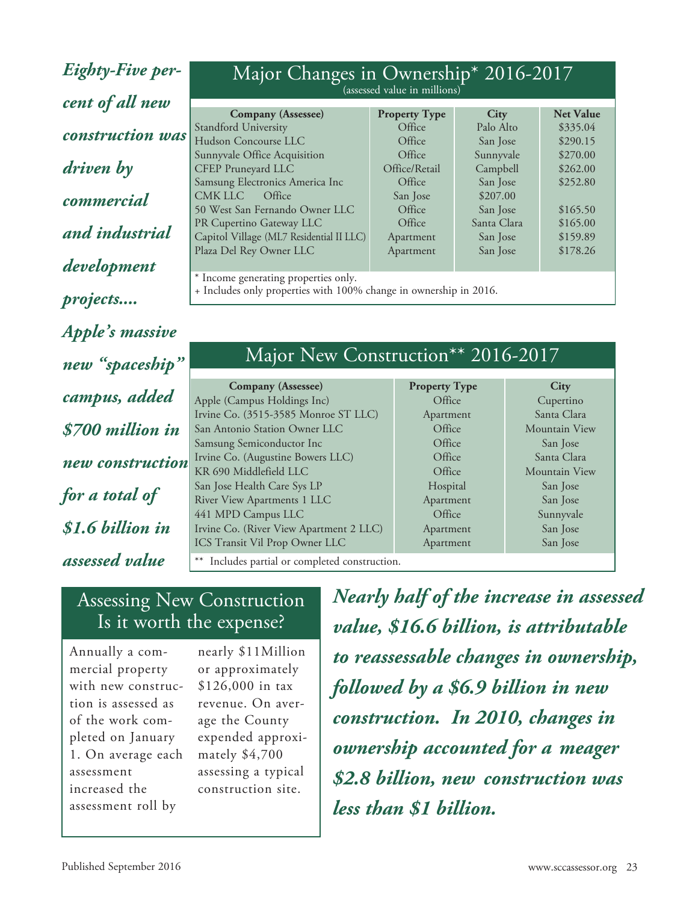*Eighty-Five percent of all new construction was driven by commercial and industrial development projects.... Apple's massive new "spaceship" campus, added \$700 million in new construction for a total of \$1.6 billion in assessed value*

| Major Changes in Ownership <sup>*</sup> 2016-2017                                                                                                                                                                                                                        | (assessed value in millions)                     |             |                  |
|--------------------------------------------------------------------------------------------------------------------------------------------------------------------------------------------------------------------------------------------------------------------------|--------------------------------------------------|-------------|------------------|
|                                                                                                                                                                                                                                                                          |                                                  |             |                  |
| <b>Company</b> (Assessee)                                                                                                                                                                                                                                                | <b>Property Type</b>                             | <b>City</b> | <b>Net Value</b> |
| Standford University                                                                                                                                                                                                                                                     | Office                                           | Palo Alto   | \$335.04         |
| Hudson Concourse LLC                                                                                                                                                                                                                                                     | Office                                           | San Jose    | \$290.15         |
| Sunnyvale Office Acquisition                                                                                                                                                                                                                                             | Office                                           | Sunnyvale   | \$270.00         |
| CFEP Pruneyard LLC                                                                                                                                                                                                                                                       | Office/Retail                                    | Campbell    | \$262.00         |
| Samsung Electronics America Inc                                                                                                                                                                                                                                          | Office                                           | San Jose    | \$252.80         |
| CMK LLC<br>Office                                                                                                                                                                                                                                                        | San Jose                                         | \$207.00    |                  |
| 50 West San Fernando Owner LLC                                                                                                                                                                                                                                           | Office                                           | San Jose    | \$165.50         |
| PR Cupertino Gateway LLC                                                                                                                                                                                                                                                 | Office                                           | Santa Clara | \$165.00         |
| Capitol Village (ML7 Residential II LLC)                                                                                                                                                                                                                                 | Apartment                                        | San Jose    | \$159.89         |
| Plaza Del Rey Owner LLC                                                                                                                                                                                                                                                  | Apartment                                        | San Jose    | \$178.26         |
|                                                                                                                                                                                                                                                                          |                                                  |             |                  |
| * Income generating properties only.<br>$\mathbf{r}$ and the contract of the contract of the contract of the contract of the contract of the contract of the contract of the contract of the contract of the contract of the contract of the contract of the contract of | $\sim$ $\sim$ $\sim$ $\sim$ $\sim$ $\sim$ $\sim$ |             |                  |

+ Includes only properties with 100% change in ownership in 2016.

## Major New Construction\*\* 2016-2017

**Company (Assessee)** Property **Type City** Apple (Campus Holdings Inc) **Office** Cupertino Irvine Co. (3515-3585 Monroe ST LLC) Apartment Santa Clara San Antonio Station Owner LLC **Can Contain Contained Antonio Station Owner LLC** Office Mountain View Samsung Semiconductor Inc **San Jose** Coffice San Jose Irvine Co. (Augustine Bowers LLC) Questing office Santa Clara KR 690 Middlefield LLC **COFFICE COFFICE COFFICE COFFICE COFFICE COFFICE COFFICE COFFICE COFFICE COFFICE COFFICE COFFICE COFFICE COFFICE COFFICE COFFICE COFFICE COFFICE COFFICE COFFICE COFFICE COFFICE COFFICE COFFICE COFFIC** San Jose Health Care Sys LP Hospital Hospital San Jose River View Apartments 1 LLC Apartment Apartment San Jose 441 MPD Campus LLC **Campus CLC Campus CLC Campus CLC C** Office Sunnyvale Irvine Co. (River View Apartment 2 LLC) Apartment San Jose ICS Transit Vil Prop Owner LLC Apartment San Jose

Includes partial or completed construction.

### Assessing New Construction Is it worth the expense?

Annually a commercial property with new construction is assessed as of the work completed on January 1. On average each assessment increased the assessment roll by

nearly \$11Million or approximately \$126,000 in tax revenue. On average the County expended approximately \$4,700 assessing a typical construction site.

*Nearly half of the increase in assessed value, \$16.6 billion, is attributable to reassessable changes in ownership, followed by a \$6.9 billion in new construction. In 2010, changes in ownership accounted for a meager \$2.8 billion, new construction was less than \$1 billion.*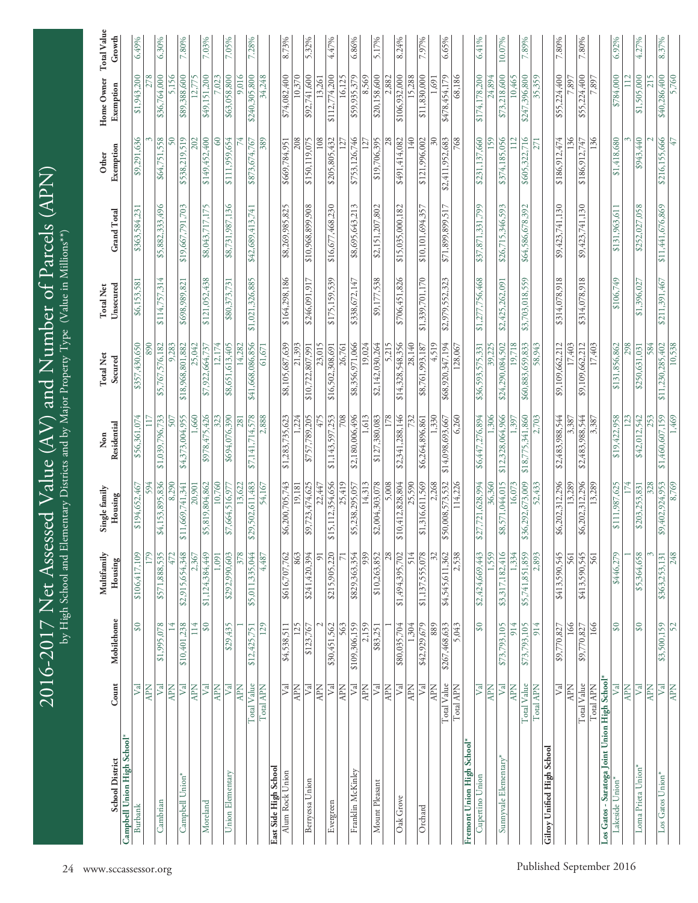| <b>School District</b>                       | Count                        | Mobilehome                 | Multifamily<br>Housing   | Single family<br>Housing   | Residential<br>Non        | <b>Total Net</b><br>Secured | Unsecured<br><b>Total Net</b> | <b>Grand Total</b> | Exemption<br>Other              | Home Owner<br>Exemption | <b>Total Value</b><br>Growth |
|----------------------------------------------|------------------------------|----------------------------|--------------------------|----------------------------|---------------------------|-----------------------------|-------------------------------|--------------------|---------------------------------|-------------------------|------------------------------|
| Campbell Union High School                   |                              |                            |                          |                            |                           |                             |                               |                    |                                 |                         |                              |
| Burbank                                      | $\overline{\mathcal{N}}$     | $\Im$                      | \$106,417,109            | \$194,652,467              | \$56,361,074              | \$357,430,650               | \$6,153,581                   | \$363,584,231      | \$9,291,636                     | \$1,943,200             | 6.49%                        |
|                                              | <b>NdV</b>                   |                            | 179                      | 594                        |                           | 890                         |                               |                    |                                 | 278                     |                              |
| Cambrian                                     | $\mathbb{R}^2$               | \$1,995,078                | \$571,888,535            | \$4,153,895,836            | \$1,039,796,733           | \$5,767,576,182             | \$114,757,314                 | \$5,882,333,496    | \$64,751,558                    | \$36,764,000            | 6.30%                        |
|                                              | <b>APN</b>                   |                            | 472                      | 8,290                      | 507                       | 9.283                       |                               |                    | ငှ                              | 1156                    |                              |
| Campbell Union*                              | $\mathbb{R}^2$<br><b>APN</b> | \$10,401,238<br>114        | \$2,915,654,348<br>2,367 | \$11,669,741,341<br>20,901 | \$4,373,004,955<br>1,660  | \$18,968,801,882<br>25,042  | \$698,989,821                 | \$19,667,791,703   | \$538,219,519<br>202            | \$89,388,600<br>12,775  | 7.80%                        |
| Moreland                                     | $\overline{V}$ al            | $\boldsymbol{\mathcal{S}}$ | \$1,124,384,449          | \$5,819,804,862            | \$978,475,426             | \$7,922,664,737             | \$121,052,438                 | \$8,043,717,175    | \$149,452,400                   | \$49,151,200            | 7.03%                        |
|                                              | <b>APN</b>                   |                            | 1,091                    | 10,760                     | 323                       | 12,174                      |                               |                    | 8                               | 023                     |                              |
| Union Elementary                             | $\mathbb{F}^1$               | \$29,435                   | \$292,990,603            | \$7,664,516,977            | \$694,076,390             | \$8,651,613,405             | \$80,373,731                  | \$8,731,987,136    | \$111,959,654                   | \$63,058,800            | 7.05%                        |
|                                              | <b>APN</b>                   |                            | 378                      | 13,622                     | 281                       | 14,282                      |                               |                    |                                 | 9,016                   |                              |
|                                              | Total Value                  | \$12,425,751               | \$5,011,335,044          | \$29,502,611,483           | \$7,141,714,578           | \$41,668,086,856            | \$1,021,326,885               | \$42,689,413,741   | \$873,674,767                   | \$240,305,800           | 7.28%                        |
|                                              | Total APN                    | 129                        | 4,487                    | 54,167                     | 2,888                     | 61,671                      |                               |                    | 389                             | 34,248                  |                              |
| East Side High School<br>Alum Rock Union     | Val                          | \$4,538,511                | \$616,707,762            | \$6,200,705,743            | \$1,283,735,623           | \$8,105,687,639             | \$164,298,186                 | \$8,269,985,825    | \$669,784,951                   | \$74,082,400            | 8.73%                        |
|                                              | <b>APN</b>                   | 125                        | 863                      | 19,181                     | 1.224                     | 21,393                      |                               |                    | 208                             | 10,370                  |                              |
| Berryessa Union                              | $\mathbb{R}^2$               | \$123,767                  | \$241,420,394            | \$9,723,474,625            | \$757,789,205             | \$10,722,807,991            | \$246,091,917                 | \$10,968,899,908   | \$150,119,075                   | \$92,741,600            | 5.32%                        |
|                                              | <b>NdN</b>                   |                            | 51                       | 22,447                     | 475                       | 23,015                      |                               |                    | 108                             | 13,261                  |                              |
| Evergreen                                    | $\overline{\mathcal{M}}$     | \$30,451,562               | \$215,905,220            | \$15,112,354,656           | \$1,143,597,253           | \$16,502,308,691            | \$175,159,539                 | \$16,677,468,230   | \$205,805,432                   | \$112,774,200           | 4.47%                        |
|                                              | <b>APN</b>                   | 563                        |                          | 25,419                     | 708                       | 26,761                      |                               |                    |                                 | 16,125                  |                              |
| Franklin McKinley                            | $\mathbb{F}^1$               | \$109,306,159              | \$829,363,354            | \$5,238,295,057            | \$2,180,006,496           | \$8,356,971,066             | \$338,672,147                 | \$8,695,643,213    | \$753,126,746                   | \$59,935,379            | 6.86%                        |
|                                              | <b>APN</b>                   | 2,159                      | 939                      | 14,313                     | 1,613                     | 19.024                      |                               |                    |                                 | 8,569                   |                              |
| Mount Pleasant                               | $\mathbb{Z}$                 | \$83,251                   | \$10,263,852             | \$2,004,303,078            | \$127,380,083             | \$2,142,030,264             | \$9,177,538                   | \$2,151,207,802    | \$19,706,395                    | \$20,158,600            | 5.17%                        |
|                                              | <b>APN</b>                   |                            | 28                       | 5,008                      | 178                       | 5,215                       |                               |                    |                                 | 2,882                   |                              |
| Oak Grove                                    | $\sqrt{a}$                   | \$80,035,704               | \$1,494,395,702          | \$10,412,828,804           | \$2,341,288,146           | \$14,328,548,356            | \$706,451,826                 | \$15,035,000,182   | \$491,414,082                   | \$106,932,000           | 8.24%                        |
| Orchard                                      | <b>APN</b><br>$\mathbb{R}^2$ | \$42,929,679<br>1,304      | 514<br>\$1,137,555,078   | \$1,316,611,569<br>25,590  | \$6,264,896,861           | 28,140<br>\$8,761,993,187   | \$1,339,701,170               | \$10,101,694,357   | \$121,996,002<br>$\frac{40}{5}$ | \$11,830,000<br>15,288  | 7.97%                        |
|                                              | <b>APN</b>                   | 889                        | 32                       | 2,268                      | 1,330                     | 4,519                       |                               |                    | š                               | 1,691                   |                              |
|                                              | Total Value                  | \$267,468,633              | \$4,545,611,362          | \$50,008,573,532           | \$14,098,693,667          | \$68,920,347,194            | \$2,979,552,323               | \$71,899,899,517   | \$2,411,952,683                 | \$478,454,179           | 6.65%                        |
|                                              | Total APN                    | 5,043                      | 2,538                    | 114,226                    | 6,260                     | 128,067                     |                               |                    | 768                             | 68,186                  |                              |
| Fremont Union High School*                   |                              |                            |                          |                            |                           |                             |                               |                    |                                 |                         |                              |
| Cupertino Union                              | $\mathbb{F}^1$               | SQ                         | \$2,424,669,443          | \$27,721,628,994           | \$6,447,276,894           | \$36,593,575,331            | \$1,277,756,468               | \$37,871,331,799   | \$231,137,660                   | \$174,178,200           | 6.41%                        |
|                                              | <b>APN</b>                   |                            | 1,559                    | 36,360                     | 1,306                     | 39.225                      |                               |                    | 159                             | 24,894                  |                              |
| Sunnyvale Elementary <sup>*</sup>            | $\sqrt{2}$                   | \$73,793,105               | \$3,317,182,416          | \$8,571,044,015            | \$12,328,064,966          | \$24,290,084,502            | \$2,425,262,091               | \$26,715,346,593   | \$374,185,056                   | \$73,218,600            | 10.07%                       |
|                                              | <b>APN</b>                   | 914                        | 1,334                    | 16,073                     | 1,397                     | 19,718                      |                               |                    | 112                             | 10,465                  |                              |
|                                              | Total Value<br>Total APN     | \$73,793,105<br>914        | \$5,741,851,859<br>2,893 | \$36,292,673,009<br>52,433 | \$18,775,341,860<br>2,703 | \$60,883,659,833<br>58,943  | \$3,703,018,559               | \$64,586,678,392   | \$605,322,716<br>271            | \$247,396,800<br>35,359 | 7.89%                        |
|                                              |                              |                            |                          |                            |                           |                             |                               |                    |                                 |                         |                              |
| Gilroy Unified High School                   | $\overline{V}$ al            | \$9,770,827                | \$413,590,545            | \$6,202,312,296            | \$2,483,988,544           | \$9,109,662,212             | \$314,078,918                 | \$9,423,741,130    | \$186,912,474                   | \$55,224,400            | 7.80%                        |
|                                              | <b>APN</b>                   | 166                        | 561                      | 13,289                     | 3,387                     | 17,403                      |                               |                    | 136                             | 7,897                   |                              |
|                                              | Total Value                  | \$9,770,827                | \$413,590,545            | \$6,202,312,296            | \$2,483,988,544           | \$9,109,662,212             | \$314,078,918                 | \$9,423,741,130    | \$186,912,747                   | \$55,224,400            | 7.80%                        |
|                                              | Total APN                    | 166                        | 561                      | 13,289                     | 3,387                     | 17,403                      |                               |                    | 136                             | 7,897                   |                              |
| Los Gatos - Saratoga Joint Union High School |                              |                            |                          |                            |                           |                             |                               |                    |                                 |                         |                              |
| Lakeside Union*                              | $\mathbb{F}^d$               | $\Im$                      | \$446,279                | \$111,987,625              | \$19,422,958              | \$131,856,862               | \$106,749                     | \$131,963,611      | \$1,418,680                     | \$784,000               | 6.92%                        |
|                                              | <b>APN</b>                   |                            |                          | 174                        | 123                       | 298                         |                               |                    |                                 | $\frac{1}{2}$           |                              |
| Loma Prieta Union*                           | V <sub>al</sub>              | SQ.                        | \$5,364,658              | \$203,253,831              | \$42,012,542              | \$250,631,031               | \$1,396,027                   | \$252,027,058      | \$943,440                       | \$1,505,000             | 4.27%                        |
| Los Gatos Union*                             | <b>APN</b><br>Val            | \$3,500,159                | \$363,253,131            | \$9,402,924,953<br>328     | \$1,460,607,159<br>253    | \$11,230,285,402<br>584     | \$211,391,467                 | \$11,441,676,869   | \$216,155,666                   | \$40,286,400<br>215     | 8.37%                        |
|                                              | <b>APN</b>                   | 52                         | 248                      | 8.769                      | 1,469                     | 10,538                      |                               |                    | 47                              | 5,760                   |                              |

 $\mathcal{C}$  $\bigcirc$  $\overline{\phantom{0}}$  $\circ$  $\gamma$  $\bigcirc$  $\overline{\phantom{0}}$  $\overline{\phantom{1}}$  $\mathsf{Z}% _{0}$  $\mathbf \omega$ ب

 $\gtrsim$ 

High School an

ರ

Elementary

Districts an

d by

Major Property

 $\vdash$ 

ype (Value in

Millions\*\*)

A s s e

s s e d  $\geq$ 

alu e (AV) a

 $\mathbf d$ セ  $\mathsf{Z}% _{0}$  $\Xi$ m بک  $\mathbf \omega$ r o  $\overline{f}$  $\triangleright$  $\mathfrak{a}$ r c

els (A

 $\mathord{\text{P}}_1$  $\widehat{\boldsymbol{\mathsf{Z}}}$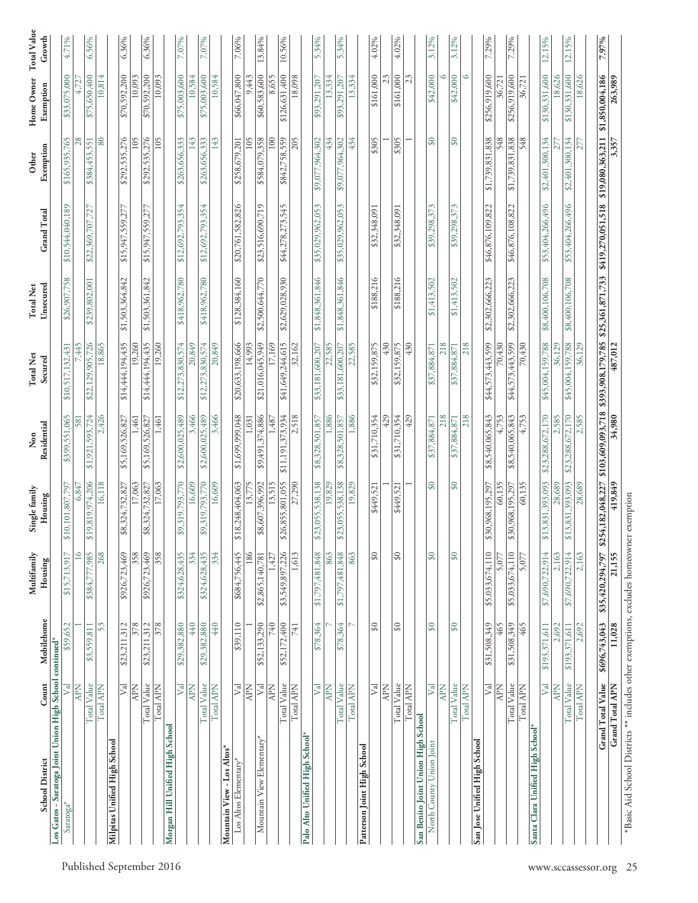| <b>School District</b>                                                                 | Count                      | Mobilehome                 | Multifamily<br>Housing | Single family<br>Housing   | Residential<br>Non       | <b>Total Net</b><br>Secured        | Unsecured<br><b>Total Net</b> | <b>Grand Total</b> | Exemption<br>Other     | Home Owner<br>Exemption | Total Value<br>Growth |
|----------------------------------------------------------------------------------------|----------------------------|----------------------------|------------------------|----------------------------|--------------------------|------------------------------------|-------------------------------|--------------------|------------------------|-------------------------|-----------------------|
| Los Gatos - Saratoga Joint Union High School continued*                                |                            |                            |                        |                            |                          |                                    |                               |                    |                        |                         |                       |
| Saratoga <sup>*</sup>                                                                  | $\mathbb{R}^2$             | \$59,652                   | \$15,713,917           | \$10,101,807,797           | \$399,551,065            | \$10,517,132,431                   | \$26,907,758                  | \$10,544,040,189   | \$165,935,765          | \$33,075,000            | 4.71%                 |
|                                                                                        | <b>NdV</b>                 |                            | $\overline{0}$         | 6,847                      | 581                      | ,445                               |                               |                    | 28                     |                         |                       |
|                                                                                        | Total Value                | \$3,559,811                | \$384,777,985          | \$19,819,974,206           | \$1,921,593,724          | \$22,129,905,726                   | \$239,802,001                 | \$22,369,707,727   | \$384,453,551          | \$75,650,400            | 6.56%                 |
| Milpitas Unified High School                                                           | Total APN                  | 53                         | 268                    | 16,118                     | 2,426                    | 18,865                             |                               |                    | 80                     | 10,814                  |                       |
|                                                                                        | $\vert$ z                  | \$23,211,312               | \$926,723,469          | \$8,324,732,827            | \$5,169,526,827          | \$14,444,194,435                   | \$1,503,364,842               | \$15,947,559,277   | \$292,535,276          | \$70,592,200            | 6.36%                 |
|                                                                                        | <b>APN</b>                 | 378                        | 358                    | 17,063                     | ,461                     | 19,260                             |                               |                    | 105                    | 10,093                  |                       |
|                                                                                        | Total Value                | \$23,211,312               | \$926,723,469          | \$8,324,732,827            | \$5,169,526,827          | \$14,444,194,435                   | \$1,503,361,842               | \$15,947,559,277   | \$292,535,276          | \$70,592,200            | 6.36%                 |
|                                                                                        | Total APN                  | 378                        | 358                    | 17,063                     | 1,461                    | 19,260                             |                               |                    | 105                    | 10,093                  |                       |
| Morgan Hill Unified High School                                                        |                            |                            |                        |                            |                          |                                    |                               |                    |                        |                         |                       |
|                                                                                        | $\mathbb{F}^1$             | \$29,382,880               | \$324,628,435          | \$9,319,793,770            | \$2,600,025,489          | \$12,273,830,574                   | \$418,962,780                 | \$12,692,793,354   | \$263,656,333          | \$75,003,600            | 7.07%                 |
|                                                                                        | Total Value<br><b>APN</b>  | \$29,382,880<br>440        | \$324,628,435<br>334   | \$9,319,793,770<br>16,609  | \$2,600,025,489<br>3,466 | \$12,273,830,574<br>20,849         | \$418,962,780                 | \$12,692,793,354   | \$263,656,333<br>143   | \$75,003,600<br>10,584  | 7.07%                 |
|                                                                                        | Total APN                  | 440                        | 334                    | 16,609                     | 3,466                    | 20,849                             |                               |                    | 143                    | 10,584                  |                       |
| Mountain View - Los Altos*                                                             |                            |                            |                        |                            |                          |                                    |                               |                    |                        |                         |                       |
| Los Altos Elementary*                                                                  | $\mathbb{V}^{\mathsf{al}}$ | \$39,110                   | \$684,756,445          | \$18,248,404,063           | \$1,699,999,048          | \$20,633,198,666                   | \$128,384,160                 | \$20,761,582,826   | \$258,679,201          | \$66,047,800            | 7.06%                 |
|                                                                                        | <b>APN</b>                 |                            | 186                    | 13,775                     | 1,031                    | 14,993                             |                               |                    | 105                    | 9,443                   |                       |
| Mountain View Elementary                                                               | $\sqrt{2}$                 | \$52,133,290               | \$2,865,140,781        | \$8,607,396,992            | \$9,491,374,886          | \$21,016,045,949                   | \$2,500,644,770               | \$23,516,690,719   | \$584,079,358          | \$60,583,600            | 13.84%                |
|                                                                                        | <b>APN</b>                 | 740                        | 1,427                  | 13,515                     | 1,487                    | 17,169                             |                               |                    | 100                    | 8,655                   |                       |
|                                                                                        | Total Value                | \$52,172,400               | \$3,549,897,226        | \$26,855,801,055           | \$11,191,373,934         | \$41,649,244,615                   | \$2,629,028,930               | \$44,278,273,545   | \$842,758,559          | \$126,631,400           | 10.56%                |
|                                                                                        | Total APN                  | 741                        | 1,613                  | 27,290                     | 2,518                    | 32,162                             |                               |                    | 205                    | 18,098                  |                       |
| Palo Alto Unified High School*                                                         |                            |                            |                        |                            |                          |                                    |                               |                    |                        |                         |                       |
|                                                                                        | $\overline{\triangledown}$ | \$78,364                   | \$1,797,481,848        | \$23,055,538,138           | \$8,328,501,857          | \$33,181,600,207                   | \$1,848,361,846               | \$35,029,962,053   | \$9,077,964,302        | \$93,291,207            | 5.34%                 |
|                                                                                        | <b>Ndy</b>                 |                            | 863                    | 19,829                     | 1,886                    | 22,585                             |                               |                    | 434                    | 13,334                  |                       |
|                                                                                        | Total Value<br>Total APN   | \$78,364                   | \$1,797,481,848<br>863 | \$23,055,538,138<br>19,829 | 1,886<br>\$8,328,501,857 | 22,585<br>\$33,181,600,207         | \$1,848,361,846               | \$35,029,962,053   | \$9,077,964,302<br>434 | \$93,291,207<br>13,334  | 5.34%                 |
| Patterson Joint High School                                                            |                            |                            |                        |                            |                          |                                    |                               |                    |                        |                         |                       |
|                                                                                        | $\sum_{i=1}^{n}$           | $\overline{\mathscr{S}}$   | $\Im$                  | \$449,521                  | \$31,710,354             | \$32,159,875                       | \$188,216                     | \$32,348,091       | \$305                  | \$161,000               | 4.02%                 |
|                                                                                        | <b>APN</b>                 |                            |                        |                            | 429                      | 430                                |                               |                    |                        | 23                      |                       |
|                                                                                        | Total Value                | $\frac{8}{3}$              | $\frac{30}{2}$         | \$449,521                  | \$31,710,354             | \$32,159,875                       | \$188,216                     | \$32,348,091       | \$305                  | \$161,000               | 4.02%                 |
|                                                                                        | Total APN                  |                            |                        |                            | 429                      | 430                                |                               |                    |                        | 23                      |                       |
| San Benito Joint Union High School                                                     |                            |                            |                        |                            |                          |                                    |                               |                    |                        |                         |                       |
| North County Union Joint                                                               | $\mathbb{F}^1$             | $\Im$                      | $\Im$                  | $\Im \vartheta$            | \$37,884,871             | \$37,884,871                       | \$1,413,502                   | \$39,298,373       | $\mathbf{S}$           | \$42,000                | 3.12%                 |
|                                                                                        | <b>APN</b>                 |                            |                        |                            | 218                      | 218                                |                               |                    |                        | ٥                       |                       |
|                                                                                        | Total Value                | $\boldsymbol{\mathcal{S}}$ | $\mathfrak{g}_0$       | $\boldsymbol{\mathcal{S}}$ | \$37,884,871             | \$37,884,871                       | \$1,413,502                   | \$39,298,373       | SQ                     | \$42,000                | 3.12%                 |
|                                                                                        | Total APN                  |                            |                        |                            | 218                      | 218                                |                               |                    |                        | O                       |                       |
| San Jose Unified High School                                                           | ∑व                         | \$31,508,349               | \$5,033,674,110        | \$30,968,195,297           | \$8,540,065,843          | \$44,573,443,599                   | \$2,302,666,223               | \$46,876,109,822   | \$1,739,831,838        | \$256,919,600           | 7.29%                 |
|                                                                                        | <b>APN</b>                 | 465                        | 5,077                  | 60,135                     | 4,753                    | 70,430                             |                               |                    | 548                    | 36,721                  |                       |
|                                                                                        | Total Value                | \$31,508,349               | \$5,033,674,110        | \$30,968,195,297           | \$8,540,065,843          | \$44,573,443,599                   | \$2,302,666,223               | \$46,876,108,822   | \$1,739,831,838        | \$256,919,600           | 7.29%                 |
|                                                                                        | Total APN                  | 465                        | 5,077                  | 60,135                     | 4,753                    | 70,430                             |                               |                    | 548                    | 36,721                  |                       |
| Santa Clara Unified High School*                                                       |                            |                            |                        |                            |                          |                                    |                               |                    |                        |                         |                       |
|                                                                                        | $\sqrt{2}$                 | \$193,371,611              | \$7,690,722,914        | \$13,831,393,093           | \$23,288,672,170         | \$45,004,159,788                   | \$8,400,106,708               | \$53,404,266,496   | \$2,401,300,134        | \$130,331,600           | 12.15%                |
|                                                                                        | <b>APN</b>                 | 2,692                      | 2,163                  | 28,689                     | 2,585                    | 36,129                             |                               |                    |                        | 18,626                  |                       |
|                                                                                        | Total Value                | \$193,371,611              | \$7,690,722,914        | \$13,831,393,093           | \$23,288,672,170         | \$45,004,159,788                   | \$8,400,106,708               | \$53,404,266,496   | \$2,401,300,134        | \$130,331,600           | 12.15%                |
|                                                                                        | Total APN                  | 2,692                      | 2,163                  | 28,689                     | 2,585                    | 36,129                             |                               |                    | 277                    | 18,626                  |                       |
|                                                                                        | <b>Grand Total Value</b>   | \$696,743,043              | \$35,420,294,797       | \$254,182,048,227          | \$103,609,093,718        | \$393,908,179,785 \$25,361,871,733 |                               | \$419,270,051,518  | \$19,080,363,211       | \$1,850,004,186         | 7.97%                 |
|                                                                                        | Grand Total APN            | 11,028                     | 21,155                 | 419,849                    | 34,980                   | 487,012                            |                               |                    | 3,357                  | 263,989                 |                       |
| *Basic Aid School Districts ** includes other exemptions, excludes homeowner exemption |                            |                            |                        |                            |                          |                                    |                               |                    |                        |                         |                       |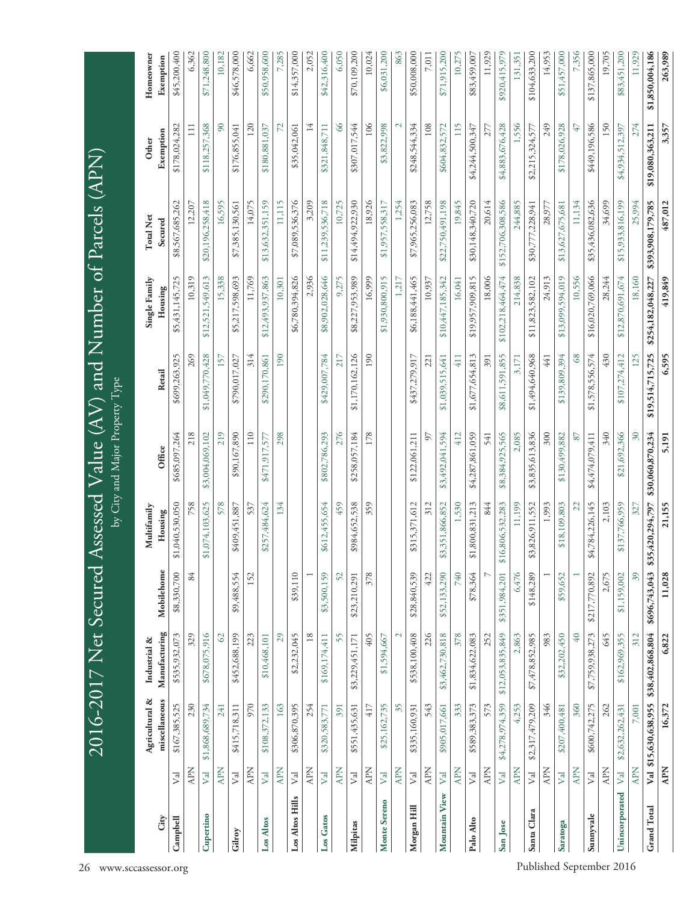2016-2017 Net Secured Assessed Value  $(AV)$  and Number of Parcels  $(APN)$ <br>by Gity and Major Property Type 2016-2017 Net Secured Assessed Value (AV) and Number of Parcels (APN) by City and Major Property Type

| City               |                 | Agricultural &<br>miscellaneous | Manufacturing<br>Industrial & | Mobilehome     | Multifamily<br>Housing | Office                   | Retail           | Single Family<br>Housing | <b>Total Net</b><br>Secured | Exemption<br>Other | Homeowner<br>Exemption |
|--------------------|-----------------|---------------------------------|-------------------------------|----------------|------------------------|--------------------------|------------------|--------------------------|-----------------------------|--------------------|------------------------|
| Campbell           | V <sub>al</sub> | \$167,385,525                   | \$535,932,073                 | \$8,330,700    | \$1,040,530,050        | \$685,097,264            | \$699,263,925    | \$5,431,145,725          | \$8,567,685,262             | \$178,024,282      | \$45,200,400           |
|                    | <b>APN</b>      | 230                             | 329                           | 84             | 758                    | 218                      | 269              | 10,319                   | 12,207                      | $\Xi$              | 6,362                  |
| Cupertino          | V <sub>al</sub> | \$1,868,689,734                 | \$678,075,916                 |                | \$1,074,103,625        | \$3,004,069,102          | \$1,049,770,428  | \$12,521,549,613         | \$20,196,258,418            | \$118,257,368      | \$71,248,800           |
|                    | <b>APN</b>      | 241                             | $\mathcal{O}$                 |                | 578                    | 219                      | 157              | 15,338                   | 16,595                      | $\infty$           | 10,182                 |
| Gilroy             | $\rm{V\bar{d}}$ | \$415,718,311                   | \$452,688,199                 | \$9,488,554    | \$409,451,887          | \$90,167,890             | \$790,017,027    | \$5,217,598,693          | \$7,385,130,561             | \$176,855,041      | \$46,578,000           |
|                    | <b>APN</b>      | 970                             | 223                           | 152            | 537                    | 110                      | 314              | 11,769                   | 14,075                      | 120                | 6,662                  |
| Los Altos          | $\sqrt{a}$      | \$108,372,133                   | \$10,468,101                  |                | \$257,484,624          | \$471,917,577            | \$290,170,861    | \$12,493,937,863         | \$13,632,351,159            | \$180,881,037      | \$50,958,600           |
|                    | <b>APN</b>      | 163                             | 29                            |                | 134                    | 298                      | 190              | 10,301                   | 11,115                      | 72                 | 7,285                  |
| Los Altos Hills    | $\rm{V}$ al     | \$306,870,395                   | \$2,232,045                   | \$39,110       |                        |                          |                  | \$6,780,394,826          | \$7,089,536,376             | \$35,042,061       | \$14,357,000           |
|                    | <b>APN</b>      | 254                             | $18$                          |                |                        |                          |                  | 2,936                    | 3,209                       | 14                 | 2,052                  |
| Los Gatos          | Val             | \$320,583,771                   | \$169,174,411                 | \$3,500,159    | \$612,455,654          | \$802,786,293            | \$429,007,784    | \$8,902,028,646          | \$11,239,536,718            | \$321,848,711      | \$42,316,400           |
|                    | <b>APN</b>      | 391                             | 55                            | 52             | 459                    | 276                      | 217              | 9,275                    | 10,725                      | S                  | 6,050                  |
| Milpitas           | $\sqrt{a}$      | \$551,435,631                   | \$3,229,451,171               | \$23,210,291   | \$984,652,538          | \$258,057,184            | \$1,170,162,126  | \$8,227,953,989          | \$14,494,922,930            | \$307,017,544      | \$70,109,200           |
|                    | <b>APN</b>      | 417                             | 405                           | 378            | 359                    | 178                      | 190              | 16,999                   | 18,926                      | 106                | 10,024                 |
| Monte Sereno       | $\sqrt{a}$      | \$25,162,735                    | \$1,594,667                   |                |                        |                          |                  | \$1,930,800,915          | ,558,317<br>\$1,957         | \$3,822,998        | \$6,031,200            |
|                    | <b>APN</b>      | 35                              | $\overline{\mathcal{L}}$      |                |                        |                          |                  | 1,217                    | 1,254                       | $\mathrel{\sim}$   | 863                    |
| Morgan Hill        | $\sqrt{a}$      | \$335,160,931                   | \$538,100,408                 | \$28,840,539   | \$315,371,612          | \$122,061,211            | \$437,279,917    | \$6,188,441,465          | \$7,965,256,083             | \$248,544,334      | \$50,008,000           |
|                    | <b>APN</b>      | 543                             | 226                           | 422            | 312                    | 97                       | 221              | 10,937                   | 12,758                      | 108                | 7,011                  |
| Mountain View      | $\sqrt{a}$      | \$905,017,661                   | \$3,462,730,818               | \$52,133,290   | \$3,351,866,852        | \$3,492,041,594          | \$1,039,515,641  | \$10,447,185,342         | \$22,750,491,198            | \$604,832,572      | \$71,915,200           |
|                    | <b>APN</b>      | 333                             | 378                           | 740            | 1,530                  | 412                      | 411              | 16,041                   | 19,845                      | 115                | 10,275                 |
| Palo Alto          | $\sqrt{a}$      | \$589,383,373                   | \$1,834,622,083               | \$78,364       | \$1,800,831,213        | \$4,287,861,059          | \$1,677,654,813  | \$19,957,909,815         | \$30,148,340,720            | \$4,244,500,347    | \$83,459,007           |
|                    | <b>APN</b>      | 573                             | 252                           |                | 844                    | 541                      | 391              | 18,006                   | 20,614                      | 277                | 11,929                 |
| San Jose           | $\sqrt{d}$      | \$4,278,974,359                 | \$12,053,835,849              | \$351,984,201  | 6,806,532,283<br>€     | \$8,384,925,565          | \$8,611,591,855  | \$102,218,464,474        | \$152,706,308,586           | \$4,883,676,428    | \$920,415,979          |
|                    | <b>APN</b>      | 4,253                           | 2,863                         | 6,476          | 11,199                 | 2,085                    | 3,171            | 214,838                  | 244,885                     | 1,556              | 131,351                |
| Santa Clara        | V <sub>al</sub> | \$2,317,479,209                 | \$7,478,852,985               | \$148,289      | \$3,826,911,552        | \$3,835,613,836          | \$1,494,640,968  | \$11,823,582,102         | \$30,777,228,941            | \$2,215,324,577    | \$104,633,200          |
|                    | <b>APN</b>      | 346                             | 983                           | $\overline{ }$ | 1,993                  | 300                      | 441              | 24,913                   | 28,977                      | 249                | 14,953                 |
| Saratoga           | Val             | \$207,400,481                   | \$32,202,450                  | \$59,652       | \$18,109,803           | \$130,499,882            | \$139,809,394    | \$13,099,594,019         | \$13,627,675,681            | \$178,026,928      | \$51,457,000           |
|                    | <b>APN</b>      | 360                             | 40                            |                | 22                     | 87                       | 8 <sup>o</sup>   | 10,556                   | 11,134                      | 47                 | 7,356                  |
| Sunnyale           | Val             | \$600,742,275                   | \$7,759,938,273               | \$217,770,892  | \$4,784,226,145        | \$4,474,079,411          | \$1,578,556,574  | \$16,020,769,066         | \$35,436,082,636            | \$449,196,586      | \$137,865,000          |
|                    | <b>APN</b>      | 262                             | 645                           | 2,675          | 2,103                  | 340                      | 430              | 28,244                   | 34,699                      | 150                | 19,705                 |
| Unincorporated     | $\sqrt{d}$      | \$2,632,262,431                 | \$162,969,355                 | \$1,159,002    | \$137,766,959          | \$21,692,366             | \$107,274,412    | \$12,870,691,674         | \$15,933,816,199            | \$4,934,512,397    | \$83,451,200           |
|                    | <b>APN</b>      | 7,001                           | 312                           | 39             | 327                    | $\overline{\mathcal{E}}$ | 125              | 18,160                   | 25,994                      | 274                | 11,929                 |
| <b>Grand Total</b> |                 | Val \$15,630,638,955            | \$38,402,868,804              | \$696,743,043  | \$35,420,294,797       | \$30,060,870,234         | \$19,514,715,725 | \$254,182,048,227        | \$393,908,179,785           | \$19,080,363,211   | \$1,850,004,186        |
|                    | <b>APN</b>      | 16,372                          | 6,822                         | 11,028         | 21,155                 | 5,191                    | 6,595            | 419,849                  | 487,012                     | 3,357              | 263,989                |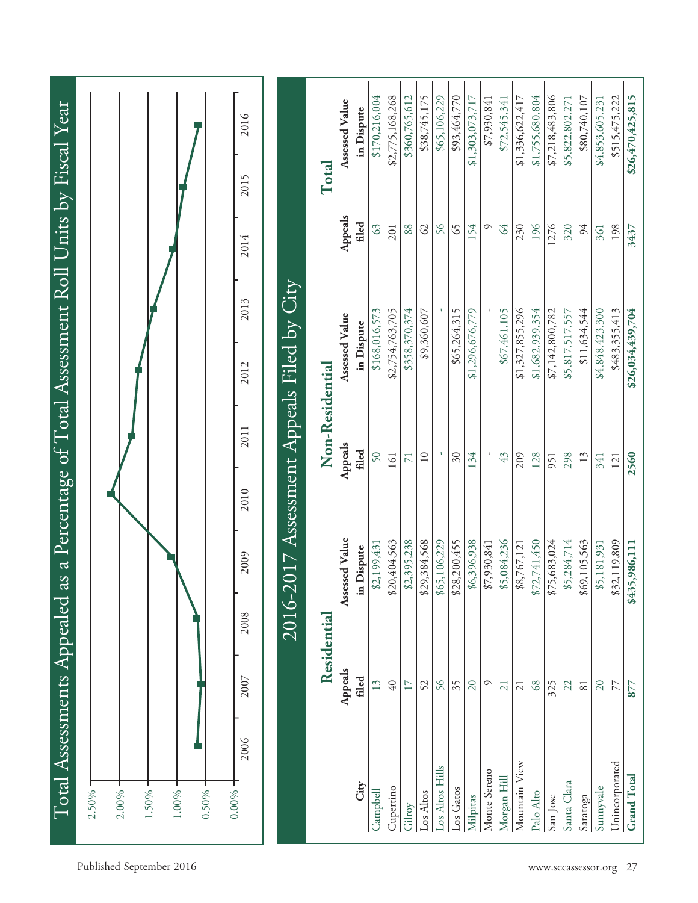| $2.50\%$ -         |      | Total Assessments Appealed |        |                |      | as a Percentage of Total Assessment Roll Units by Fiscal Year |                  |              |         |       |                  |
|--------------------|------|----------------------------|--------|----------------|------|---------------------------------------------------------------|------------------|--------------|---------|-------|------------------|
| 2.00%              |      |                            |        |                |      |                                                               |                  |              |         |       |                  |
| 1.50%              |      |                            |        |                |      |                                                               |                  |              |         |       |                  |
| $1.00\%$           |      |                            |        |                |      |                                                               |                  |              |         |       |                  |
| 0.00%<br>$0.50\%$  |      |                            |        |                |      |                                                               |                  |              |         |       |                  |
|                    | 2006 | 2007                       | 2008   | 2009           | 2010 | 2011                                                          | 2012             | 2013         | 2014    | 2015  | 2016             |
|                    |      |                            | 2016-2 |                |      | 2017 Assessment Appeals Filed by City                         |                  |              |         |       |                  |
|                    |      | Residential                |        |                |      | Non-Residential                                               |                  |              |         | Total |                  |
|                    |      | Appeals                    |        | Assessed Value |      | Appeals                                                       | Assessed Value   |              | Appeals |       | Assessed Value   |
| City               |      | filed                      |        | in Dispute     |      | filed                                                         | in Dispute       |              | filed   |       | in Dispute       |
| Campbell           |      | 13                         |        | \$2,199,431    |      | 50                                                            | \$168,016,573    |              | 63      |       | \$170,216,004    |
| Cupertino          |      | $\sqrt{40}$                | ↮      | 20,404,563     |      | 161                                                           | \$2,754,763,705  |              | 201     |       | \$2,775,168,268  |
| Gilroy             |      | 17                         |        | \$2,395,238    |      |                                                               | \$358,370,374    |              | 88      |       | \$360,765,612    |
| Los Altos          |      | 52                         | ↮      | 29,384,568     |      | $\overline{10}$                                               |                  | \$9,360,607  | 62      |       | \$38,745,175     |
| Los Altos Hills    |      | 56                         |        | \$65,106,229   |      |                                                               |                  |              | 56      |       | \$65,106,229     |
| Los Gatos          |      | 35                         |        | \$28,200,455   |      | $\delta$ 0                                                    |                  | \$65,264,315 | 65      |       | \$93,464,770     |
| Milpitas           |      | 20                         |        | \$6,396,938    |      | 134                                                           | \$1,296,676,779  |              | 154     |       | \$1,303,073,717  |
| Monte Sereno       |      | $\circ$                    |        | \$7,930,841    |      |                                                               |                  |              | $\circ$ |       | \$7,930,841      |
| Morgan Hill        |      | 21                         |        | \$5,084,236    |      | 43                                                            |                  | \$67,461,105 | 64      |       | \$72,545,341     |
| Mountain View      |      | 21                         |        | \$8,767,121    |      | 209                                                           | \$1,327,855,296  |              | 230     |       | \$1,336,622,417  |
| Palo Alto          |      | 68                         |        | \$72,741,450   |      | 128                                                           | \$1,682,939,354  |              | 196     |       | \$1,755,680,804  |
| San Jose           |      | 325                        |        | \$75,683,024   |      | 951                                                           | \$7,142,800,782  |              | 1276    |       | \$7,218,483,806  |
| Santa Clara        |      | 22                         |        | \$5,284,714    |      | 298                                                           | \$5,817,517,557  |              | 320     |       | \$5,822,802,271  |
| Saratoga           |      | 81                         | ↮      | 69,105,563     |      | 13                                                            |                  | \$11,634,544 | 94      |       | \$80,740,107     |
| Sunnyvale          |      | 20                         |        | \$5,181,931    |      | 341                                                           | \$4,848,423,300  |              | 361     |       | \$4,853,605,231  |
| Unincorporated     |      | 77                         |        | \$32,119,809   |      | 121                                                           | \$483,355,413    |              | 198     |       | \$515,475,222    |
| <b>Grand Total</b> |      | 877                        |        | \$435,986,111  |      | 2560                                                          | \$26,034,439,704 |              | 3437    |       | \$26,470,425,815 |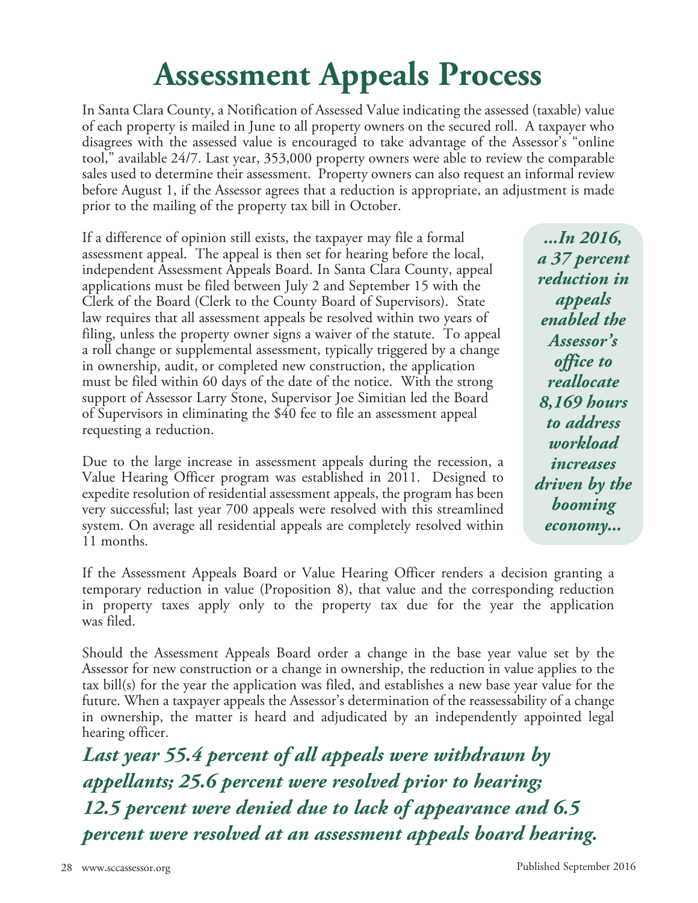## **Assessment Appeals Process**

In Santa Clara County, a Notification of Assessed Value indicating the assessed (taxable) value of each property is mailed in June to all property owners on the secured roll. A taxpayer who disagrees with the assessed value is encouraged to take advantage of the Assessor's "online tool," available 24/7. Last year, 353,000 property owners were able to review the comparable sales used to determine their assessment. Property owners can also request an informal review before August 1, if the Assessor agrees that a reduction is appropriate, an adjustment is made prior to the mailing of the property tax bill in October.

If a difference of opinion still exists, the taxpayer may file a formal assessment appeal. The appeal is then set for hearing before the local, independent Assessment Appeals Board. In Santa Clara County, appeal applications must be filed between July 2 and September 15 with the Clerk of the Board (Clerk to the County Board of Supervisors). State law requires that all assessment appeals be resolved within two years of filing, unless the property owner signs a waiver of the statute. To appeal a roll change or supplemental assessment, typically triggered by a change in ownership, audit, or completed new construction, the application must be filed within 60 days of the date of the notice. With the strong support of Assessor Larry Stone, Supervisor Joe Simitian led the Board of Supervisors in eliminating the \$40 fee to file an assessment appeal requesting a reduction.

Due to the large increase in assessment appeals during the recession, a Value Hearing Officer program was established in 2011. Designed to expedite resolution of residential assessment appeals, the program has been very successful; last year 700 appeals were resolved with this streamlined system. On average all residential appeals are completely resolved within 11 months.

*...In 2016, a 37 percent reduction in appeals enabled the Assessor's office to reallocate 8,169 hours to address workload increases driven by the booming economy...*

If the Assessment Appeals Board or Value Hearing Officer renders a decision granting a temporary reduction in value (Proposition 8), that value and the corresponding reduction in property taxes apply only to the property tax due for the year the application was filed.

Should the Assessment Appeals Board order a change in the base year value set by the Assessor for new construction or a change in ownership, the reduction in value applies to the tax bill(s) for the year the application was filed, and establishes a new base year value for the future. When a taxpayer appeals the Assessor's determination of the reassessability of a change in ownership, the matter is heard and adjudicated by an independently appointed legal hearing officer.

*Last year 55.4 percent of all appeals were withdrawn by appellants; 25.6 percent were resolved prior to hearing; 12.5 percent were denied due to lack of appearance and 6.5 percent were resolved at an assessment appeals board hearing.*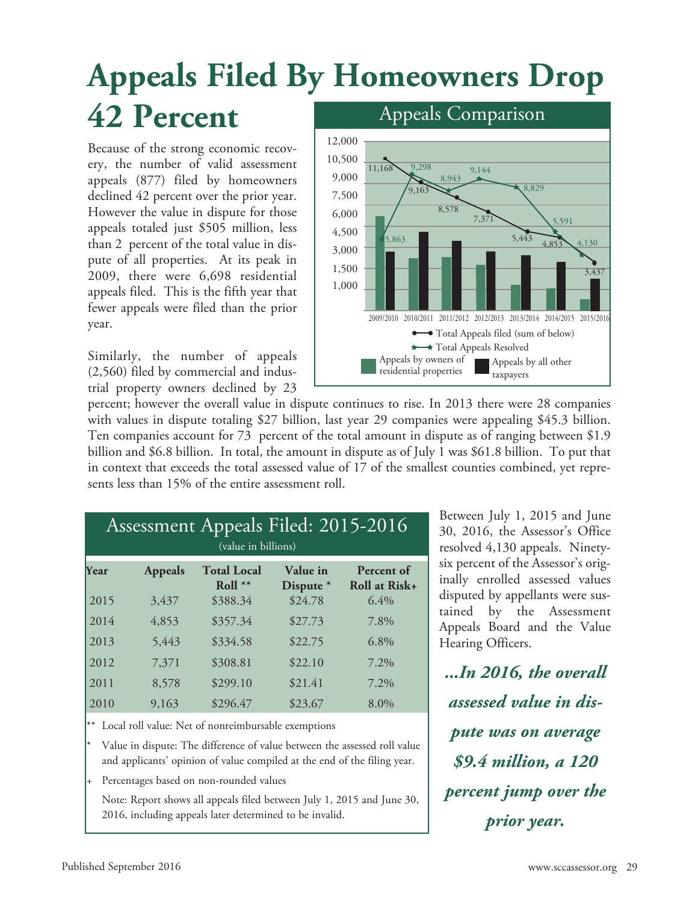## **Appeals Filed By Homeowners Drop 42 Percent** Appeals Comparison

Because of the strong economic recovery, the number of valid assessment appeals (877) filed by homeowners declined 42 percent over the prior year. However the value in dispute for those appeals totaled just \$505 million, less than 2 percent of the total value in dispute of all properties. At its peak in 2009, there were 6,698 residential appeals filed. This is the fifth year that fewer appeals were filed than the prior year.

Similarly, the number of appeals (2,560) filed by commercial and industrial property owners declined by 23



percent; however the overall value in dispute continues to rise. In 2013 there were 28 companies with values in dispute totaling \$27 billion, last year 29 companies were appealing \$45.3 billion. Ten companies account for 73 percent of the total amount in dispute as of ranging between \$1.9 billion and \$6.8 billion. In total, the amount in dispute as of July 1 was \$61.8 billion. To put that in context that exceeds the total assessed value of 17 of the smallest counties combined, yet represents less than 15% of the entire assessment roll.

|              |                | Assessment Appeals Filed: 2015-2016<br>(value in billions) |                       |                             |
|--------------|----------------|------------------------------------------------------------|-----------------------|-----------------------------|
| <b>Year</b>  | <b>Appeals</b> | <b>Total Local</b><br>Roll $**$                            | Value in<br>Dispute * | Percent of<br>Roll at Risk+ |
| 2015<br>2014 | 3,437<br>4,853 | \$388.34<br>\$357.34                                       | \$24.78<br>\$27.73    | 6.4%<br>7.8%                |
| 2013         | 5,443          | \$334.58                                                   | \$22.75               | $6.8\%$                     |
| 2012         | 7,371          | \$308.81                                                   | \$22.10               | 7.2%                        |
| 2011<br>2010 | 8,578<br>9,163 | \$299.10<br>\$296.47                                       | \$21.41<br>\$23.67    | 7.2%<br>8.0%                |
|              |                |                                                            |                       |                             |

Local roll value: Net of nonreimbursable exemptions

Value in dispute: The difference of value between the assessed roll value and applicants' opinion of value compiled at the end of the filing year.

Percentages based on non-rounded values

Note: Report shows all appeals filed between July 1, 2015 and June 30, 2016, including appeals later determined to be invalid.

Between July 1, 2015 and June 30, 2016, the Assessor's Office resolved 4,130 appeals. Ninetysix percent of the Assessor's originally enrolled assessed values disputed by appellants were sustained by the Assessment Appeals Board and the Value Hearing Officers.

*...In 2016, the overall assessed value in dispute was on average \$9.4 million, a 120 percent jump over the prior year.*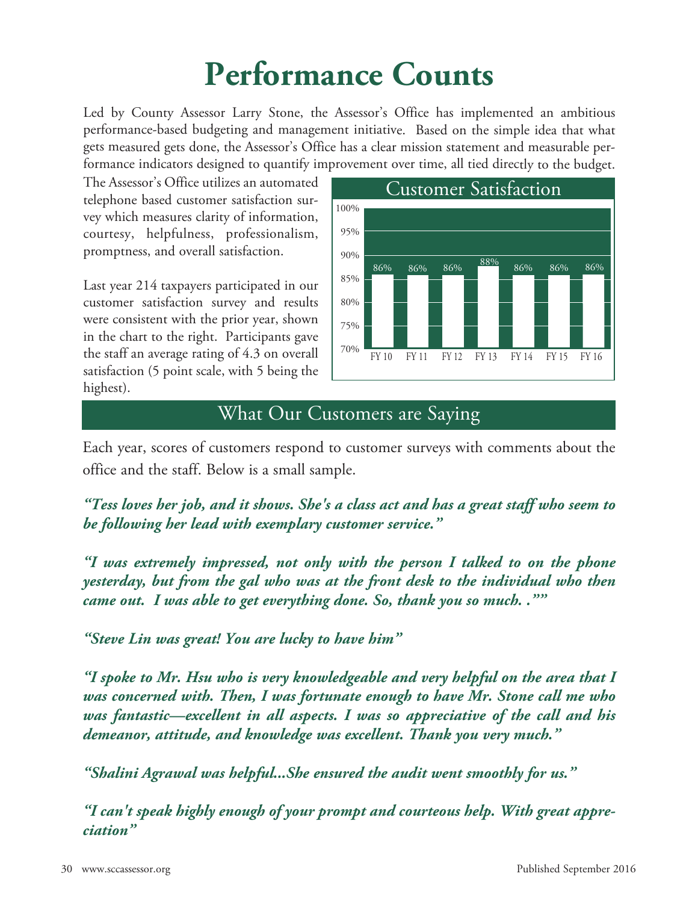## **Performance Counts**

Led by County Assessor Larry Stone, the Assessor's Office has implemented an ambitious performance-based budgeting and management initiative. Based on the simple idea that what gets measured gets done, the Assessor's Office has <sup>a</sup> clear mission statement and measurable performance indicators designed to quantify improvement over time, all tied directly to the budget.

The Assessor's Office utilizes an automated telephone based customer satisfaction survey which measures clarity of information, courtesy, helpfulness, professionalism, promptness, and overall satisfaction.

Last year 214 taxpayers participated in our customer satisfaction survey and results were consistent with the prior year, shown in the chart to the right. Participants gave the staff an average rating of 4.3 on overall satisfaction (5 point scale, with 5 being the highest).



### What Our Customers are Saying

Each year, scores of customers respond to customer surveys with comments about the office and the staff. Below is a small sample.

*"Tess loves her job, and it shows. She's a class act and has a great staff who seem to be following her lead with exemplary customer service."*

*"I was extremely impressed, not only with the person I talked to on the phone yesterday, but from the gal who was at the front desk to the individual who then came out. I was able to get everything done. So, thank you so much. .""*

*"Steve Lin was great! You are lucky to have him"*

*"I spoke to Mr. Hsu who is very knowledgeable and very helpful on the area that I was concerned with. Then, I was fortunate enough to have Mr. Stone call me who was fantastic—excellent in all aspects. I was so appreciative of the call and his demeanor, attitude, and knowledge was excellent. Thank you very much."*

*"Shalini Agrawal was helpful...She ensured the audit went smoothly for us."*

*"I can't speak highly enough of your prompt and courteous help. With great appreciation"*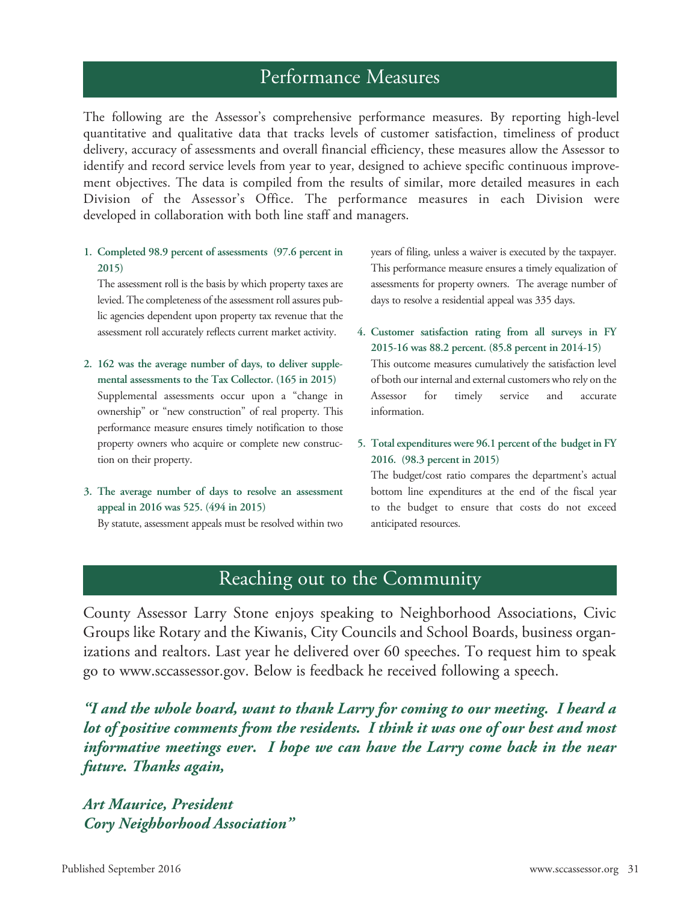### Performance Measures

The following are the Assessor's comprehensive performance measures. By reporting high-level quantitative and qualitative data that tracks levels of customer satisfaction, timeliness of product delivery, accuracy of assessments and overall financial efficiency, these measures allow the Assessor to identify and record service levels from year to year, designed to achieve specific continuous improvement objectives. The data is compiled from the results of similar, more detailed measures in each Division of the Assessor's Office. The performance measures in each Division were developed in collaboration with both line staff and managers.

**1. Completed 98.9 percent of assessments (97.6 percent in 2015)**

The assessment roll is the basis by which property taxes are levied. The completeness of the assessment roll assures public agencies dependent upon property tax revenue that the assessment roll accurately reflects current market activity.

- **2. 162 was the average number of days, to deliver supplemental assessments to the Tax Collector. (165 in 2015)** Supplemental assessments occur upon a "change in ownership" or "new construction" of real property. This performance measure ensures timely notification to those property owners who acquire or complete new construction on their property.
- **3. The average number of days to resolve an assessment appeal in 2016 was 525. (494 in 2015)**

By statute, assessment appeals must be resolved within two

years of filing, unless a waiver is executed by the taxpayer. This performance measure ensures a timely equalization of assessments for property owners. The average number of days to resolve a residential appeal was 335 days.

**4. Customer satisfaction rating from all surveys in FY 2015-16 was 88.2 percent. (85.8 percent in 2014-15)**

This outcome measures cumulatively the satisfaction level of both our internal and external customers who rely on the Assessor for timely service and accurate information.

**5. Total expenditures were 96.1 percent of the budget in FY 2016. (98.3 percent in 2015)**

The budget/cost ratio compares the department's actual bottom line expenditures at the end of the fiscal year to the budget to ensure that costs do not exceed anticipated resources.

### Reaching out to the Community

County Assessor Larry Stone enjoys speaking to Neighborhood Associations, Civic Groups like Rotary and the Kiwanis, City Councils and School Boards, business organizations and realtors. Last year he delivered over 60 speeches. To request him to speak go to www.sccassessor.gov. Below is feedback he received following a speech.

*"I and the whole board, want to thank Larry for coming to our meeting. I heard a lot of positive comments from the residents. I think it was one of our best and most informative meetings ever. I hope we can have the Larry come back in the near future. Thanks again,*

*Art Maurice, President Cory Neighborhood Association"*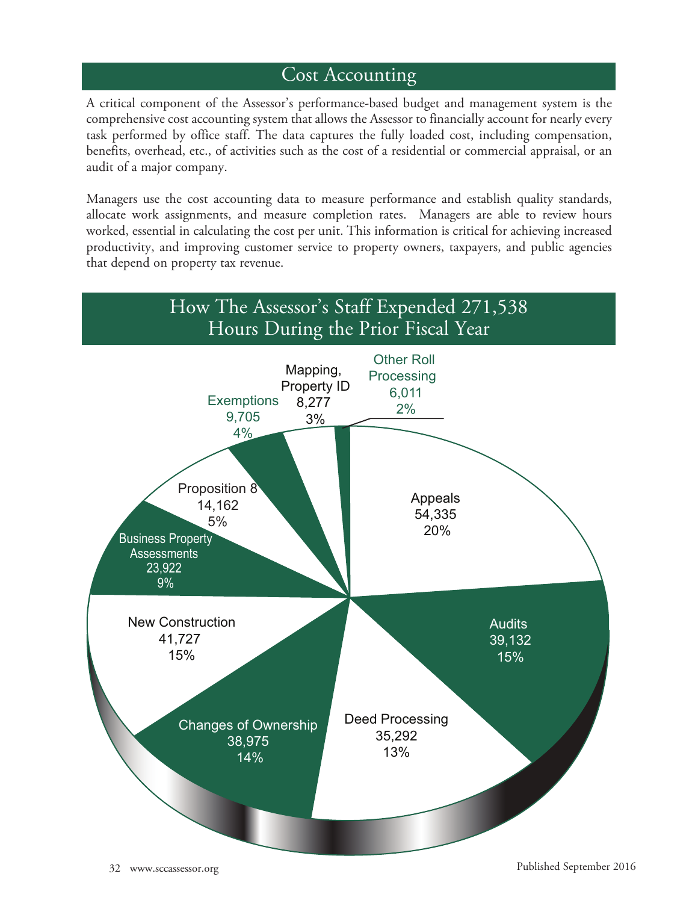### Cost Accounting

A critical component of the Assessor's performance-based budget and management system is the comprehensive cost accounting system that allows the Assessor to financially account for nearly every task performed by office staff. The data captures the fully loaded cost, including compensation, benefits, overhead, etc., of activities such as the cost of a residential or commercial appraisal, or an audit of a major company.

Managers use the cost accounting data to measure performance and establish quality standards, allocate work assignments, and measure completion rates. Managers are able to review hours worked, essential in calculating the cost per unit. This information is critical for achieving increased productivity, and improving customer service to property owners, taxpayers, and public agencies that depend on property tax revenue.



32 www.sccassessor.org Published September 2016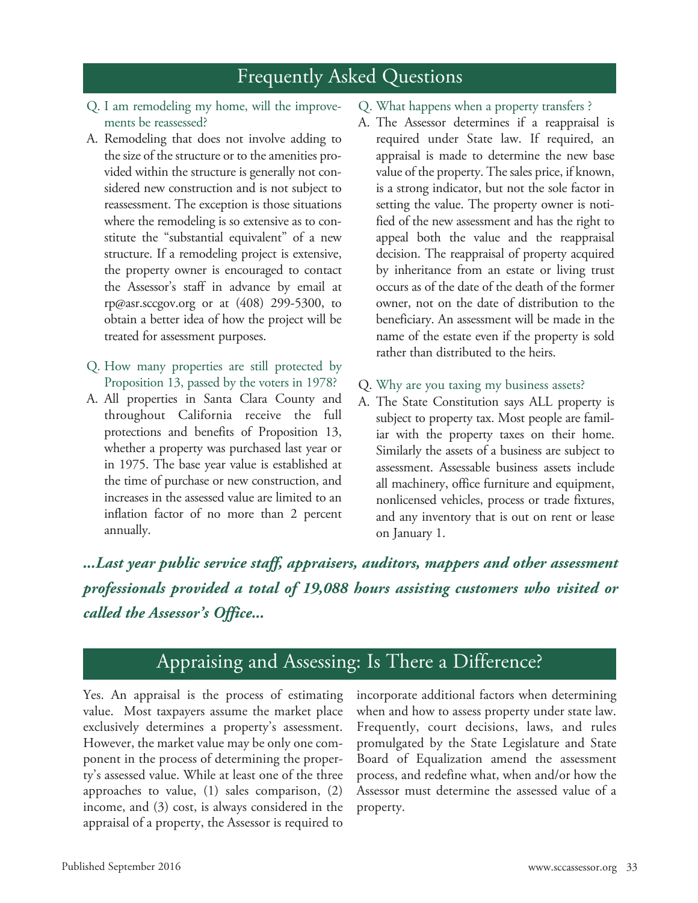### Frequently Asked Questions

- Q. I am remodeling my home, will the improvements be reassessed?
- A. Remodeling that does not involve adding to the size of the structure or to the amenities provided within the structure is generally not considered new construction and is not subject to reassessment. The exception is those situations where the remodeling is so extensive as to constitute the "substantial equivalent" of a new structure. If a remodeling project is extensive, the property owner is encouraged to contact the Assessor's staff in advance by email at rp@asr.sccgov.org or at  $(408)$  299-5300, to obtain a better idea of how the project will be treated for assessment purposes.
- Q. How many properties are still protected by Proposition 13, passed by the voters in 1978?
- A. All properties in Santa Clara County and throughout California receive the full protections and benefits of Proposition 13, whether a property was purchased last year or in 1975. The base year value is established at the time of purchase or new construction, and increases in the assessed value are limited to an inflation factor of no more than 2 percent annually.
- Q. What happens when a property transfers ?
- A. The Assessor determines if a reappraisal is required under State law. If required, an appraisal is made to determine the new base value of the property. The sales price, if known, is a strong indicator, but not the sole factor in setting the value. The property owner is notified of the new assessment and has the right to appeal both the value and the reappraisal decision. The reappraisal of property acquired by inheritance from an estate or living trust occurs as of the date of the death of the former owner, not on the date of distribution to the beneficiary. An assessment will be made in the name of the estate even if the property is sold rather than distributed to the heirs.
- Q. Why are you taxing my business assets?
- A. The State Constitution says ALL property is subject to property tax. Most people are familiar with the property taxes on their home. Similarly the assets of a business are subject to assessment. Assessable business assets include all machinery, office furniture and equipment, nonlicensed vehicles, process or trade fixtures, and any inventory that is out on rent or lease on January 1.

*...Last year public service staff, appraisers, auditors, mappers and other assessment professionals provided a total of 19,088 hours assisting customers who visited or called the Assessor's Office...*

### Appraising and Assessing: Is There a Difference?

Yes. An appraisal is the process of estimating value. Most taxpayers assume the market place exclusively determines a property's assessment. However, the market value may be only one component in the process of determining the property's assessed value. While at least one of the three approaches to value, (1) sales comparison, (2) income, and (3) cost, is always considered in the appraisal of a property, the Assessor is required to incorporate additional factors when determining when and how to assess property under state law. Frequently, court decisions, laws, and rules promulgated by the State Legislature and State Board of Equalization amend the assessment process, and redefine what, when and/or how the Assessor must determine the assessed value of a property.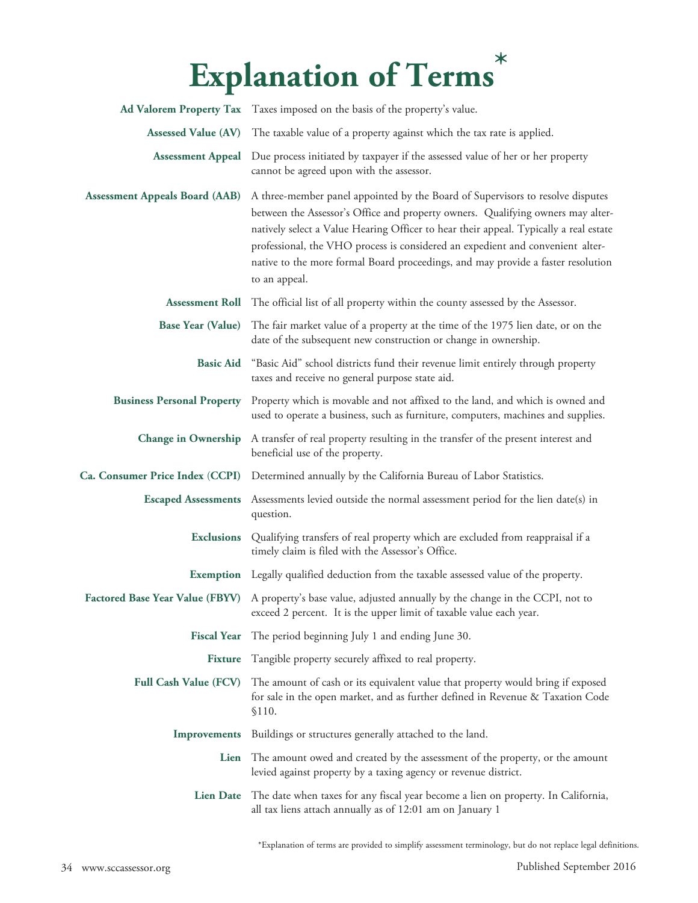### **Explanation of Terms \***

|                                       | Ad Valorem Property Tax Taxes imposed on the basis of the property's value.                                                                                                                                                                                                                                                                                                                                                                       |
|---------------------------------------|---------------------------------------------------------------------------------------------------------------------------------------------------------------------------------------------------------------------------------------------------------------------------------------------------------------------------------------------------------------------------------------------------------------------------------------------------|
| <b>Assessed Value (AV)</b>            | The taxable value of a property against which the tax rate is applied.                                                                                                                                                                                                                                                                                                                                                                            |
| <b>Assessment Appeal</b>              | Due process initiated by taxpayer if the assessed value of her or her property<br>cannot be agreed upon with the assessor.                                                                                                                                                                                                                                                                                                                        |
| <b>Assessment Appeals Board (AAB)</b> | A three-member panel appointed by the Board of Supervisors to resolve disputes<br>between the Assessor's Office and property owners. Qualifying owners may alter-<br>natively select a Value Hearing Officer to hear their appeal. Typically a real estate<br>professional, the VHO process is considered an expedient and convenient alter-<br>native to the more formal Board proceedings, and may provide a faster resolution<br>to an appeal. |
|                                       | Assessment Roll The official list of all property within the county assessed by the Assessor.                                                                                                                                                                                                                                                                                                                                                     |
| <b>Base Year (Value)</b>              | The fair market value of a property at the time of the 1975 lien date, or on the<br>date of the subsequent new construction or change in ownership.                                                                                                                                                                                                                                                                                               |
| <b>Basic Aid</b>                      | "Basic Aid" school districts fund their revenue limit entirely through property<br>taxes and receive no general purpose state aid.                                                                                                                                                                                                                                                                                                                |
| <b>Business Personal Property</b>     | Property which is movable and not affixed to the land, and which is owned and<br>used to operate a business, such as furniture, computers, machines and supplies.                                                                                                                                                                                                                                                                                 |
| <b>Change in Ownership</b>            | A transfer of real property resulting in the transfer of the present interest and<br>beneficial use of the property.                                                                                                                                                                                                                                                                                                                              |
| Ca. Consumer Price Index (CCPI)       | Determined annually by the California Bureau of Labor Statistics.                                                                                                                                                                                                                                                                                                                                                                                 |
| <b>Escaped Assessments</b>            | Assessments levied outside the normal assessment period for the lien date(s) in<br>question.                                                                                                                                                                                                                                                                                                                                                      |
| <b>Exclusions</b>                     | Qualifying transfers of real property which are excluded from reappraisal if a<br>timely claim is filed with the Assessor's Office.                                                                                                                                                                                                                                                                                                               |
|                                       | <b>Exemption</b> Legally qualified deduction from the taxable assessed value of the property.                                                                                                                                                                                                                                                                                                                                                     |
|                                       | Factored Base Year Value (FBYV) A property's base value, adjusted annually by the change in the CCPI, not to<br>exceed 2 percent. It is the upper limit of taxable value each year.                                                                                                                                                                                                                                                               |
| <b>Fiscal Year</b>                    | The period beginning July 1 and ending June 30.                                                                                                                                                                                                                                                                                                                                                                                                   |
| <b>Fixture</b>                        | Tangible property securely affixed to real property.                                                                                                                                                                                                                                                                                                                                                                                              |
| <b>Full Cash Value (FCV)</b>          | The amount of cash or its equivalent value that property would bring if exposed<br>for sale in the open market, and as further defined in Revenue & Taxation Code<br>\$110.                                                                                                                                                                                                                                                                       |
| Improvements                          | Buildings or structures generally attached to the land.                                                                                                                                                                                                                                                                                                                                                                                           |
| Lien                                  | The amount owed and created by the assessment of the property, or the amount<br>levied against property by a taxing agency or revenue district.                                                                                                                                                                                                                                                                                                   |
| <b>Lien Date</b>                      | The date when taxes for any fiscal year become a lien on property. In California,<br>all tax liens attach annually as of 12:01 am on January 1                                                                                                                                                                                                                                                                                                    |

\*Explanation of terms are provided to simplify assessment terminology, but do not replace legal definitions.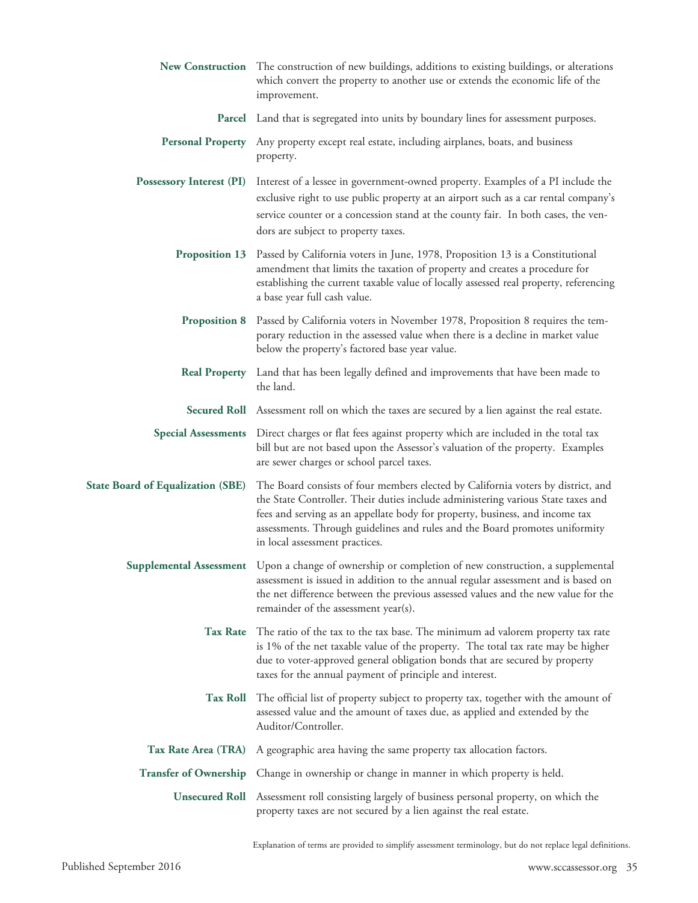|                                          | New Construction The construction of new buildings, additions to existing buildings, or alterations<br>which convert the property to another use or extends the economic life of the<br>improvement.                                                                                                                                                                  |
|------------------------------------------|-----------------------------------------------------------------------------------------------------------------------------------------------------------------------------------------------------------------------------------------------------------------------------------------------------------------------------------------------------------------------|
|                                          | <b>Parcel</b> Land that is segregated into units by boundary lines for assessment purposes.                                                                                                                                                                                                                                                                           |
|                                          | Personal Property Any property except real estate, including airplanes, boats, and business<br>property.                                                                                                                                                                                                                                                              |
| <b>Possessory Interest (PI)</b>          | Interest of a lessee in government-owned property. Examples of a PI include the<br>exclusive right to use public property at an airport such as a car rental company's<br>service counter or a concession stand at the county fair. In both cases, the ven-<br>dors are subject to property taxes.                                                                    |
| <b>Proposition 13</b>                    | Passed by California voters in June, 1978, Proposition 13 is a Constitutional<br>amendment that limits the taxation of property and creates a procedure for<br>establishing the current taxable value of locally assessed real property, referencing<br>a base year full cash value.                                                                                  |
| <b>Proposition 8</b>                     | Passed by California voters in November 1978, Proposition 8 requires the tem-<br>porary reduction in the assessed value when there is a decline in market value<br>below the property's factored base year value.                                                                                                                                                     |
| <b>Real Property</b>                     | Land that has been legally defined and improvements that have been made to<br>the land.                                                                                                                                                                                                                                                                               |
|                                          | Secured Roll Assessment roll on which the taxes are secured by a lien against the real estate.                                                                                                                                                                                                                                                                        |
| <b>Special Assessments</b>               | Direct charges or flat fees against property which are included in the total tax<br>bill but are not based upon the Assessor's valuation of the property. Examples<br>are sewer charges or school parcel taxes.                                                                                                                                                       |
| <b>State Board of Equalization (SBE)</b> | The Board consists of four members elected by California voters by district, and<br>the State Controller. Their duties include administering various State taxes and<br>fees and serving as an appellate body for property, business, and income tax<br>assessments. Through guidelines and rules and the Board promotes uniformity<br>in local assessment practices. |
|                                          | Supplemental Assessment Upon a change of ownership or completion of new construction, a supplemental<br>assessment is issued in addition to the annual regular assessment and is based on<br>the net difference between the previous assessed values and the new value for the<br>remainder of the assessment year(s).                                                |
| <b>Tax Rate</b>                          | The ratio of the tax to the tax base. The minimum ad valorem property tax rate<br>is 1% of the net taxable value of the property. The total tax rate may be higher<br>due to voter-approved general obligation bonds that are secured by property<br>taxes for the annual payment of principle and interest.                                                          |
| <b>Tax Roll</b>                          | The official list of property subject to property tax, together with the amount of<br>assessed value and the amount of taxes due, as applied and extended by the<br>Auditor/Controller.                                                                                                                                                                               |
| Tax Rate Area (TRA)                      | A geographic area having the same property tax allocation factors.                                                                                                                                                                                                                                                                                                    |
|                                          | Transfer of Ownership Change in ownership or change in manner in which property is held.                                                                                                                                                                                                                                                                              |
|                                          | Unsecured Roll Assessment roll consisting largely of business personal property, on which the<br>property taxes are not secured by a lien against the real estate.                                                                                                                                                                                                    |

Explanation of terms are provided to simplify assessment terminology, but do not replace legal definitions.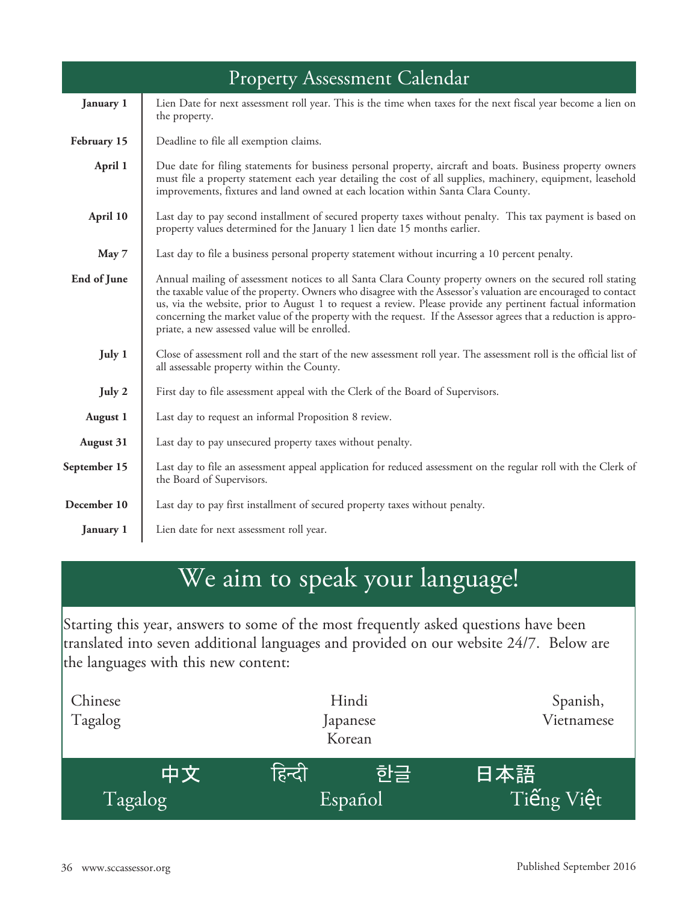|                  | <b>Property Assessment Calendar</b>                                                                                                                                                                                                                                                                                                                                                                                                                                                                               |
|------------------|-------------------------------------------------------------------------------------------------------------------------------------------------------------------------------------------------------------------------------------------------------------------------------------------------------------------------------------------------------------------------------------------------------------------------------------------------------------------------------------------------------------------|
| January 1        | Lien Date for next assessment roll year. This is the time when taxes for the next fiscal year become a lien on<br>the property.                                                                                                                                                                                                                                                                                                                                                                                   |
| February 15      | Deadline to file all exemption claims.                                                                                                                                                                                                                                                                                                                                                                                                                                                                            |
| April 1          | Due date for filing statements for business personal property, aircraft and boats. Business property owners<br>must file a property statement each year detailing the cost of all supplies, machinery, equipment, leasehold<br>improvements, fixtures and land owned at each location within Santa Clara County.                                                                                                                                                                                                  |
| April 10         | Last day to pay second installment of secured property taxes without penalty. This tax payment is based on<br>property values determined for the January 1 lien date 15 months earlier.                                                                                                                                                                                                                                                                                                                           |
| May 7            | Last day to file a business personal property statement without incurring a 10 percent penalty.                                                                                                                                                                                                                                                                                                                                                                                                                   |
| End of June      | Annual mailing of assessment notices to all Santa Clara County property owners on the secured roll stating<br>the taxable value of the property. Owners who disagree with the Assessor's valuation are encouraged to contact<br>us, via the website, prior to August 1 to request a review. Please provide any pertinent factual information<br>concerning the market value of the property with the request. If the Assessor agrees that a reduction is appro-<br>priate, a new assessed value will be enrolled. |
| July 1           | Close of assessment roll and the start of the new assessment roll year. The assessment roll is the official list of<br>all assessable property within the County.                                                                                                                                                                                                                                                                                                                                                 |
| July 2           | First day to file assessment appeal with the Clerk of the Board of Supervisors.                                                                                                                                                                                                                                                                                                                                                                                                                                   |
| <b>August 1</b>  | Last day to request an informal Proposition 8 review.                                                                                                                                                                                                                                                                                                                                                                                                                                                             |
| <b>August 31</b> | Last day to pay unsecured property taxes without penalty.                                                                                                                                                                                                                                                                                                                                                                                                                                                         |
| September 15     | Last day to file an assessment appeal application for reduced assessment on the regular roll with the Clerk of<br>the Board of Supervisors.                                                                                                                                                                                                                                                                                                                                                                       |
| December 10      | Last day to pay first installment of secured property taxes without penalty.                                                                                                                                                                                                                                                                                                                                                                                                                                      |
| <b>January 1</b> | Lien date for next assessment roll year.                                                                                                                                                                                                                                                                                                                                                                                                                                                                          |

## We aim to speak your language!

Starting this year, answers to some of the most frequently asked questions have been translated into seven additional languages and provided on our website 24/7. Below are the languages with this new content:

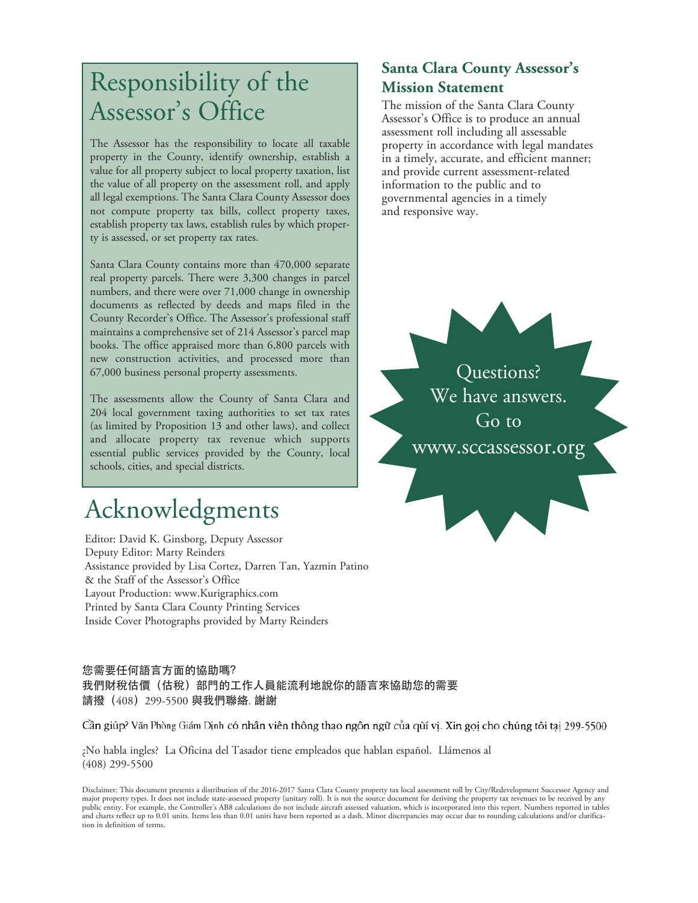## Responsibility of the Assessor ' s Office

The Assessor has the responsibility to locate all taxable property in the County, identify ownership, establish a value for all property subject to local property taxation, list the value of all property on the assessment roll, and apply all legal exemptions. The Santa Clara County Assessor does not compute property tax bills, collect property taxes, establish property tax laws, establish rules by which property is assessed, or set property tax rates.

Santa Clara County contains more than 470,000 separate real property parcels. There were 3,300 changes in parcel numbers, and there were over 71,000 change in ownership documents as reflected by deeds and maps filed in the County Recorder's Office. The Assessor's professional staff maintains a comprehensive set of 214 Assessor's parcel map books. The office appraised more than 6,800 parcels with new construction activities, and processed more than 67,000 business personal property assessments.

The assessments allow the County of Santa Clara and 204 local government taxing authorities to set tax rates (as limited by Proposition 13 and other laws), and collect and allocate property tax revenue which supports essential public services provided by the County, local schools, cities, and special districts.

## Acknowledgments

Editor: David K. Ginsborg, Deputy Assessor Deputy Editor: Marty Reinders Assistance provided by Lisa Cortez, Darren Tan, Yazmin Patino & the Staff of the Assessor's Office Layout Production: www.Kurigraphics.com Printed by Santa Clara County Printing Services Inside Cover Photographs provided by Marty Reinders

#### 您需要任何語言方面的協助嗎? 我們財稅估價(估稅)部門的工作人員能流利地說你的語言來協助您的需要 請撥(408)299-5500 與我們聯絡. 謝謝

Cần giúp? Văn Phòng Giám Dịnh có nhân viên thông thạo ngôn ngữ của quí vị. Xin gọi cho chúng tôi tại 299-5500

¿No habla ingles? La Oficina del Tasador tiene empleados que hablan español. Llámenos al (408) 299-5500

Disclaimer: This document presents a distribution of the 2016-2017 Santa Clara County property tax local assessment roll by City/Redevelopment Successor Agency and<br>major property types. It does not include state-assessed p and charts reflect up to 0.01 units. Items less than 0.01 units have been reported as a dash. Minor discrepancies may occur due to rounding calculations and/or clarification in definition of terms.

#### **Santa Clara County Assessor's Mission Statement**

The mission of the Santa Clara County Assessor's Office is to produce an annual assessment roll including all assessable property in accordance with legal mandates in a timely, accurate, and efficient manner; and provide current assessment-related information to the public and to governmental agencies in a timely and responsive way.